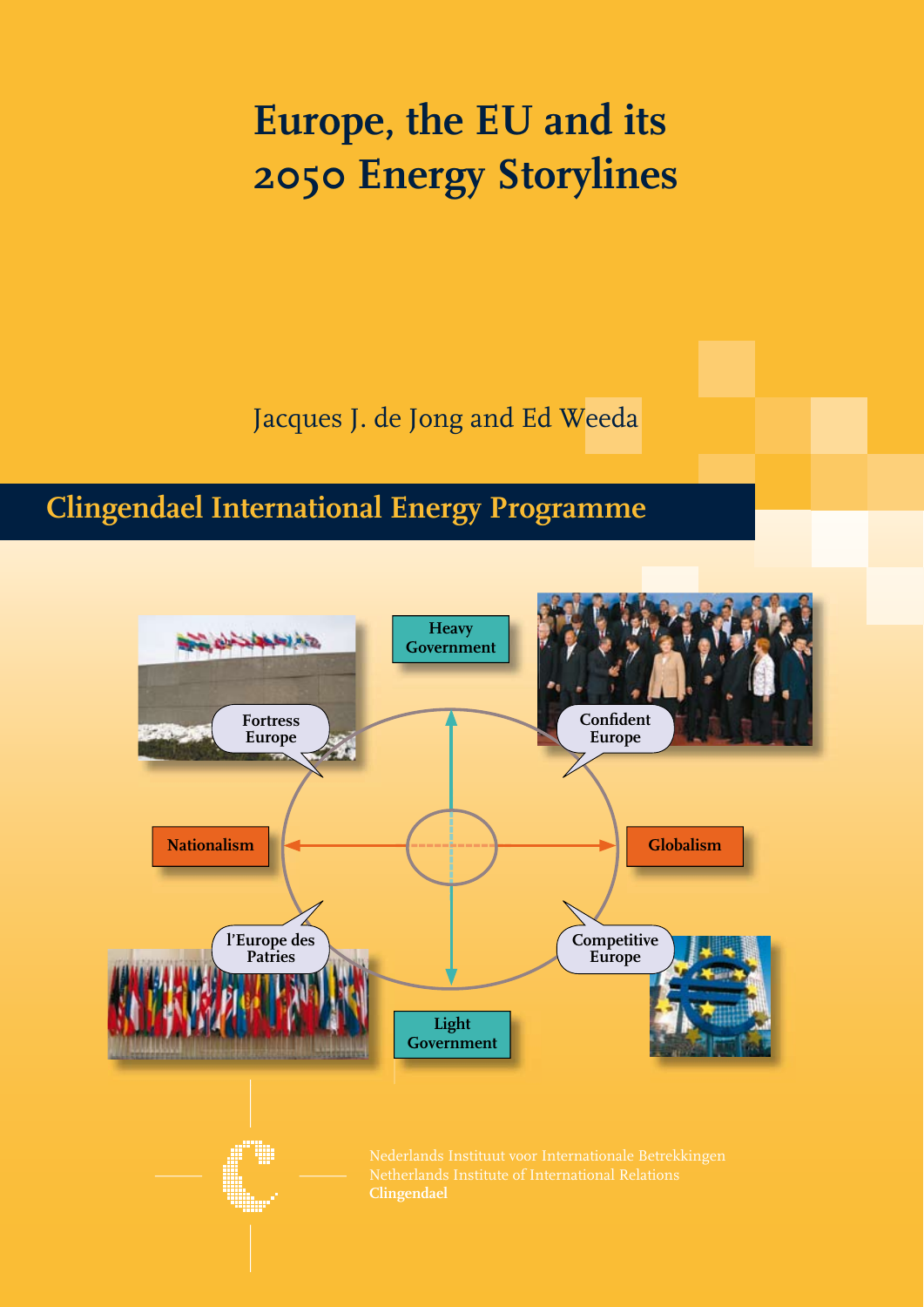### **Europe, the EU and its 2050 Energy Storylines**

Jacques J. de Jong and Ed Weeda

### **Clingendael International Energy Programme**

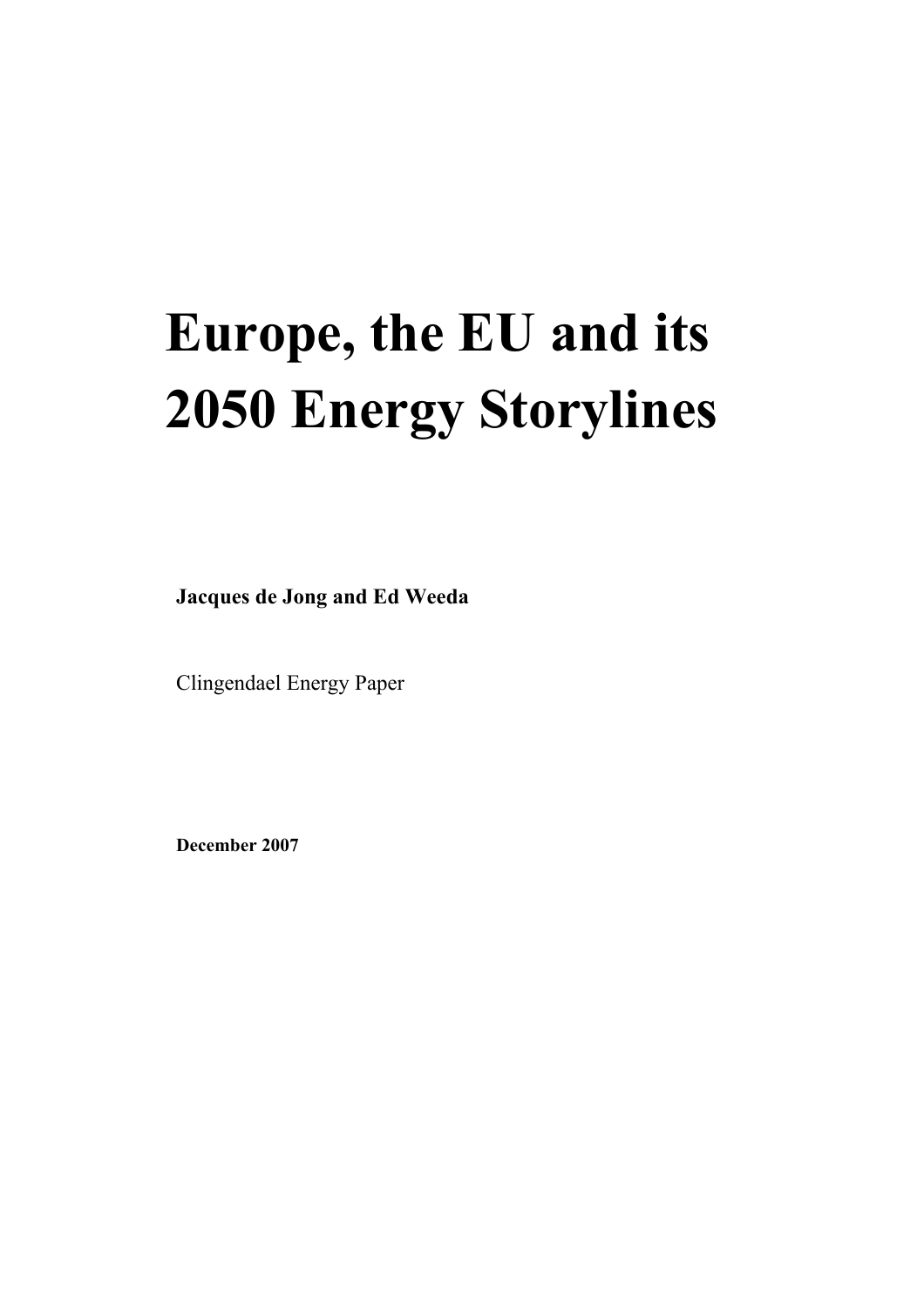### **Europe, the EU and its 2050 Energy Storylines**

**Jacques de Jong and Ed Weeda** 

Clingendael Energy Paper

**December 2007**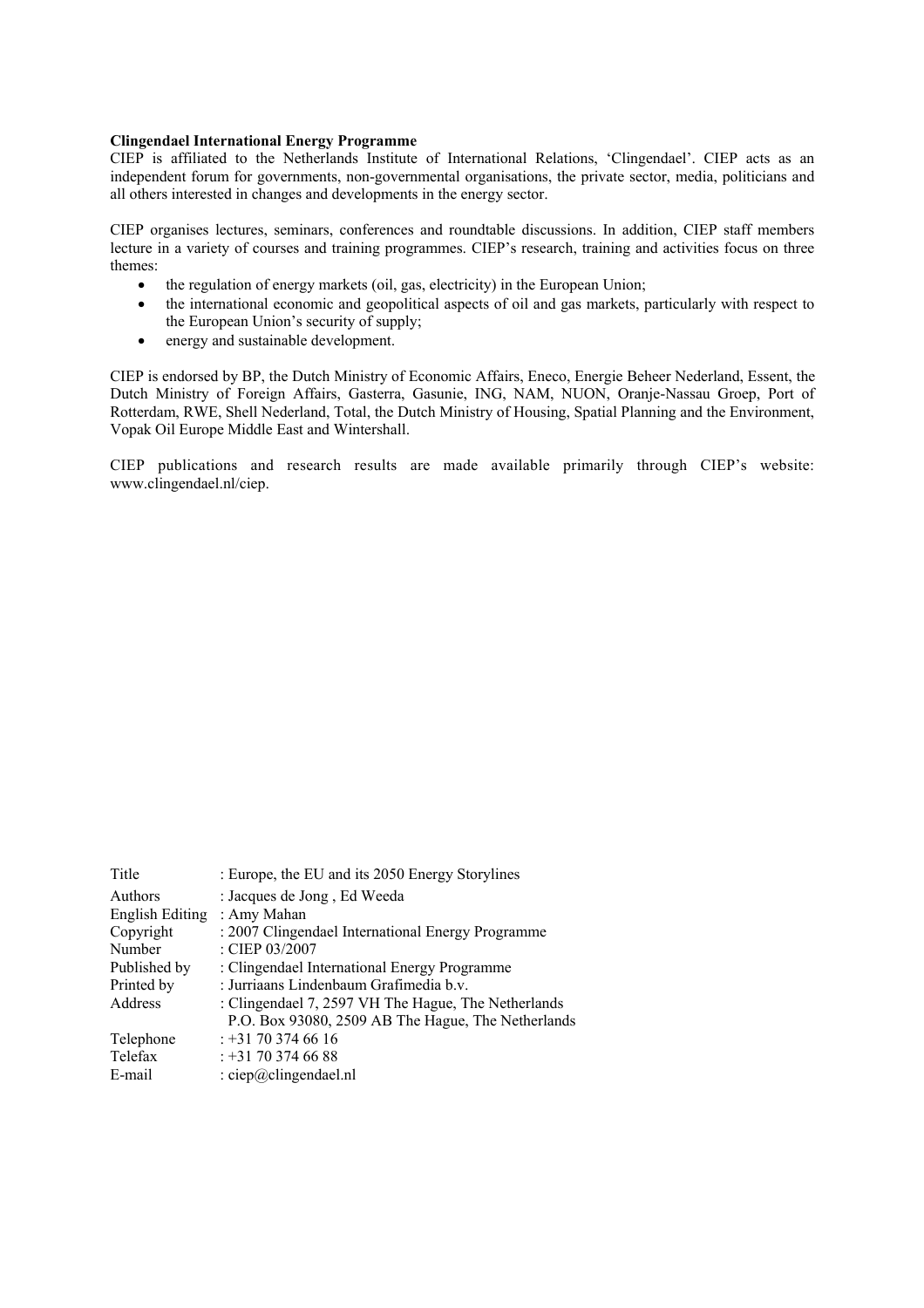#### **Clingendael International Energy Programme**

CIEP is affiliated to the Netherlands Institute of International Relations, 'Clingendael'. CIEP acts as an independent forum for governments, non-governmental organisations, the private sector, media, politicians and all others interested in changes and developments in the energy sector.

CIEP organises lectures, seminars, conferences and roundtable discussions. In addition, CIEP staff members lecture in a variety of courses and training programmes. CIEP's research, training and activities focus on three themes:

- the regulation of energy markets (oil, gas, electricity) in the European Union;
- the international economic and geopolitical aspects of oil and gas markets, particularly with respect to the European Union's security of supply;
- energy and sustainable development.

CIEP is endorsed by BP, the Dutch Ministry of Economic Affairs, Eneco, Energie Beheer Nederland, Essent, the Dutch Ministry of Foreign Affairs, Gasterra, Gasunie, ING, NAM, NUON, Oranje-Nassau Groep, Port of Rotterdam, RWE, Shell Nederland, Total, the Dutch Ministry of Housing, Spatial Planning and the Environment, Vopak Oil Europe Middle East and Wintershall.

CIEP publications and research results are made available primarily through CIEP's website: www.clingendael.nl/ciep.

| Title           | : Europe, the EU and its 2050 Energy Storylines     |
|-----------------|-----------------------------------------------------|
| Authors         | : Jacques de Jong, Ed Weeda                         |
| English Editing | : Amy Mahan                                         |
| Copyright       | : 2007 Clingendael International Energy Programme   |
| Number          | : CIEP 03/2007                                      |
| Published by    | : Clingendael International Energy Programme        |
| Printed by      | : Jurriaans Lindenbaum Grafimedia b.v.              |
| Address         | : Clingendael 7, 2597 VH The Hague, The Netherlands |
|                 | P.O. Box 93080, 2509 AB The Hague, The Netherlands  |
| Telephone       | $: +31703746616$                                    |
| Telefax         | $: +31703746688$                                    |
| E-mail          | $\therefore$ ciep@clingendael.nl                    |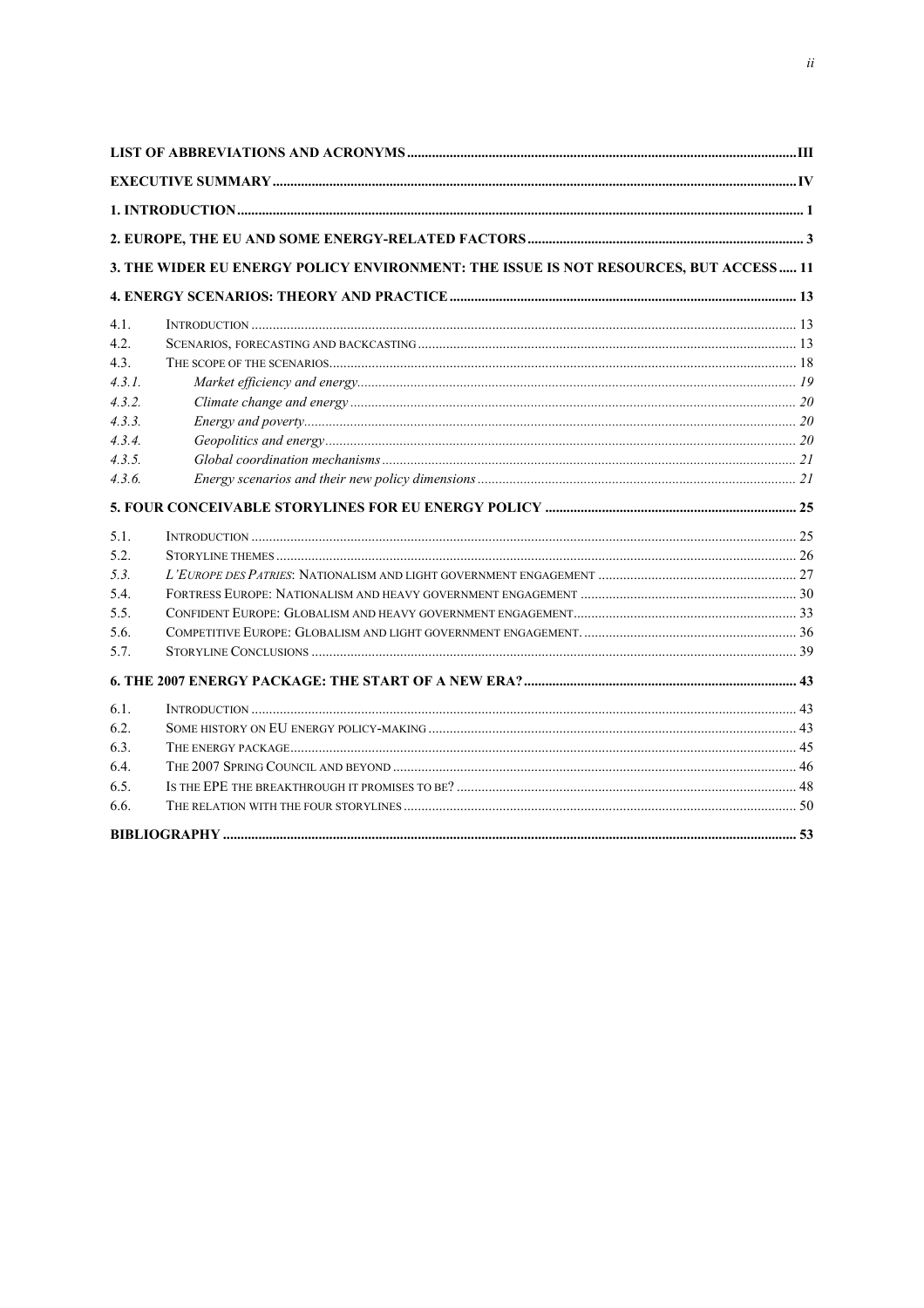|                  | 3. THE WIDER EU ENERGY POLICY ENVIRONMENT: THE ISSUE IS NOT RESOURCES, BUT ACCESS  11 |  |
|------------------|---------------------------------------------------------------------------------------|--|
|                  |                                                                                       |  |
| 4 1              |                                                                                       |  |
| 4.2.             |                                                                                       |  |
| 4.3 <sub>1</sub> |                                                                                       |  |
| 4.3.1.           |                                                                                       |  |
| 4.3.2.           |                                                                                       |  |
| 4.3.3.           |                                                                                       |  |
| 4.3.4.           |                                                                                       |  |
| 4.3.5.           |                                                                                       |  |
| 4.3.6.           |                                                                                       |  |
|                  |                                                                                       |  |
| 5.1.             |                                                                                       |  |
| 5.2.             |                                                                                       |  |
| 5.3.             |                                                                                       |  |
| 5.4.             |                                                                                       |  |
| 5.5.             |                                                                                       |  |
| 5.6.             |                                                                                       |  |
| 5.7.             |                                                                                       |  |
|                  |                                                                                       |  |
| 6.1              |                                                                                       |  |
| 6.2.             |                                                                                       |  |
| 6.3.             |                                                                                       |  |
| 6.4.             |                                                                                       |  |
| 6.5.             |                                                                                       |  |
| 6.6.             |                                                                                       |  |
|                  |                                                                                       |  |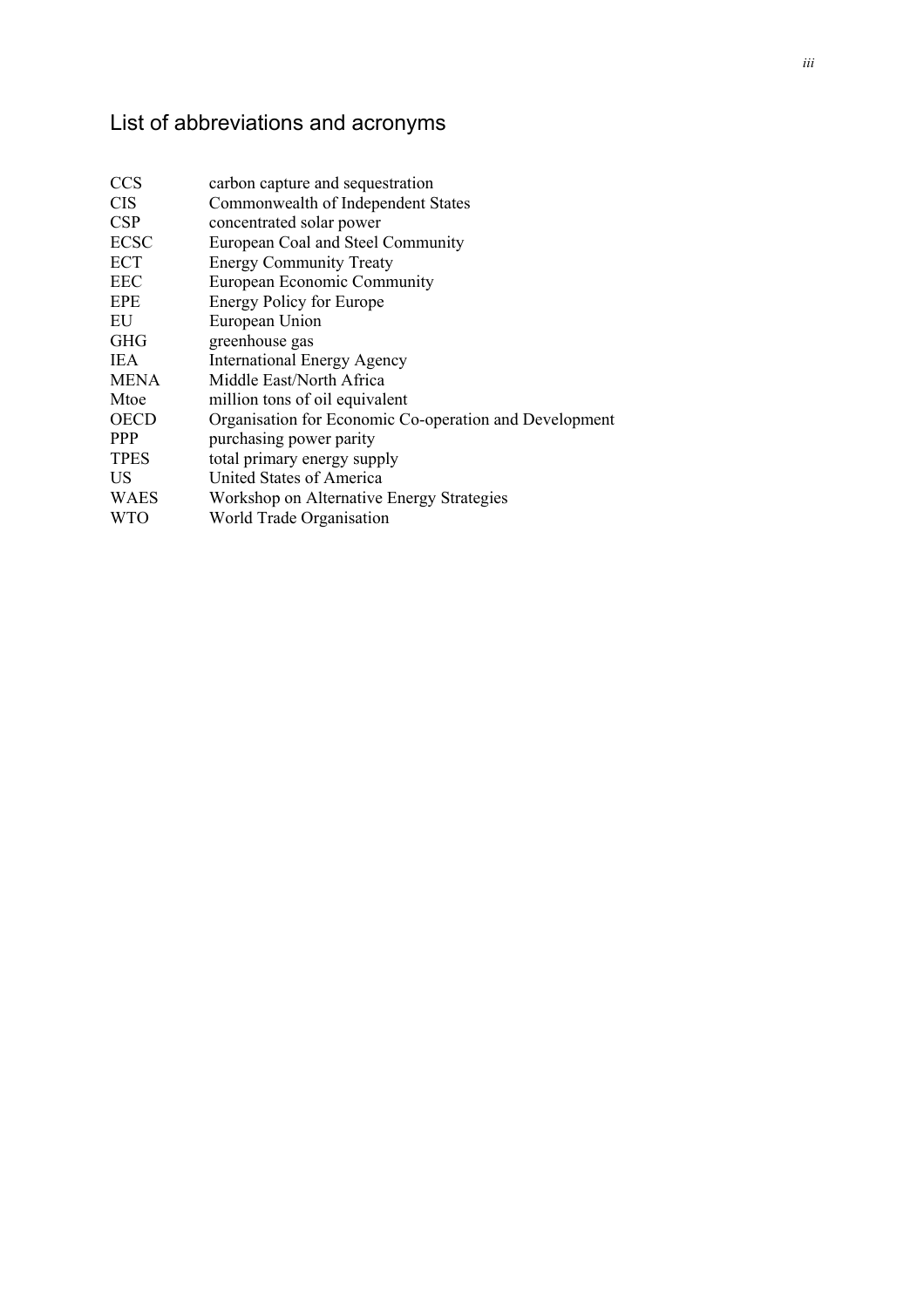### List of abbreviations and acronyms

| <b>CCS</b>  | carbon capture and sequestration                       |
|-------------|--------------------------------------------------------|
| <b>CIS</b>  | Commonwealth of Independent States                     |
| CSP         | concentrated solar power                               |
| <b>ECSC</b> | European Coal and Steel Community                      |
| ECT         | <b>Energy Community Treaty</b>                         |
| <b>EEC</b>  | European Economic Community                            |
| EPE         | <b>Energy Policy for Europe</b>                        |
| EU          | European Union                                         |
| <b>GHG</b>  | greenhouse gas                                         |
| <b>IEA</b>  | <b>International Energy Agency</b>                     |
| <b>MENA</b> | Middle East/North Africa                               |
| Mtoe        | million tons of oil equivalent                         |
| <b>OECD</b> | Organisation for Economic Co-operation and Development |
| <b>PPP</b>  | purchasing power parity                                |
| <b>TPES</b> | total primary energy supply                            |
| US          | <b>United States of America</b>                        |
| <b>WAES</b> | Workshop on Alternative Energy Strategies              |
| WTO         | World Trade Organisation                               |
|             |                                                        |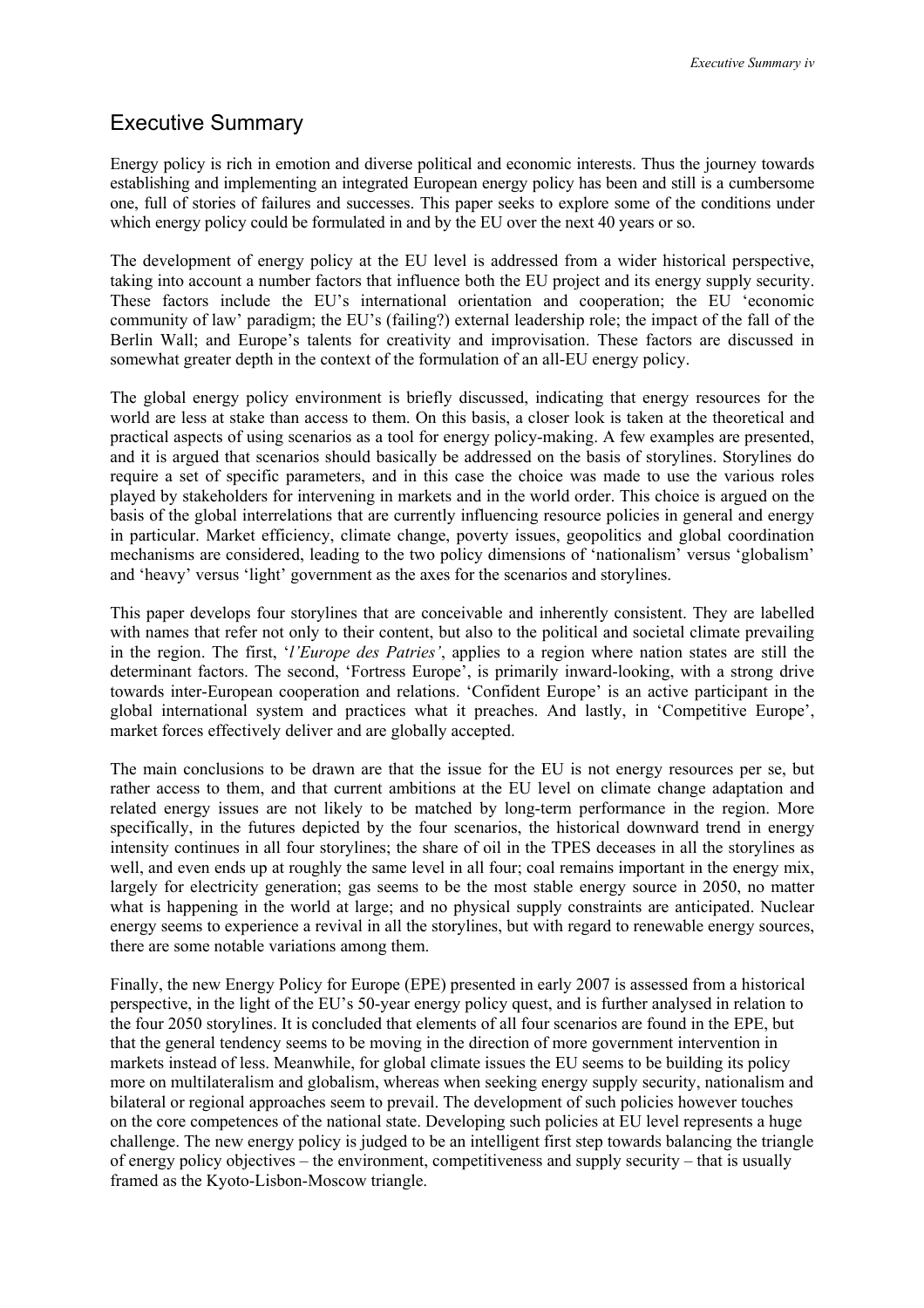#### Executive Summary

Energy policy is rich in emotion and diverse political and economic interests. Thus the journey towards establishing and implementing an integrated European energy policy has been and still is a cumbersome one, full of stories of failures and successes. This paper seeks to explore some of the conditions under which energy policy could be formulated in and by the EU over the next 40 years or so.

The development of energy policy at the EU level is addressed from a wider historical perspective, taking into account a number factors that influence both the EU project and its energy supply security. These factors include the EU's international orientation and cooperation; the EU 'economic community of law' paradigm; the EU's (failing?) external leadership role; the impact of the fall of the Berlin Wall; and Europe's talents for creativity and improvisation. These factors are discussed in somewhat greater depth in the context of the formulation of an all-EU energy policy.

The global energy policy environment is briefly discussed, indicating that energy resources for the world are less at stake than access to them. On this basis, a closer look is taken at the theoretical and practical aspects of using scenarios as a tool for energy policy-making. A few examples are presented, and it is argued that scenarios should basically be addressed on the basis of storylines. Storylines do require a set of specific parameters, and in this case the choice was made to use the various roles played by stakeholders for intervening in markets and in the world order. This choice is argued on the basis of the global interrelations that are currently influencing resource policies in general and energy in particular. Market efficiency, climate change, poverty issues, geopolitics and global coordination mechanisms are considered, leading to the two policy dimensions of 'nationalism' versus 'globalism' and 'heavy' versus 'light' government as the axes for the scenarios and storylines.

This paper develops four storylines that are conceivable and inherently consistent. They are labelled with names that refer not only to their content, but also to the political and societal climate prevailing in the region. The first, '*l'Europe des Patries'*, applies to a region where nation states are still the determinant factors. The second, 'Fortress Europe', is primarily inward-looking, with a strong drive towards inter-European cooperation and relations. 'Confident Europe' is an active participant in the global international system and practices what it preaches. And lastly, in 'Competitive Europe', market forces effectively deliver and are globally accepted.

The main conclusions to be drawn are that the issue for the EU is not energy resources per se, but rather access to them, and that current ambitions at the EU level on climate change adaptation and related energy issues are not likely to be matched by long-term performance in the region. More specifically, in the futures depicted by the four scenarios, the historical downward trend in energy intensity continues in all four storylines; the share of oil in the TPES deceases in all the storylines as well, and even ends up at roughly the same level in all four; coal remains important in the energy mix, largely for electricity generation; gas seems to be the most stable energy source in 2050, no matter what is happening in the world at large; and no physical supply constraints are anticipated. Nuclear energy seems to experience a revival in all the storylines, but with regard to renewable energy sources, there are some notable variations among them.

Finally, the new Energy Policy for Europe (EPE) presented in early 2007 is assessed from a historical perspective, in the light of the EU's 50-year energy policy quest, and is further analysed in relation to the four 2050 storylines. It is concluded that elements of all four scenarios are found in the EPE, but that the general tendency seems to be moving in the direction of more government intervention in markets instead of less. Meanwhile, for global climate issues the EU seems to be building its policy more on multilateralism and globalism, whereas when seeking energy supply security, nationalism and bilateral or regional approaches seem to prevail. The development of such policies however touches on the core competences of the national state. Developing such policies at EU level represents a huge challenge. The new energy policy is judged to be an intelligent first step towards balancing the triangle of energy policy objectives – the environment, competitiveness and supply security – that is usually framed as the Kyoto-Lisbon-Moscow triangle.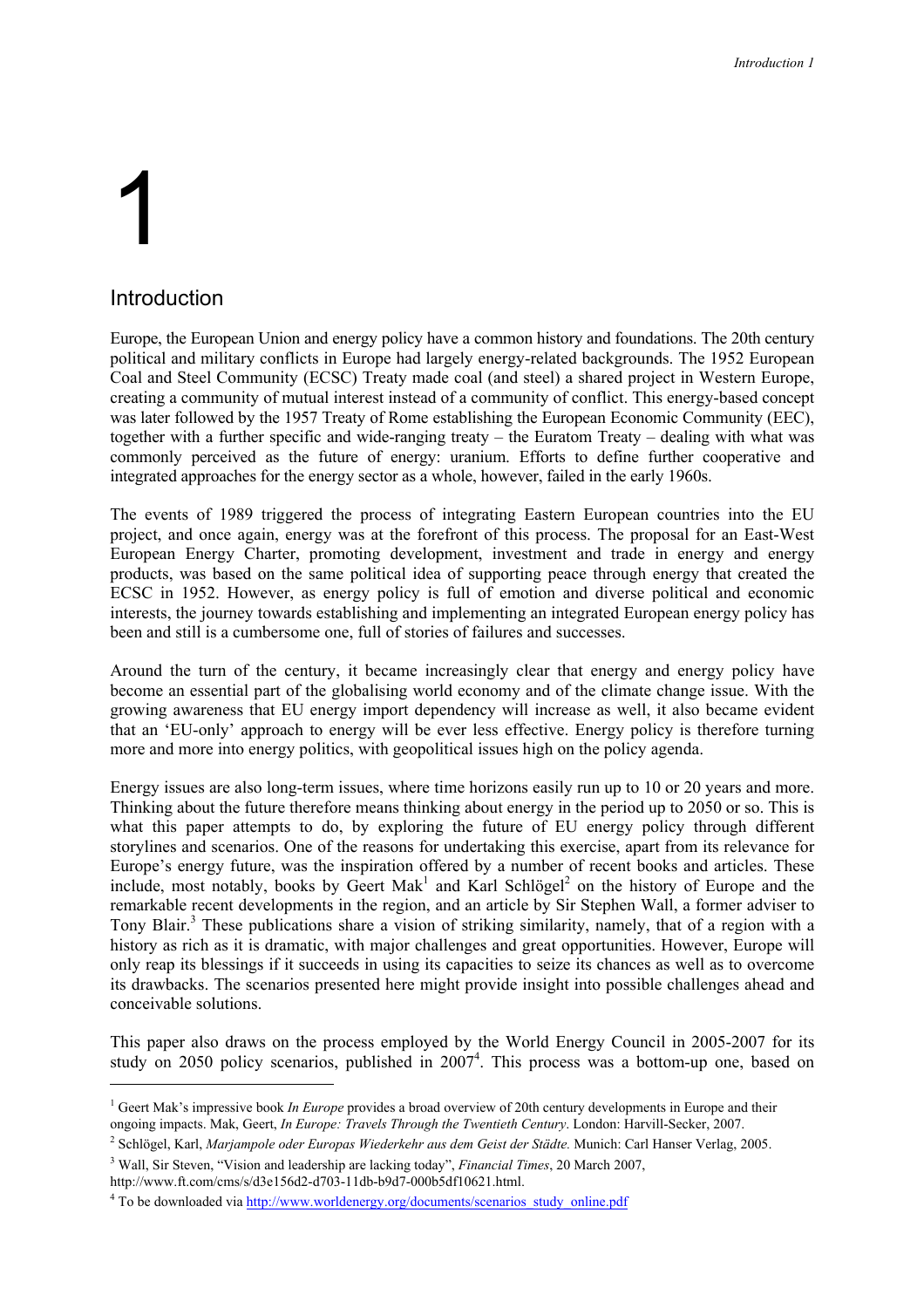# 1

ł

#### Introduction

Europe, the European Union and energy policy have a common history and foundations. The 20th century political and military conflicts in Europe had largely energy-related backgrounds. The 1952 European Coal and Steel Community (ECSC) Treaty made coal (and steel) a shared project in Western Europe, creating a community of mutual interest instead of a community of conflict. This energy-based concept was later followed by the 1957 Treaty of Rome establishing the European Economic Community (EEC), together with a further specific and wide-ranging treaty – the Euratom Treaty – dealing with what was commonly perceived as the future of energy: uranium. Efforts to define further cooperative and integrated approaches for the energy sector as a whole, however, failed in the early 1960s.

The events of 1989 triggered the process of integrating Eastern European countries into the EU project, and once again, energy was at the forefront of this process. The proposal for an East-West European Energy Charter, promoting development, investment and trade in energy and energy products, was based on the same political idea of supporting peace through energy that created the ECSC in 1952. However, as energy policy is full of emotion and diverse political and economic interests, the journey towards establishing and implementing an integrated European energy policy has been and still is a cumbersome one, full of stories of failures and successes.

Around the turn of the century, it became increasingly clear that energy and energy policy have become an essential part of the globalising world economy and of the climate change issue. With the growing awareness that EU energy import dependency will increase as well, it also became evident that an 'EU-only' approach to energy will be ever less effective. Energy policy is therefore turning more and more into energy politics, with geopolitical issues high on the policy agenda.

Energy issues are also long-term issues, where time horizons easily run up to 10 or 20 years and more. Thinking about the future therefore means thinking about energy in the period up to 2050 or so. This is what this paper attempts to do, by exploring the future of EU energy policy through different storylines and scenarios. One of the reasons for undertaking this exercise, apart from its relevance for Europe's energy future, was the inspiration offered by a number of recent books and articles. These include, most notably, books by Geert Mak<sup>1</sup> and Karl Schlögel<sup>2</sup> on the history of Europe and the remarkable recent developments in the region, and an article by Sir Stephen Wall, a former adviser to Tony Blair.<sup>3</sup> These publications share a vision of striking similarity, namely, that of a region with a history as rich as it is dramatic, with major challenges and great opportunities. However, Europe will only reap its blessings if it succeeds in using its capacities to seize its chances as well as to overcome its drawbacks. The scenarios presented here might provide insight into possible challenges ahead and conceivable solutions.

This paper also draws on the process employed by the World Energy Council in 2005-2007 for its study on 2050 policy scenarios, published in 2007<sup>4</sup>. This process was a bottom-up one, based on

http://www.ft.com/cms/s/d3e156d2-d703-11db-b9d7-000b5df10621.html.

<sup>&</sup>lt;sup>1</sup> Geert Mak's impressive book *In Europe* provides a broad overview of 20th century developments in Europe and their ongoing impacts. Mak, Geert, *In Europe: Travels Through the Twentieth Century*. London: Harvill-Secker, 2007.

<sup>2</sup> Schlögel, Karl, *Marjampole oder Europas Wiederkehr aus dem Geist der Städte.* Munich: Carl Hanser Verlag, 2005.

<sup>3</sup> Wall, Sir Steven, "Vision and leadership are lacking today", *Financial Times*, 20 March 2007,

<sup>&</sup>lt;sup>4</sup> To be downloaded via http://www.worldenergy.org/documents/scenarios\_study\_online.pdf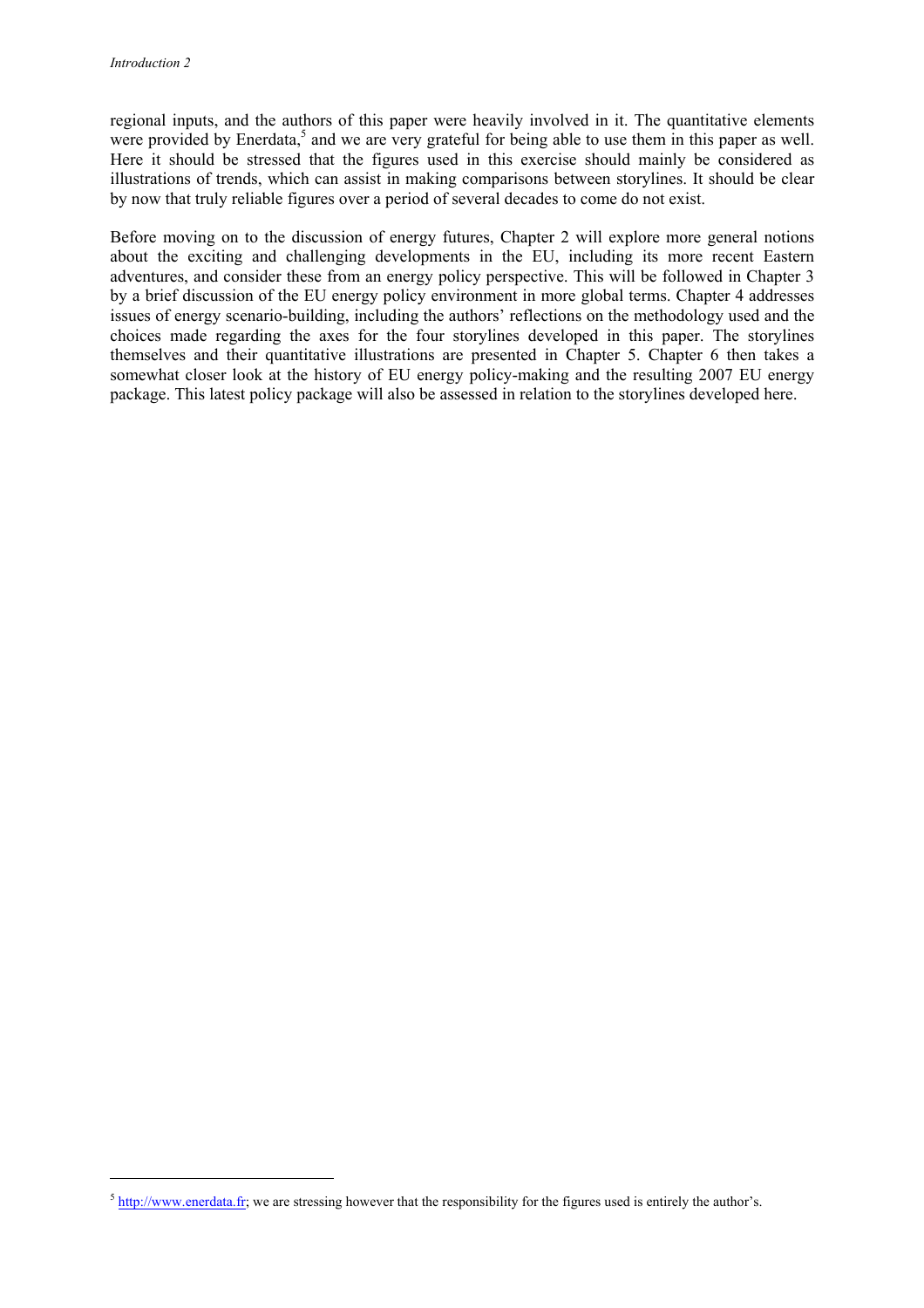ł

regional inputs, and the authors of this paper were heavily involved in it. The quantitative elements were provided by Enerdata,<sup>5</sup> and we are very grateful for being able to use them in this paper as well. Here it should be stressed that the figures used in this exercise should mainly be considered as illustrations of trends, which can assist in making comparisons between storylines. It should be clear by now that truly reliable figures over a period of several decades to come do not exist.

Before moving on to the discussion of energy futures, Chapter 2 will explore more general notions about the exciting and challenging developments in the EU, including its more recent Eastern adventures, and consider these from an energy policy perspective. This will be followed in Chapter 3 by a brief discussion of the EU energy policy environment in more global terms. Chapter 4 addresses issues of energy scenario-building, including the authors' reflections on the methodology used and the choices made regarding the axes for the four storylines developed in this paper. The storylines themselves and their quantitative illustrations are presented in Chapter 5. Chapter 6 then takes a somewhat closer look at the history of EU energy policy-making and the resulting 2007 EU energy package. This latest policy package will also be assessed in relation to the storylines developed here.

 $<sup>5</sup>$  http://www.enerdata.fr; we are stressing however that the responsibility for the figures used is entirely the author's.</sup>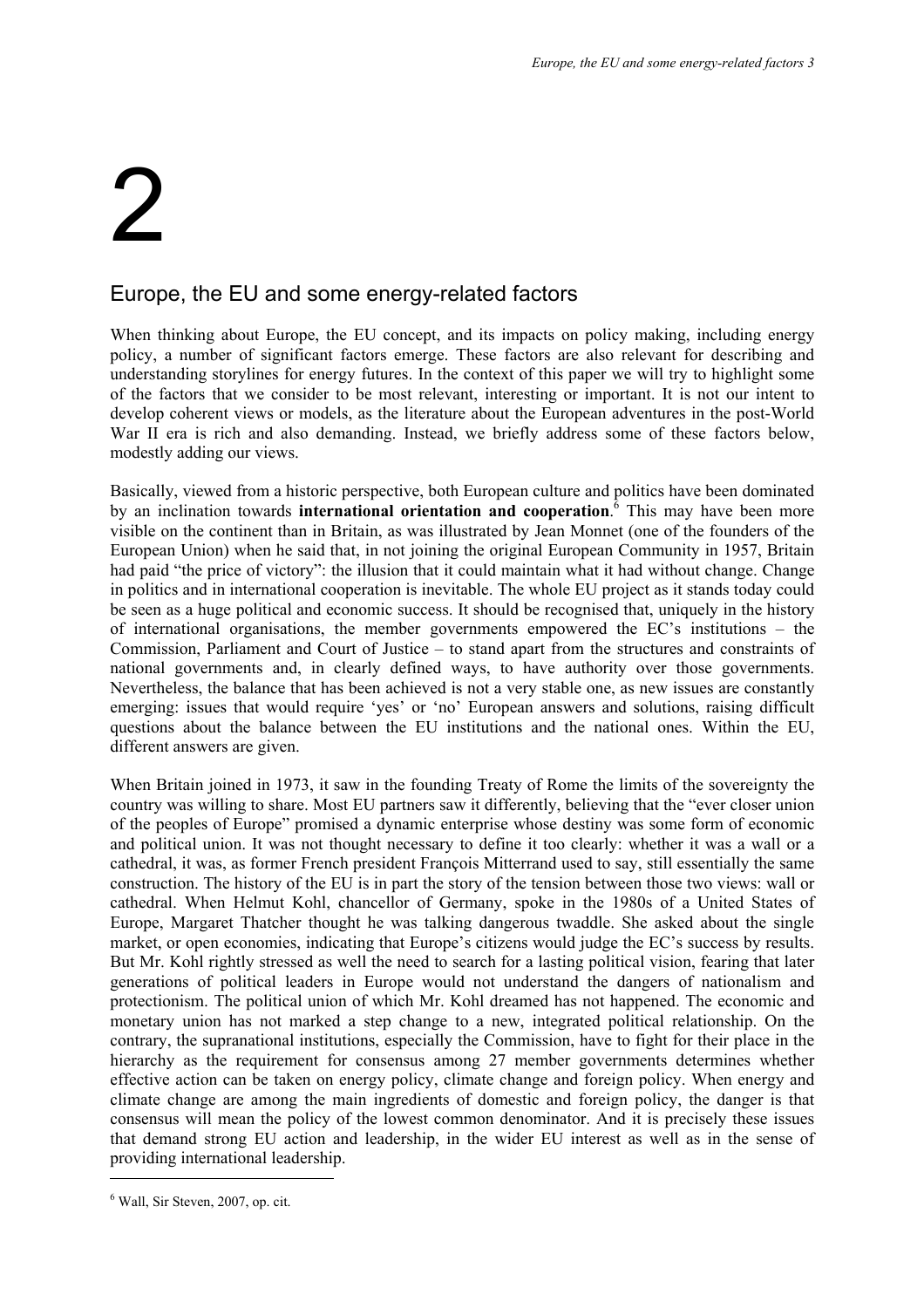### 2

#### Europe, the EU and some energy-related factors

When thinking about Europe, the EU concept, and its impacts on policy making, including energy policy, a number of significant factors emerge. These factors are also relevant for describing and understanding storylines for energy futures. In the context of this paper we will try to highlight some of the factors that we consider to be most relevant, interesting or important. It is not our intent to develop coherent views or models, as the literature about the European adventures in the post-World War II era is rich and also demanding. Instead, we briefly address some of these factors below, modestly adding our views.

Basically, viewed from a historic perspective, both European culture and politics have been dominated by an inclination towards **international orientation and cooperation**. <sup>6</sup> This may have been more visible on the continent than in Britain, as was illustrated by Jean Monnet (one of the founders of the European Union) when he said that, in not joining the original European Community in 1957, Britain had paid "the price of victory": the illusion that it could maintain what it had without change. Change in politics and in international cooperation is inevitable. The whole EU project as it stands today could be seen as a huge political and economic success. It should be recognised that, uniquely in the history of international organisations, the member governments empowered the EC's institutions – the Commission, Parliament and Court of Justice – to stand apart from the structures and constraints of national governments and, in clearly defined ways, to have authority over those governments. Nevertheless, the balance that has been achieved is not a very stable one, as new issues are constantly emerging: issues that would require 'yes' or 'no' European answers and solutions, raising difficult questions about the balance between the EU institutions and the national ones. Within the EU, different answers are given.

When Britain joined in 1973, it saw in the founding Treaty of Rome the limits of the sovereignty the country was willing to share. Most EU partners saw it differently, believing that the "ever closer union of the peoples of Europe" promised a dynamic enterprise whose destiny was some form of economic and political union. It was not thought necessary to define it too clearly: whether it was a wall or a cathedral, it was, as former French president François Mitterrand used to say, still essentially the same construction. The history of the EU is in part the story of the tension between those two views: wall or cathedral. When Helmut Kohl, chancellor of Germany, spoke in the 1980s of a United States of Europe, Margaret Thatcher thought he was talking dangerous twaddle. She asked about the single market, or open economies, indicating that Europe's citizens would judge the EC's success by results. But Mr. Kohl rightly stressed as well the need to search for a lasting political vision, fearing that later generations of political leaders in Europe would not understand the dangers of nationalism and protectionism. The political union of which Mr. Kohl dreamed has not happened. The economic and monetary union has not marked a step change to a new, integrated political relationship. On the contrary, the supranational institutions, especially the Commission, have to fight for their place in the hierarchy as the requirement for consensus among 27 member governments determines whether effective action can be taken on energy policy, climate change and foreign policy. When energy and climate change are among the main ingredients of domestic and foreign policy, the danger is that consensus will mean the policy of the lowest common denominator. And it is precisely these issues that demand strong EU action and leadership, in the wider EU interest as well as in the sense of providing international leadership.

<sup>6</sup> Wall, Sir Steven, 2007, op. cit.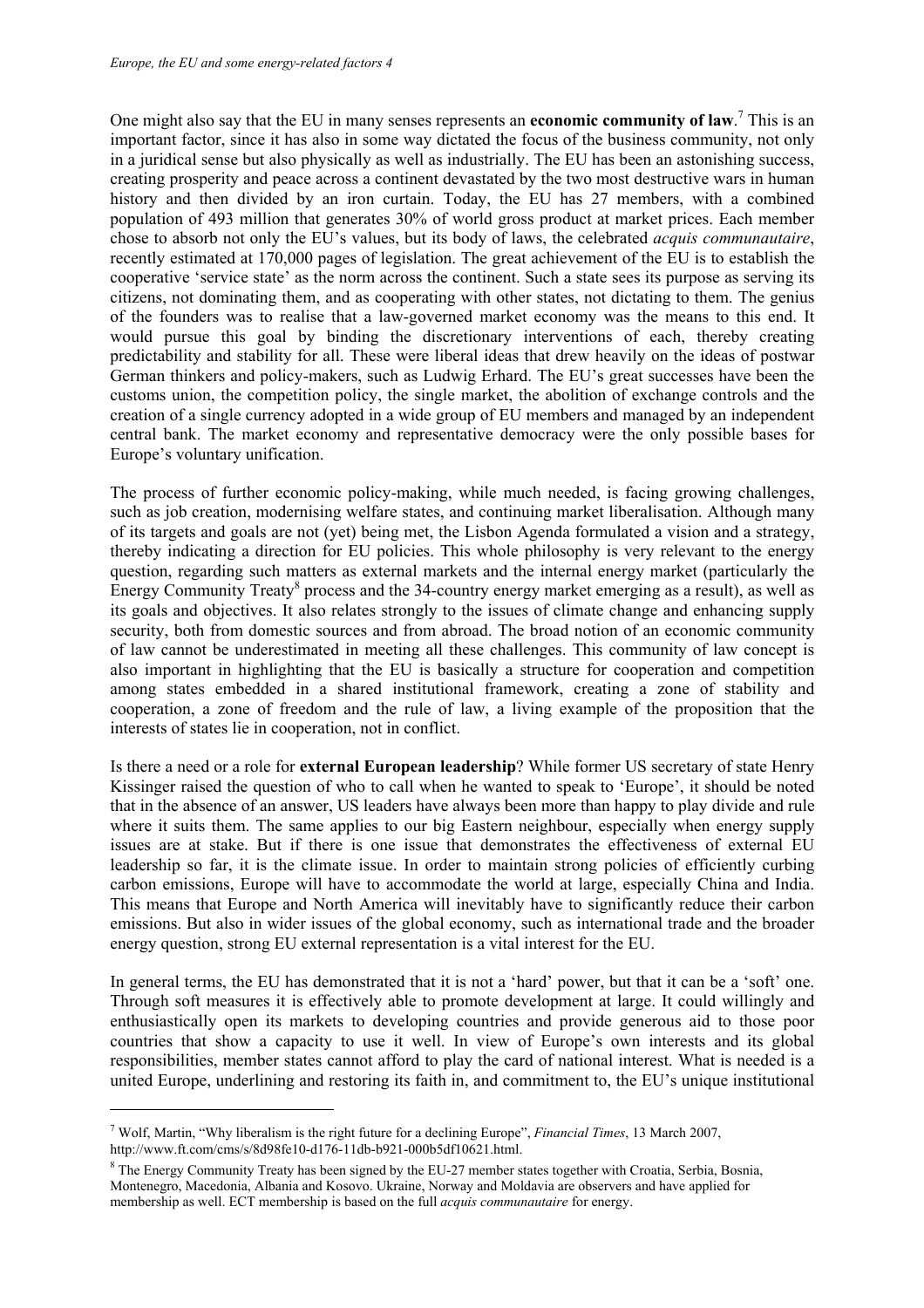One might also say that the EU in many senses represents an **economic community of law**.<sup>7</sup> This is an important factor, since it has also in some way dictated the focus of the business community, not only in a juridical sense but also physically as well as industrially. The EU has been an astonishing success, creating prosperity and peace across a continent devastated by the two most destructive wars in human history and then divided by an iron curtain. Today, the EU has 27 members, with a combined population of 493 million that generates 30% of world gross product at market prices. Each member chose to absorb not only the EU's values, but its body of laws, the celebrated *acquis communautaire*, recently estimated at 170,000 pages of legislation. The great achievement of the EU is to establish the cooperative 'service state' as the norm across the continent. Such a state sees its purpose as serving its citizens, not dominating them, and as cooperating with other states, not dictating to them. The genius of the founders was to realise that a law-governed market economy was the means to this end. It would pursue this goal by binding the discretionary interventions of each, thereby creating predictability and stability for all. These were liberal ideas that drew heavily on the ideas of postwar German thinkers and policy-makers, such as Ludwig Erhard. The EU's great successes have been the customs union, the competition policy, the single market, the abolition of exchange controls and the creation of a single currency adopted in a wide group of EU members and managed by an independent central bank. The market economy and representative democracy were the only possible bases for Europe's voluntary unification.

The process of further economic policy-making, while much needed, is facing growing challenges, such as job creation, modernising welfare states, and continuing market liberalisation. Although many of its targets and goals are not (yet) being met, the Lisbon Agenda formulated a vision and a strategy, thereby indicating a direction for EU policies. This whole philosophy is very relevant to the energy question, regarding such matters as external markets and the internal energy market (particularly the Energy Community Treaty<sup>8</sup> process and the 34-country energy market emerging as a result), as well as its goals and objectives. It also relates strongly to the issues of climate change and enhancing supply security, both from domestic sources and from abroad. The broad notion of an economic community of law cannot be underestimated in meeting all these challenges. This community of law concept is also important in highlighting that the EU is basically a structure for cooperation and competition among states embedded in a shared institutional framework, creating a zone of stability and cooperation, a zone of freedom and the rule of law, a living example of the proposition that the interests of states lie in cooperation, not in conflict.

Is there a need or a role for **external European leadership**? While former US secretary of state Henry Kissinger raised the question of who to call when he wanted to speak to 'Europe', it should be noted that in the absence of an answer, US leaders have always been more than happy to play divide and rule where it suits them. The same applies to our big Eastern neighbour, especially when energy supply issues are at stake. But if there is one issue that demonstrates the effectiveness of external EU leadership so far, it is the climate issue. In order to maintain strong policies of efficiently curbing carbon emissions, Europe will have to accommodate the world at large, especially China and India. This means that Europe and North America will inevitably have to significantly reduce their carbon emissions. But also in wider issues of the global economy, such as international trade and the broader energy question, strong EU external representation is a vital interest for the EU.

In general terms, the EU has demonstrated that it is not a 'hard' power, but that it can be a 'soft' one. Through soft measures it is effectively able to promote development at large. It could willingly and enthusiastically open its markets to developing countries and provide generous aid to those poor countries that show a capacity to use it well. In view of Europe's own interests and its global responsibilities, member states cannot afford to play the card of national interest. What is needed is a united Europe, underlining and restoring its faith in, and commitment to, the EU's unique institutional

<sup>7</sup> Wolf, Martin, "Why liberalism is the right future for a declining Europe", *Financial Times*, 13 March 2007, http://www.ft.com/cms/s/8d98fe10-d176-11db-b921-000b5df10621.html.

<sup>&</sup>lt;sup>8</sup> The Energy Community Treaty has been signed by the EU-27 member states together with Croatia, Serbia, Bosnia, Montenegro, Macedonia, Albania and Kosovo. Ukraine, Norway and Moldavia are observers and have applied for membership as well. ECT membership is based on the full *acquis communautaire* for energy.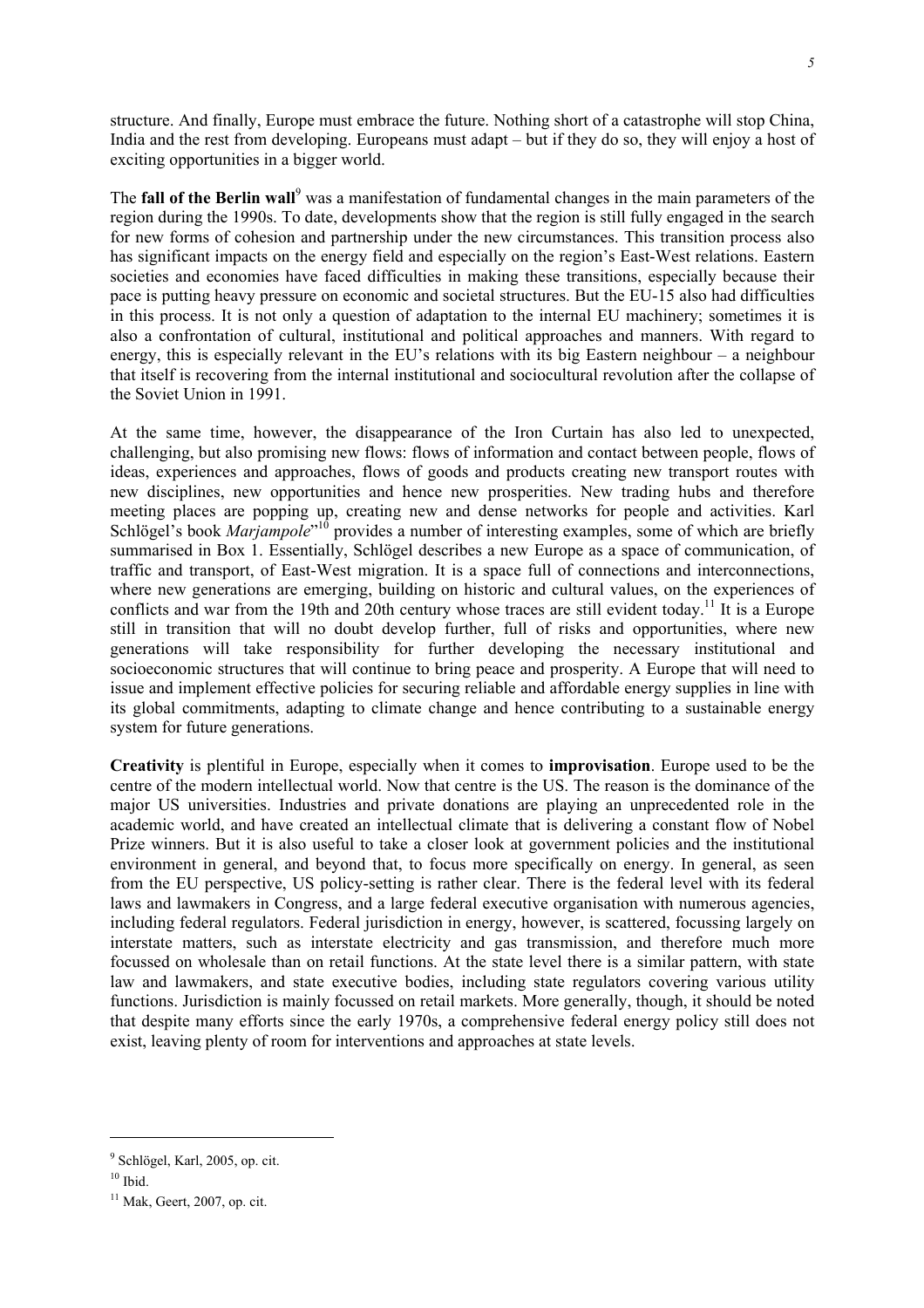structure. And finally, Europe must embrace the future. Nothing short of a catastrophe will stop China, India and the rest from developing. Europeans must adapt – but if they do so, they will enjoy a host of exciting opportunities in a bigger world.

The **fall of the Berlin wall**<sup>9</sup> was a manifestation of fundamental changes in the main parameters of the region during the 1990s. To date, developments show that the region is still fully engaged in the search for new forms of cohesion and partnership under the new circumstances. This transition process also has significant impacts on the energy field and especially on the region's East-West relations. Eastern societies and economies have faced difficulties in making these transitions, especially because their pace is putting heavy pressure on economic and societal structures. But the EU-15 also had difficulties in this process. It is not only a question of adaptation to the internal EU machinery; sometimes it is also a confrontation of cultural, institutional and political approaches and manners. With regard to energy, this is especially relevant in the EU's relations with its big Eastern neighbour – a neighbour that itself is recovering from the internal institutional and sociocultural revolution after the collapse of the Soviet Union in 1991.

At the same time, however, the disappearance of the Iron Curtain has also led to unexpected, challenging, but also promising new flows: flows of information and contact between people, flows of ideas, experiences and approaches, flows of goods and products creating new transport routes with new disciplines, new opportunities and hence new prosperities. New trading hubs and therefore meeting places are popping up, creating new and dense networks for people and activities. Karl Schlögel's book *Marjampole*"<sup>10</sup> provides a number of interesting examples, some of which are briefly summarised in Box 1. Essentially, Schlögel describes a new Europe as a space of communication, of traffic and transport, of East-West migration. It is a space full of connections and interconnections, where new generations are emerging, building on historic and cultural values, on the experiences of conflicts and war from the 19th and 20th century whose traces are still evident today.<sup>11</sup> It is a Europe still in transition that will no doubt develop further, full of risks and opportunities, where new generations will take responsibility for further developing the necessary institutional and socioeconomic structures that will continue to bring peace and prosperity. A Europe that will need to issue and implement effective policies for securing reliable and affordable energy supplies in line with its global commitments, adapting to climate change and hence contributing to a sustainable energy system for future generations.

**Creativity** is plentiful in Europe, especially when it comes to **improvisation**. Europe used to be the centre of the modern intellectual world. Now that centre is the US. The reason is the dominance of the major US universities. Industries and private donations are playing an unprecedented role in the academic world, and have created an intellectual climate that is delivering a constant flow of Nobel Prize winners. But it is also useful to take a closer look at government policies and the institutional environment in general, and beyond that, to focus more specifically on energy. In general, as seen from the EU perspective, US policy-setting is rather clear. There is the federal level with its federal laws and lawmakers in Congress, and a large federal executive organisation with numerous agencies, including federal regulators. Federal jurisdiction in energy, however, is scattered, focussing largely on interstate matters, such as interstate electricity and gas transmission, and therefore much more focussed on wholesale than on retail functions. At the state level there is a similar pattern, with state law and lawmakers, and state executive bodies, including state regulators covering various utility functions. Jurisdiction is mainly focussed on retail markets. More generally, though, it should be noted that despite many efforts since the early 1970s, a comprehensive federal energy policy still does not exist, leaving plenty of room for interventions and approaches at state levels.

<sup>&</sup>lt;sup>9</sup> Schlögel, Karl, 2005, op. cit.

 $10$  Ibid.

 $11$  Mak, Geert, 2007, op. cit.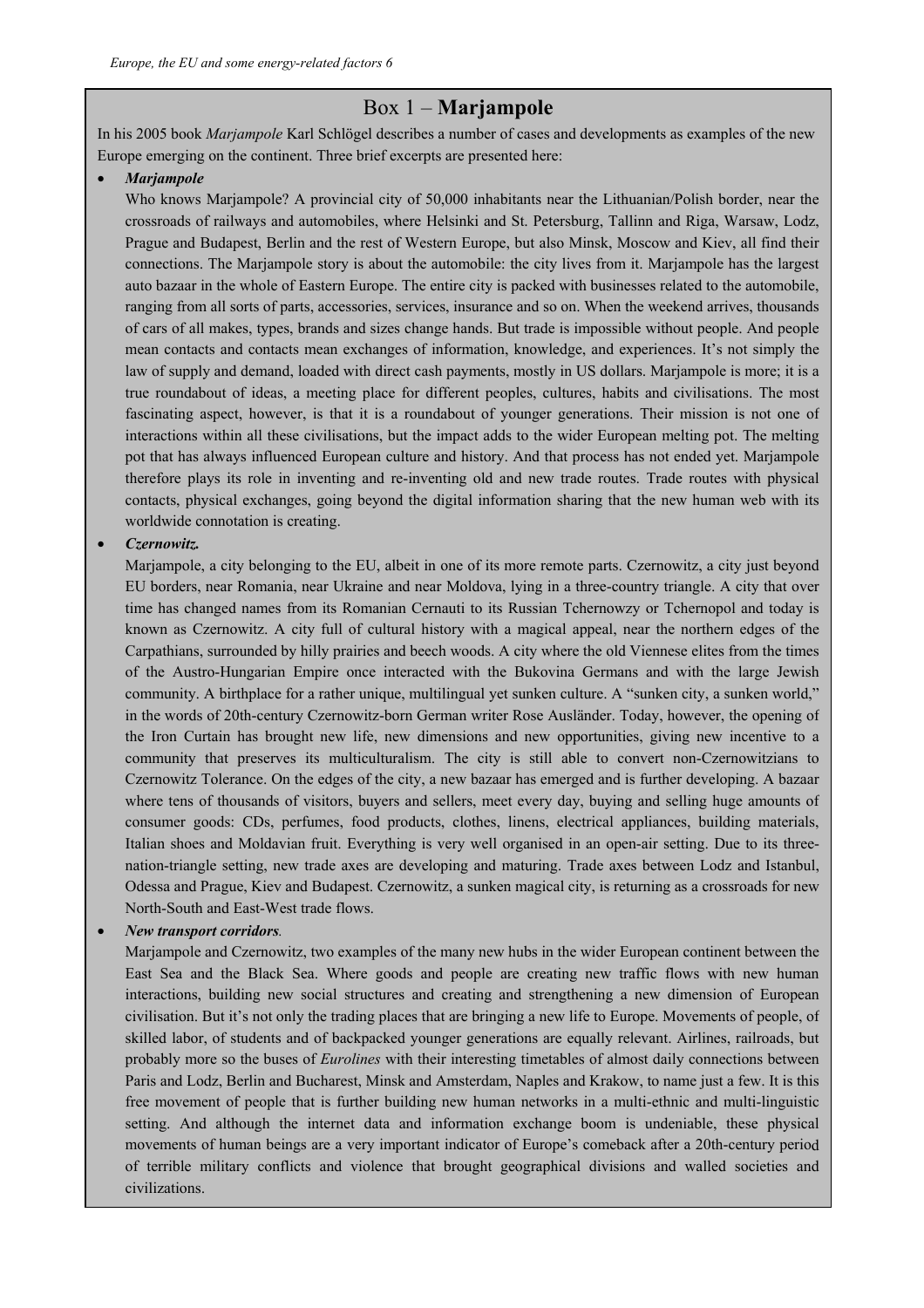#### Box 1 – **Marjampole**

In his 2005 book *Marjampole* Karl Schlögel describes a number of cases and developments as examples of the new Europe emerging on the continent. Three brief excerpts are presented here:

#### • *Marjampole*

Who knows Marjampole? A provincial city of 50,000 inhabitants near the Lithuanian/Polish border, near the crossroads of railways and automobiles, where Helsinki and St. Petersburg, Tallinn and Riga, Warsaw, Lodz, Prague and Budapest, Berlin and the rest of Western Europe, but also Minsk, Moscow and Kiev, all find their connections. The Marjampole story is about the automobile: the city lives from it. Marjampole has the largest auto bazaar in the whole of Eastern Europe. The entire city is packed with businesses related to the automobile, ranging from all sorts of parts, accessories, services, insurance and so on. When the weekend arrives, thousands of cars of all makes, types, brands and sizes change hands. But trade is impossible without people. And people mean contacts and contacts mean exchanges of information, knowledge, and experiences. It's not simply the law of supply and demand, loaded with direct cash payments, mostly in US dollars. Marjampole is more; it is a true roundabout of ideas, a meeting place for different peoples, cultures, habits and civilisations. The most fascinating aspect, however, is that it is a roundabout of younger generations. Their mission is not one of interactions within all these civilisations, but the impact adds to the wider European melting pot. The melting pot that has always influenced European culture and history. And that process has not ended yet. Marjampole therefore plays its role in inventing and re-inventing old and new trade routes. Trade routes with physical contacts, physical exchanges, going beyond the digital information sharing that the new human web with its worldwide connotation is creating.

#### • *Czernowitz.*

Marjampole, a city belonging to the EU, albeit in one of its more remote parts. Czernowitz, a city just beyond EU borders, near Romania, near Ukraine and near Moldova, lying in a three-country triangle. A city that over time has changed names from its Romanian Cernauti to its Russian Tchernowzy or Tchernopol and today is known as Czernowitz. A city full of cultural history with a magical appeal, near the northern edges of the Carpathians, surrounded by hilly prairies and beech woods. A city where the old Viennese elites from the times of the Austro-Hungarian Empire once interacted with the Bukovina Germans and with the large Jewish community. A birthplace for a rather unique, multilingual yet sunken culture. A "sunken city, a sunken world," in the words of 20th-century Czernowitz-born German writer Rose Ausländer. Today, however, the opening of the Iron Curtain has brought new life, new dimensions and new opportunities, giving new incentive to a community that preserves its multiculturalism. The city is still able to convert non-Czernowitzians to Czernowitz Tolerance. On the edges of the city, a new bazaar has emerged and is further developing. A bazaar where tens of thousands of visitors, buyers and sellers, meet every day, buying and selling huge amounts of consumer goods: CDs, perfumes, food products, clothes, linens, electrical appliances, building materials, Italian shoes and Moldavian fruit. Everything is very well organised in an open-air setting. Due to its threenation-triangle setting, new trade axes are developing and maturing. Trade axes between Lodz and Istanbul, Odessa and Prague, Kiev and Budapest. Czernowitz, a sunken magical city, is returning as a crossroads for new North-South and East-West trade flows.

#### • *New transport corridors.*

Marjampole and Czernowitz, two examples of the many new hubs in the wider European continent between the East Sea and the Black Sea. Where goods and people are creating new traffic flows with new human interactions, building new social structures and creating and strengthening a new dimension of European civilisation. But it's not only the trading places that are bringing a new life to Europe. Movements of people, of skilled labor, of students and of backpacked younger generations are equally relevant. Airlines, railroads, but probably more so the buses of *Eurolines* with their interesting timetables of almost daily connections between Paris and Lodz, Berlin and Bucharest, Minsk and Amsterdam, Naples and Krakow, to name just a few. It is this free movement of people that is further building new human networks in a multi-ethnic and multi-linguistic setting. And although the internet data and information exchange boom is undeniable, these physical movements of human beings are a very important indicator of Europe's comeback after a 20th-century period of terrible military conflicts and violence that brought geographical divisions and walled societies and civilizations.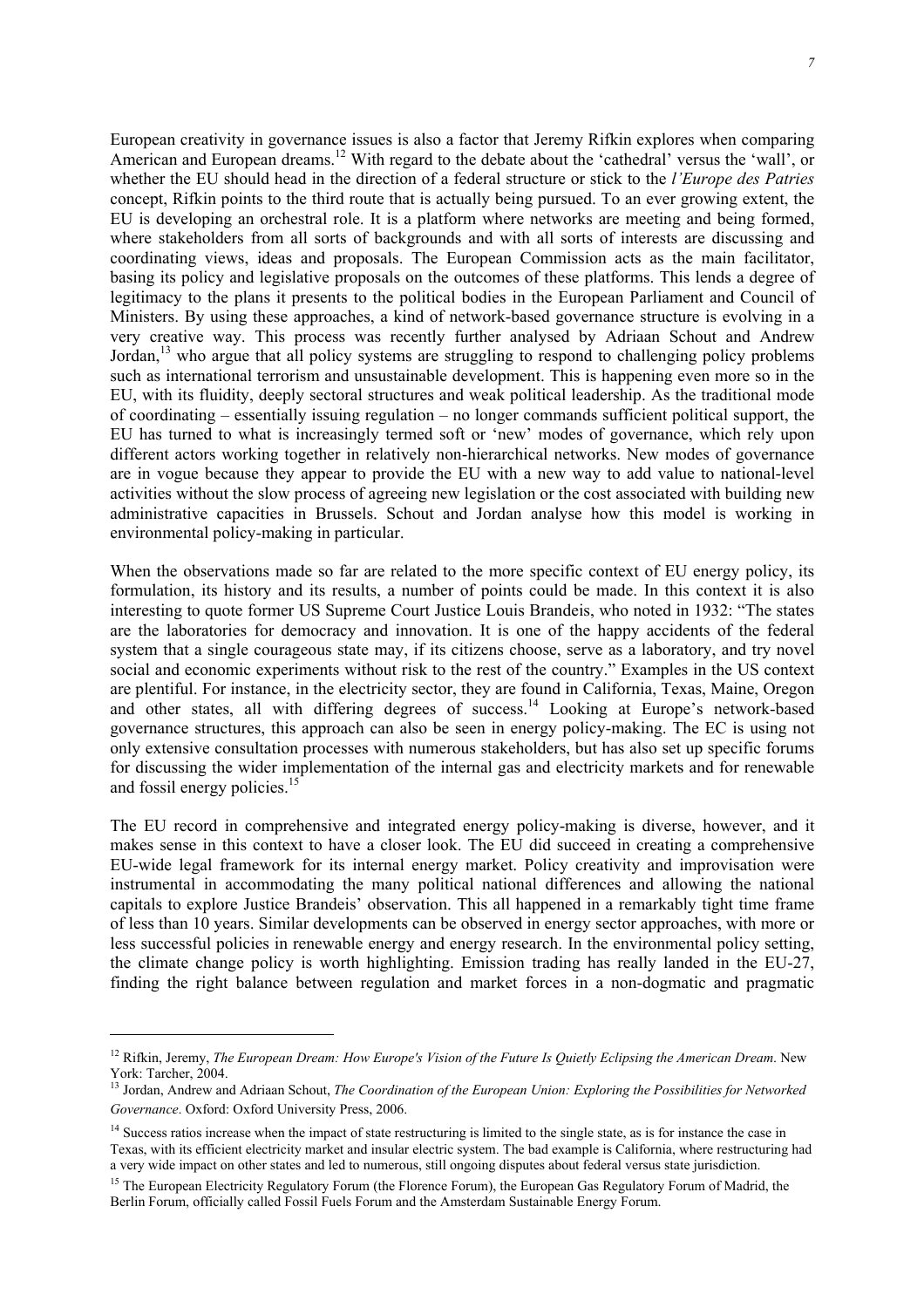European creativity in governance issues is also a factor that Jeremy Rifkin explores when comparing American and European dreams.<sup>12</sup> With regard to the debate about the 'cathedral' versus the 'wall', or whether the EU should head in the direction of a federal structure or stick to the *l'Europe des Patries* concept, Rifkin points to the third route that is actually being pursued. To an ever growing extent, the EU is developing an orchestral role. It is a platform where networks are meeting and being formed, where stakeholders from all sorts of backgrounds and with all sorts of interests are discussing and coordinating views, ideas and proposals. The European Commission acts as the main facilitator, basing its policy and legislative proposals on the outcomes of these platforms. This lends a degree of legitimacy to the plans it presents to the political bodies in the European Parliament and Council of Ministers. By using these approaches, a kind of network-based governance structure is evolving in a very creative way. This process was recently further analysed by Adriaan Schout and Andrew Jordan,<sup>13</sup> who argue that all policy systems are struggling to respond to challenging policy problems such as international terrorism and unsustainable development. This is happening even more so in the EU, with its fluidity, deeply sectoral structures and weak political leadership. As the traditional mode of coordinating – essentially issuing regulation – no longer commands sufficient political support, the EU has turned to what is increasingly termed soft or 'new' modes of governance, which rely upon different actors working together in relatively non-hierarchical networks. New modes of governance are in vogue because they appear to provide the EU with a new way to add value to national-level activities without the slow process of agreeing new legislation or the cost associated with building new administrative capacities in Brussels. Schout and Jordan analyse how this model is working in environmental policy-making in particular.

When the observations made so far are related to the more specific context of EU energy policy, its formulation, its history and its results, a number of points could be made. In this context it is also interesting to quote former US Supreme Court Justice Louis Brandeis, who noted in 1932: "The states are the laboratories for democracy and innovation. It is one of the happy accidents of the federal system that a single courageous state may, if its citizens choose, serve as a laboratory, and try novel social and economic experiments without risk to the rest of the country." Examples in the US context are plentiful. For instance, in the electricity sector, they are found in California, Texas, Maine, Oregon and other states, all with differing degrees of success.<sup>14</sup> Looking at Europe's network-based governance structures, this approach can also be seen in energy policy-making. The EC is using not only extensive consultation processes with numerous stakeholders, but has also set up specific forums for discussing the wider implementation of the internal gas and electricity markets and for renewable and fossil energy policies.<sup>15</sup>

The EU record in comprehensive and integrated energy policy-making is diverse, however, and it makes sense in this context to have a closer look. The EU did succeed in creating a comprehensive EU-wide legal framework for its internal energy market. Policy creativity and improvisation were instrumental in accommodating the many political national differences and allowing the national capitals to explore Justice Brandeis' observation. This all happened in a remarkably tight time frame of less than 10 years. Similar developments can be observed in energy sector approaches, with more or less successful policies in renewable energy and energy research. In the environmental policy setting, the climate change policy is worth highlighting. Emission trading has really landed in the EU-27, finding the right balance between regulation and market forces in a non-dogmatic and pragmatic

<sup>&</sup>lt;sup>12</sup> Rifkin, Jeremy, *The European Dream: How Europe's Vision of the Future Is Quietly Eclipsing the American Dream.* New York: Tarcher, 2004.

<sup>13</sup> Jordan, Andrew and Adriaan Schout, *The Coordination of the European Union: Exploring the Possibilities for Networked Governance*. Oxford: Oxford University Press, 2006.

<sup>&</sup>lt;sup>14</sup> Success ratios increase when the impact of state restructuring is limited to the single state, as is for instance the case in Texas, with its efficient electricity market and insular electric system. The bad example is California, where restructuring had a very wide impact on other states and led to numerous, still ongoing disputes about federal versus state jurisdiction.

<sup>&</sup>lt;sup>15</sup> The European Electricity Regulatory Forum (the Florence Forum), the European Gas Regulatory Forum of Madrid, the Berlin Forum, officially called Fossil Fuels Forum and the Amsterdam Sustainable Energy Forum.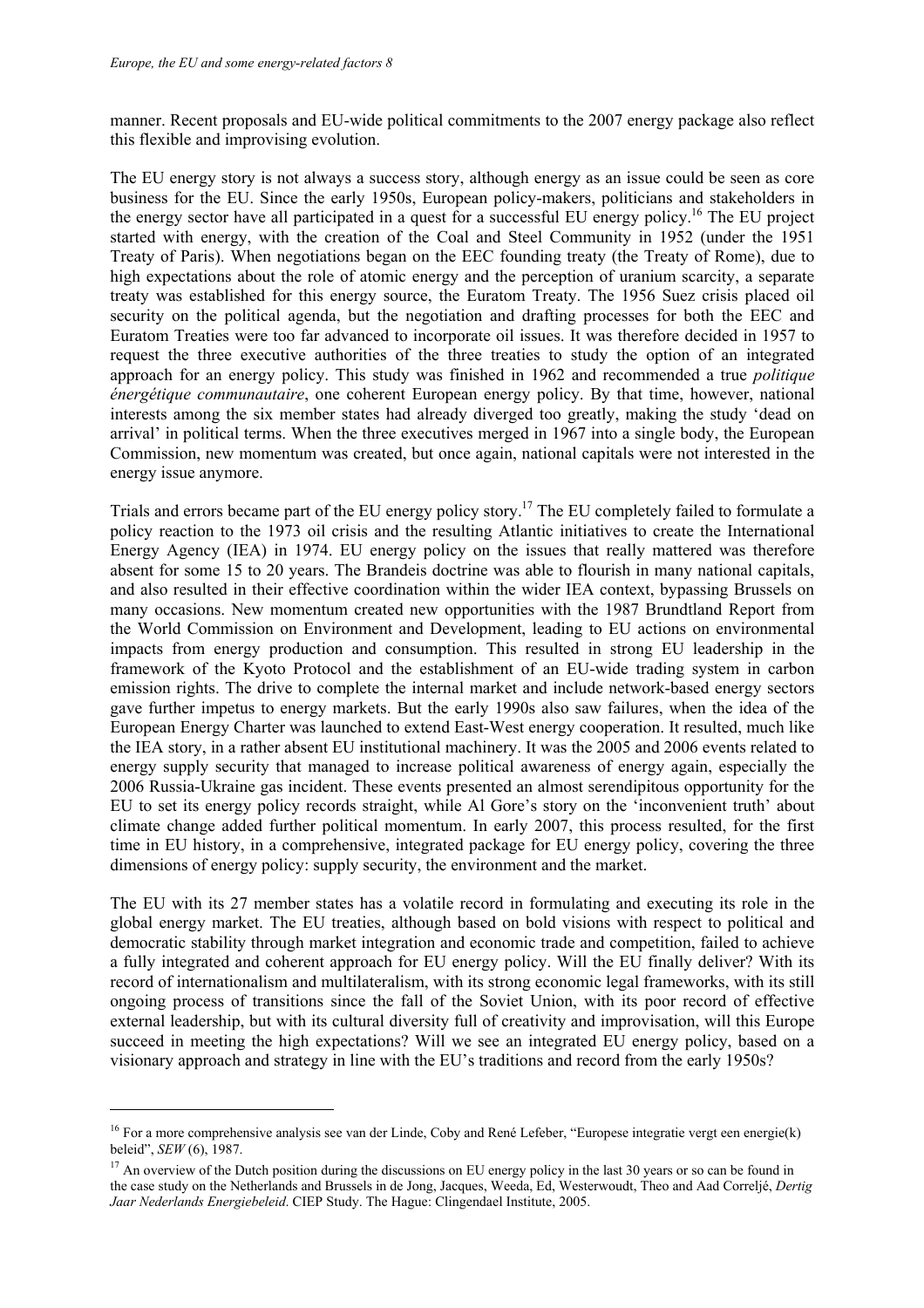ł

manner. Recent proposals and EU-wide political commitments to the 2007 energy package also reflect this flexible and improvising evolution.

The EU energy story is not always a success story, although energy as an issue could be seen as core business for the EU. Since the early 1950s, European policy-makers, politicians and stakeholders in the energy sector have all participated in a quest for a successful EU energy policy.16 The EU project started with energy, with the creation of the Coal and Steel Community in 1952 (under the 1951 Treaty of Paris). When negotiations began on the EEC founding treaty (the Treaty of Rome), due to high expectations about the role of atomic energy and the perception of uranium scarcity, a separate treaty was established for this energy source, the Euratom Treaty. The 1956 Suez crisis placed oil security on the political agenda, but the negotiation and drafting processes for both the EEC and Euratom Treaties were too far advanced to incorporate oil issues. It was therefore decided in 1957 to request the three executive authorities of the three treaties to study the option of an integrated approach for an energy policy. This study was finished in 1962 and recommended a true *politique énergétique communautaire*, one coherent European energy policy. By that time, however, national interests among the six member states had already diverged too greatly, making the study 'dead on arrival' in political terms. When the three executives merged in 1967 into a single body, the European Commission, new momentum was created, but once again, national capitals were not interested in the energy issue anymore.

Trials and errors became part of the EU energy policy story.17 The EU completely failed to formulate a policy reaction to the 1973 oil crisis and the resulting Atlantic initiatives to create the International Energy Agency (IEA) in 1974. EU energy policy on the issues that really mattered was therefore absent for some 15 to 20 years. The Brandeis doctrine was able to flourish in many national capitals, and also resulted in their effective coordination within the wider IEA context, bypassing Brussels on many occasions. New momentum created new opportunities with the 1987 Brundtland Report from the World Commission on Environment and Development, leading to EU actions on environmental impacts from energy production and consumption. This resulted in strong EU leadership in the framework of the Kyoto Protocol and the establishment of an EU-wide trading system in carbon emission rights. The drive to complete the internal market and include network-based energy sectors gave further impetus to energy markets. But the early 1990s also saw failures, when the idea of the European Energy Charter was launched to extend East-West energy cooperation. It resulted, much like the IEA story, in a rather absent EU institutional machinery. It was the 2005 and 2006 events related to energy supply security that managed to increase political awareness of energy again, especially the 2006 Russia-Ukraine gas incident. These events presented an almost serendipitous opportunity for the EU to set its energy policy records straight, while Al Gore's story on the 'inconvenient truth' about climate change added further political momentum. In early 2007, this process resulted, for the first time in EU history, in a comprehensive, integrated package for EU energy policy, covering the three dimensions of energy policy: supply security, the environment and the market.

The EU with its 27 member states has a volatile record in formulating and executing its role in the global energy market. The EU treaties, although based on bold visions with respect to political and democratic stability through market integration and economic trade and competition, failed to achieve a fully integrated and coherent approach for EU energy policy. Will the EU finally deliver? With its record of internationalism and multilateralism, with its strong economic legal frameworks, with its still ongoing process of transitions since the fall of the Soviet Union, with its poor record of effective external leadership, but with its cultural diversity full of creativity and improvisation, will this Europe succeed in meeting the high expectations? Will we see an integrated EU energy policy, based on a visionary approach and strategy in line with the EU's traditions and record from the early 1950s?

 $16$  For a more comprehensive analysis see van der Linde, Coby and René Lefeber, "Europese integratie vergt een energie(k) beleid",  $SEW(6)$ , 1987.

<sup>&</sup>lt;sup>17</sup> An overview of the Dutch position during the discussions on EU energy policy in the last 30 years or so can be found in the case study on the Netherlands and Brussels in de Jong, Jacques, Weeda, Ed, Westerwoudt, Theo and Aad Correljé, *Dertig Jaar Nederlands Energiebeleid*. CIEP Study. The Hague: Clingendael Institute, 2005.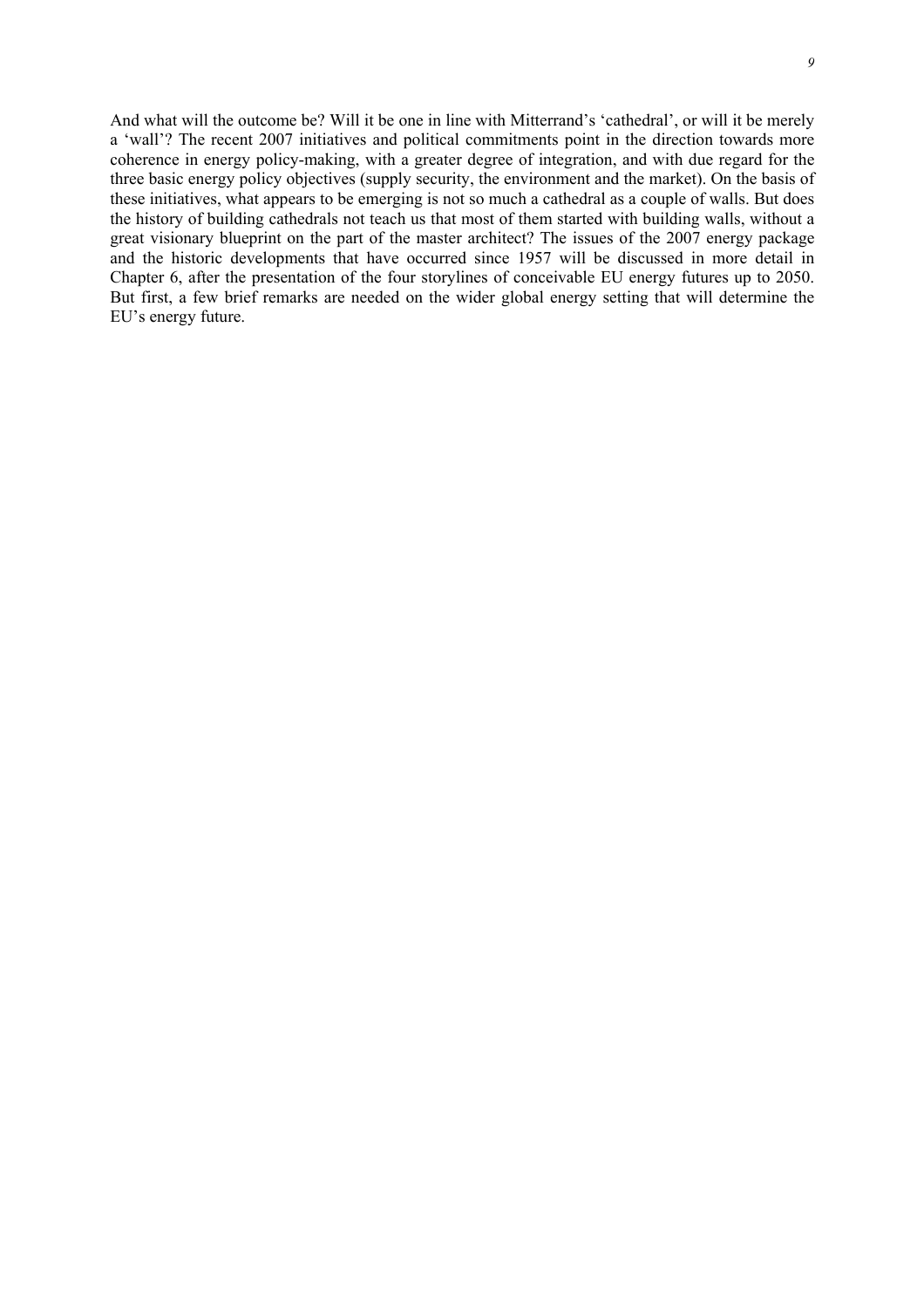And what will the outcome be? Will it be one in line with Mitterrand's 'cathedral', or will it be merely a 'wall'? The recent 2007 initiatives and political commitments point in the direction towards more coherence in energy policy-making, with a greater degree of integration, and with due regard for the three basic energy policy objectives (supply security, the environment and the market). On the basis of these initiatives, what appears to be emerging is not so much a cathedral as a couple of walls. But does the history of building cathedrals not teach us that most of them started with building walls, without a great visionary blueprint on the part of the master architect? The issues of the 2007 energy package and the historic developments that have occurred since 1957 will be discussed in more detail in Chapter 6, after the presentation of the four storylines of conceivable EU energy futures up to 2050. But first, a few brief remarks are needed on the wider global energy setting that will determine the EU's energy future.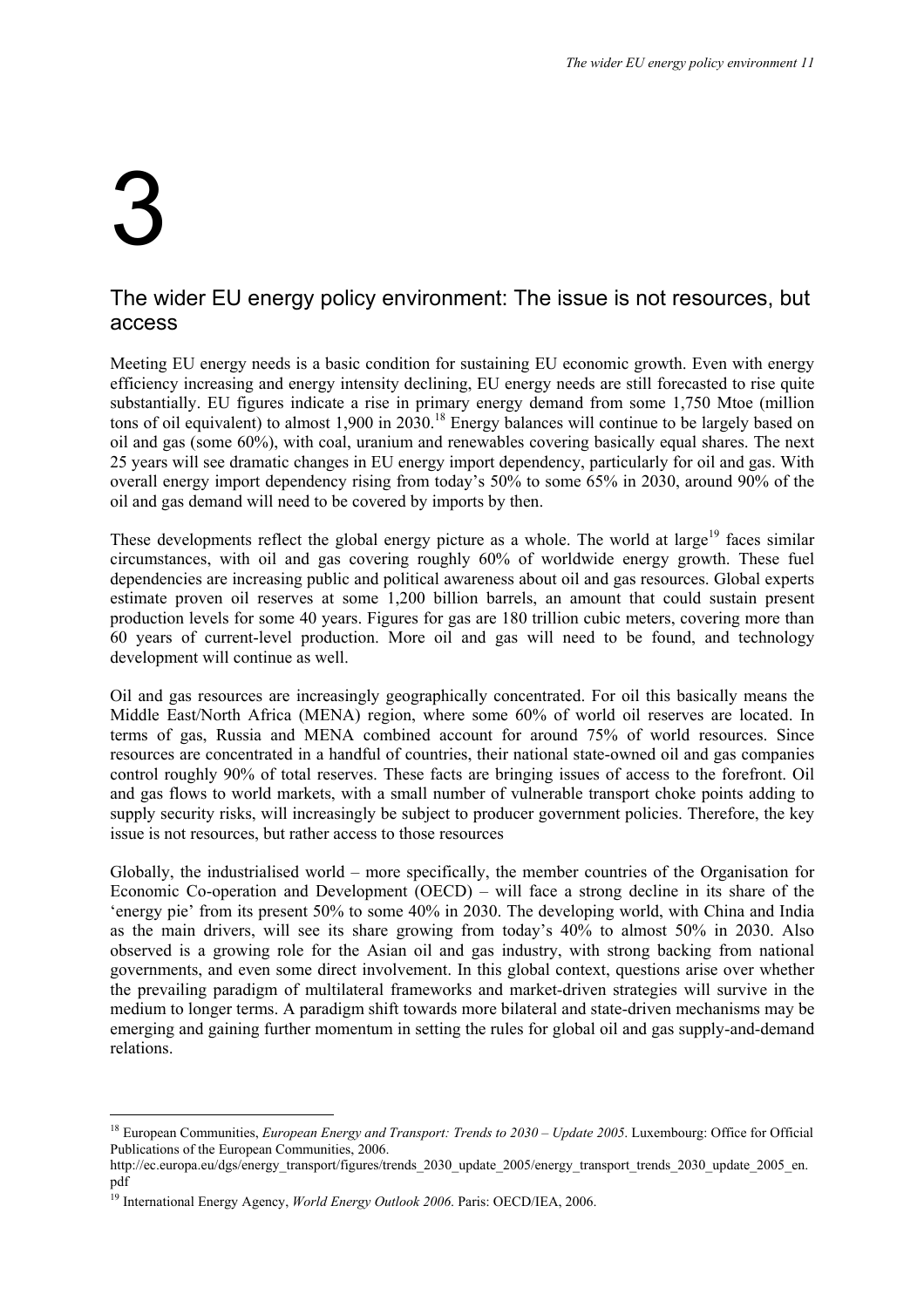# 3

ł

#### The wider EU energy policy environment: The issue is not resources, but access

Meeting EU energy needs is a basic condition for sustaining EU economic growth. Even with energy efficiency increasing and energy intensity declining, EU energy needs are still forecasted to rise quite substantially. EU figures indicate a rise in primary energy demand from some 1,750 Mtoe (million tons of oil equivalent) to almost 1,900 in  $20\overline{3}0$ .<sup>18</sup> Energy balances will continue to be largely based on oil and gas (some 60%), with coal, uranium and renewables covering basically equal shares. The next 25 years will see dramatic changes in EU energy import dependency, particularly for oil and gas. With overall energy import dependency rising from today's 50% to some 65% in 2030, around 90% of the oil and gas demand will need to be covered by imports by then.

These developments reflect the global energy picture as a whole. The world at large<sup>19</sup> faces similar circumstances, with oil and gas covering roughly 60% of worldwide energy growth. These fuel dependencies are increasing public and political awareness about oil and gas resources. Global experts estimate proven oil reserves at some 1,200 billion barrels, an amount that could sustain present production levels for some 40 years. Figures for gas are 180 trillion cubic meters, covering more than 60 years of current-level production. More oil and gas will need to be found, and technology development will continue as well.

Oil and gas resources are increasingly geographically concentrated. For oil this basically means the Middle East/North Africa (MENA) region, where some 60% of world oil reserves are located. In terms of gas, Russia and MENA combined account for around 75% of world resources. Since resources are concentrated in a handful of countries, their national state-owned oil and gas companies control roughly 90% of total reserves. These facts are bringing issues of access to the forefront. Oil and gas flows to world markets, with a small number of vulnerable transport choke points adding to supply security risks, will increasingly be subject to producer government policies. Therefore, the key issue is not resources, but rather access to those resources

Globally, the industrialised world – more specifically, the member countries of the Organisation for Economic Co-operation and Development (OECD) – will face a strong decline in its share of the 'energy pie' from its present 50% to some 40% in 2030. The developing world, with China and India as the main drivers, will see its share growing from today's 40% to almost 50% in 2030. Also observed is a growing role for the Asian oil and gas industry, with strong backing from national governments, and even some direct involvement. In this global context, questions arise over whether the prevailing paradigm of multilateral frameworks and market-driven strategies will survive in the medium to longer terms. A paradigm shift towards more bilateral and state-driven mechanisms may be emerging and gaining further momentum in setting the rules for global oil and gas supply-and-demand relations.

<sup>&</sup>lt;sup>18</sup> European Communities, *European Energy and Transport: Trends to 2030 – Update 2005*. Luxembourg: Office for Official Publications of the European Communities, 2006.

http://ec.europa.eu/dgs/energy\_transport/figures/trends\_2030\_update\_2005/energy\_transport\_trends\_2030\_update\_2005\_en. pdf

<sup>19</sup> International Energy Agency, *World Energy Outlook 2006*. Paris: OECD/IEA, 2006.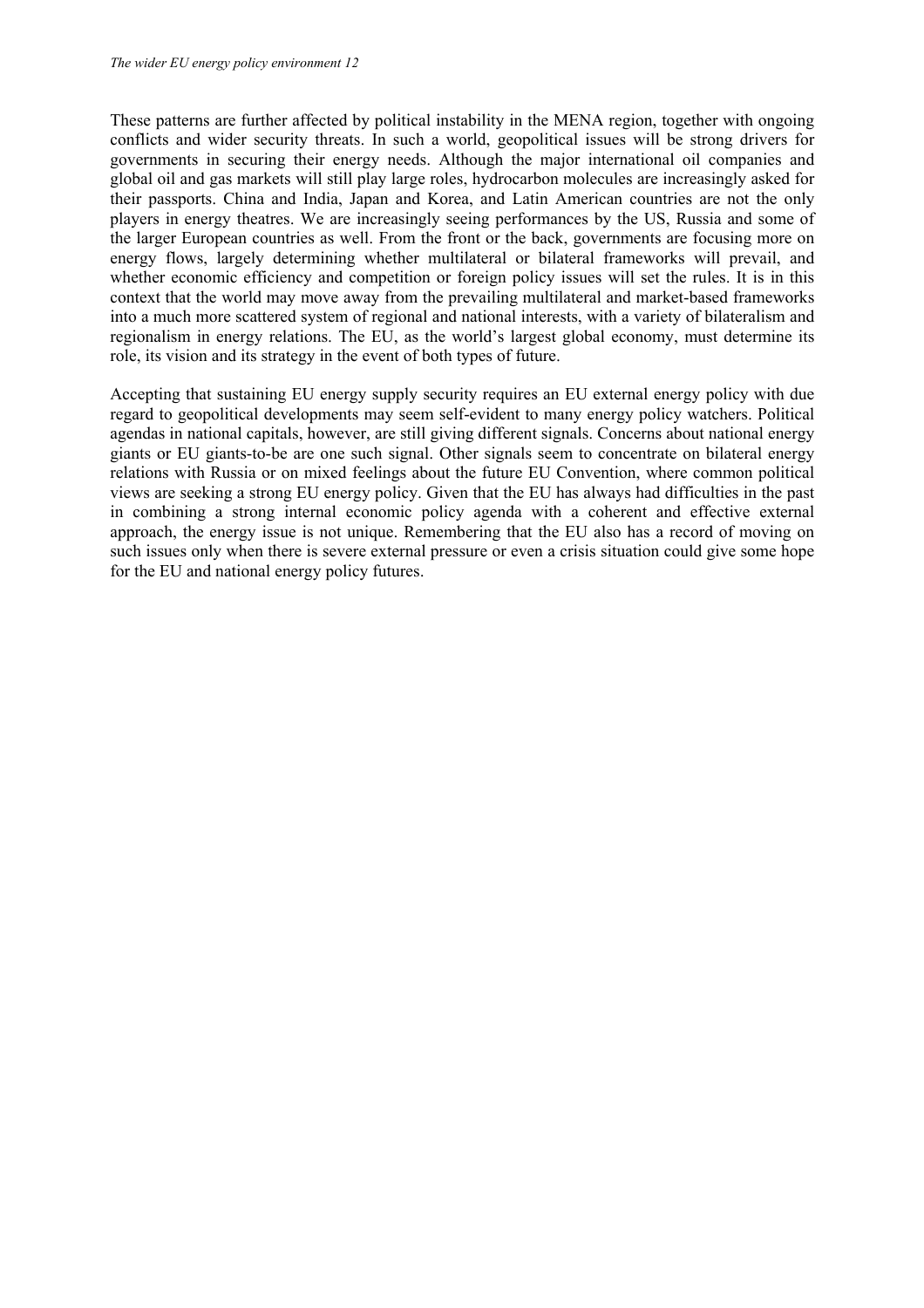These patterns are further affected by political instability in the MENA region, together with ongoing conflicts and wider security threats. In such a world, geopolitical issues will be strong drivers for governments in securing their energy needs. Although the major international oil companies and global oil and gas markets will still play large roles, hydrocarbon molecules are increasingly asked for their passports. China and India, Japan and Korea, and Latin American countries are not the only players in energy theatres. We are increasingly seeing performances by the US, Russia and some of the larger European countries as well. From the front or the back, governments are focusing more on energy flows, largely determining whether multilateral or bilateral frameworks will prevail, and whether economic efficiency and competition or foreign policy issues will set the rules. It is in this context that the world may move away from the prevailing multilateral and market-based frameworks into a much more scattered system of regional and national interests, with a variety of bilateralism and regionalism in energy relations. The EU, as the world's largest global economy, must determine its role, its vision and its strategy in the event of both types of future.

Accepting that sustaining EU energy supply security requires an EU external energy policy with due regard to geopolitical developments may seem self-evident to many energy policy watchers. Political agendas in national capitals, however, are still giving different signals. Concerns about national energy giants or EU giants-to-be are one such signal. Other signals seem to concentrate on bilateral energy relations with Russia or on mixed feelings about the future EU Convention, where common political views are seeking a strong EU energy policy. Given that the EU has always had difficulties in the past in combining a strong internal economic policy agenda with a coherent and effective external approach, the energy issue is not unique. Remembering that the EU also has a record of moving on such issues only when there is severe external pressure or even a crisis situation could give some hope for the EU and national energy policy futures.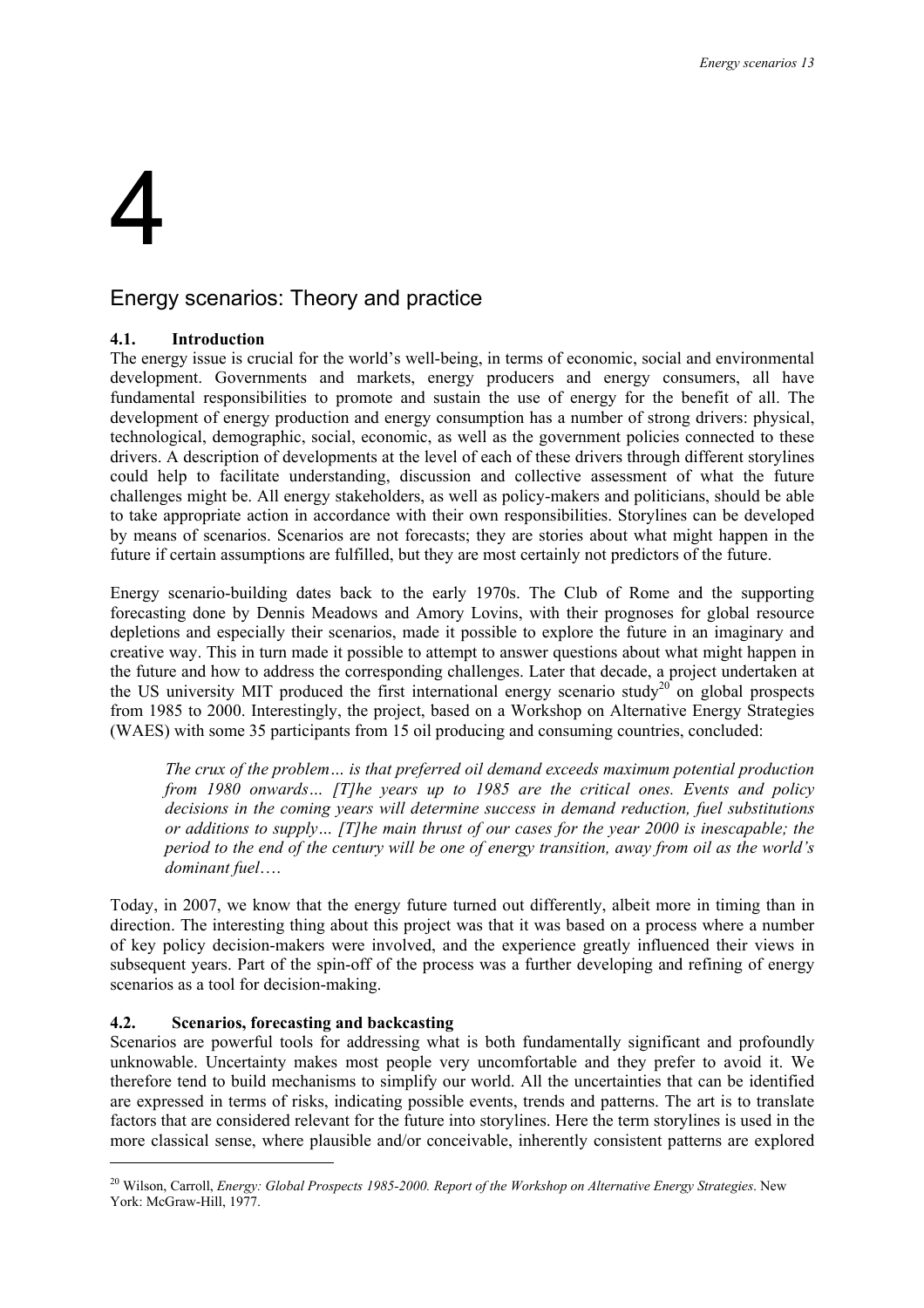# 4

#### Energy scenarios: Theory and practice

#### **4.1. Introduction**

The energy issue is crucial for the world's well-being, in terms of economic, social and environmental development. Governments and markets, energy producers and energy consumers, all have fundamental responsibilities to promote and sustain the use of energy for the benefit of all. The development of energy production and energy consumption has a number of strong drivers: physical, technological, demographic, social, economic, as well as the government policies connected to these drivers. A description of developments at the level of each of these drivers through different storylines could help to facilitate understanding, discussion and collective assessment of what the future challenges might be. All energy stakeholders, as well as policy-makers and politicians, should be able to take appropriate action in accordance with their own responsibilities. Storylines can be developed by means of scenarios. Scenarios are not forecasts; they are stories about what might happen in the future if certain assumptions are fulfilled, but they are most certainly not predictors of the future.

Energy scenario-building dates back to the early 1970s. The Club of Rome and the supporting forecasting done by Dennis Meadows and Amory Lovins, with their prognoses for global resource depletions and especially their scenarios, made it possible to explore the future in an imaginary and creative way. This in turn made it possible to attempt to answer questions about what might happen in the future and how to address the corresponding challenges. Later that decade, a project undertaken at the US university MIT produced the first international energy scenario study<sup>20</sup> on global prospects from 1985 to 2000. Interestingly, the project, based on a Workshop on Alternative Energy Strategies (WAES) with some 35 participants from 15 oil producing and consuming countries, concluded:

*The crux of the problem… is that preferred oil demand exceeds maximum potential production from 1980 onwards… [T]he years up to 1985 are the critical ones. Events and policy decisions in the coming years will determine success in demand reduction, fuel substitutions or additions to supply… [T]he main thrust of our cases for the year 2000 is inescapable; the period to the end of the century will be one of energy transition, away from oil as the world's dominant fuel*….

Today, in 2007, we know that the energy future turned out differently, albeit more in timing than in direction. The interesting thing about this project was that it was based on a process where a number of key policy decision-makers were involved, and the experience greatly influenced their views in subsequent years. Part of the spin-off of the process was a further developing and refining of energy scenarios as a tool for decision-making.

#### **4.2. Scenarios, forecasting and backcasting**

ł

Scenarios are powerful tools for addressing what is both fundamentally significant and profoundly unknowable. Uncertainty makes most people very uncomfortable and they prefer to avoid it. We therefore tend to build mechanisms to simplify our world. All the uncertainties that can be identified are expressed in terms of risks, indicating possible events, trends and patterns. The art is to translate factors that are considered relevant for the future into storylines. Here the term storylines is used in the more classical sense, where plausible and/or conceivable, inherently consistent patterns are explored

<sup>20</sup> Wilson, Carroll, *Energy: Global Prospects 1985-2000. Report of the Workshop on Alternative Energy Strategies*. New York: McGraw-Hill, 1977.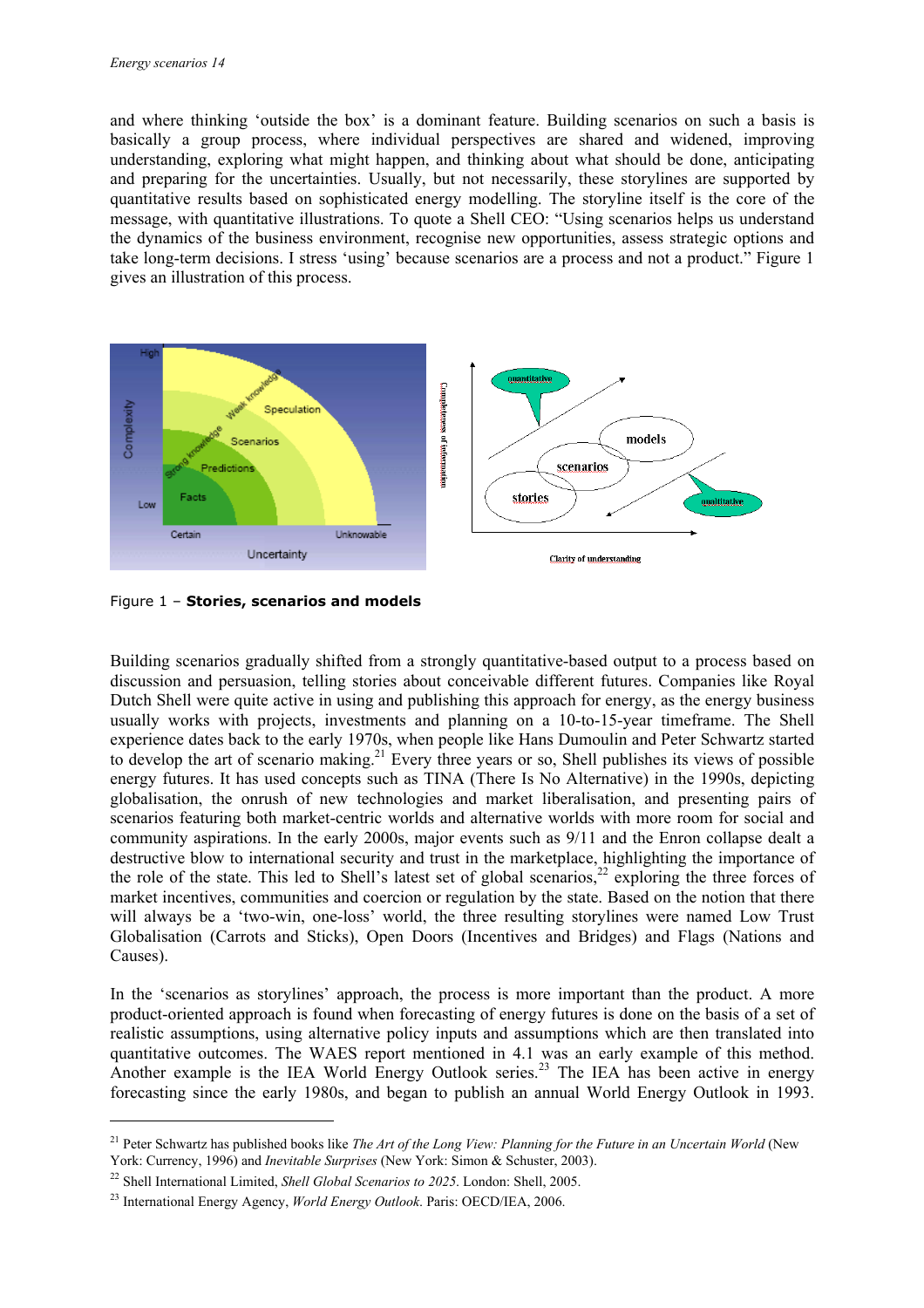and where thinking 'outside the box' is a dominant feature. Building scenarios on such a basis is basically a group process, where individual perspectives are shared and widened, improving understanding, exploring what might happen, and thinking about what should be done, anticipating and preparing for the uncertainties. Usually, but not necessarily, these storylines are supported by quantitative results based on sophisticated energy modelling. The storyline itself is the core of the message, with quantitative illustrations. To quote a Shell CEO: "Using scenarios helps us understand the dynamics of the business environment, recognise new opportunities, assess strategic options and take long-term decisions. I stress 'using' because scenarios are a process and not a product." Figure 1 gives an illustration of this process.



Figure 1 – **Stories, scenarios and models** 

Building scenarios gradually shifted from a strongly quantitative-based output to a process based on discussion and persuasion, telling stories about conceivable different futures. Companies like Royal Dutch Shell were quite active in using and publishing this approach for energy, as the energy business usually works with projects, investments and planning on a 10-to-15-year timeframe. The Shell experience dates back to the early 1970s, when people like Hans Dumoulin and Peter Schwartz started to develop the art of scenario making.<sup>21</sup> Every three years or so, Shell publishes its views of possible energy futures. It has used concepts such as TINA (There Is No Alternative) in the 1990s, depicting globalisation, the onrush of new technologies and market liberalisation, and presenting pairs of scenarios featuring both market-centric worlds and alternative worlds with more room for social and community aspirations. In the early 2000s, major events such as 9/11 and the Enron collapse dealt a destructive blow to international security and trust in the marketplace, highlighting the importance of the role of the state. This led to Shell's latest set of global scenarios,<sup>22</sup> exploring the three forces of market incentives, communities and coercion or regulation by the state. Based on the notion that there will always be a 'two-win, one-loss' world, the three resulting storylines were named Low Trust Globalisation (Carrots and Sticks), Open Doors (Incentives and Bridges) and Flags (Nations and Causes).

In the 'scenarios as storylines' approach, the process is more important than the product. A more product-oriented approach is found when forecasting of energy futures is done on the basis of a set of realistic assumptions, using alternative policy inputs and assumptions which are then translated into quantitative outcomes. The WAES report mentioned in 4.1 was an early example of this method. Another example is the IEA World Energy Outlook series.<sup>23</sup> The IEA has been active in energy forecasting since the early 1980s, and began to publish an annual World Energy Outlook in 1993.

<sup>&</sup>lt;sup>21</sup> Peter Schwartz has published books like *The Art of the Long View: Planning for the Future in an Uncertain World* (New York: Currency, 1996) and *Inevitable Surprises* (New York: Simon & Schuster, 2003).

<sup>22</sup> Shell International Limited, *Shell Global Scenarios to 2025*. London: Shell, 2005.

<sup>23</sup> International Energy Agency, *World Energy Outlook*. Paris: OECD/IEA, 2006.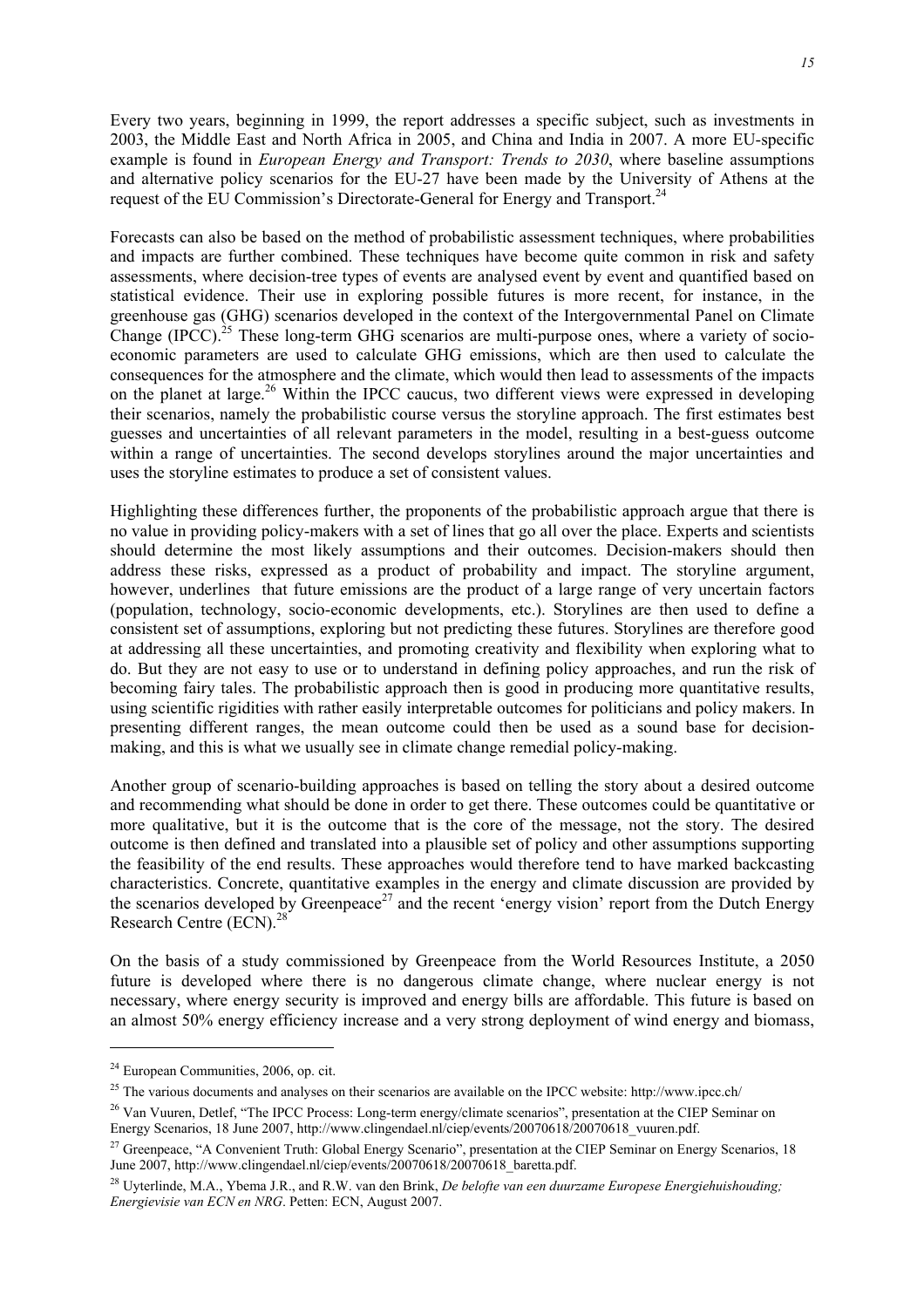Every two years, beginning in 1999, the report addresses a specific subject, such as investments in 2003, the Middle East and North Africa in 2005, and China and India in 2007. A more EU-specific example is found in *European Energy and Transport: Trends to 2030*, where baseline assumptions and alternative policy scenarios for the EU-27 have been made by the University of Athens at the request of the EU Commission's Directorate-General for Energy and Transport.24

Forecasts can also be based on the method of probabilistic assessment techniques, where probabilities and impacts are further combined. These techniques have become quite common in risk and safety assessments, where decision-tree types of events are analysed event by event and quantified based on statistical evidence. Their use in exploring possible futures is more recent, for instance, in the greenhouse gas (GHG) scenarios developed in the context of the Intergovernmental Panel on Climate Change (IPCC).<sup>25</sup> These long-term GHG scenarios are multi-purpose ones, where a variety of socioeconomic parameters are used to calculate GHG emissions, which are then used to calculate the consequences for the atmosphere and the climate, which would then lead to assessments of the impacts on the planet at large.<sup>26</sup> Within the IPCC caucus, two different views were expressed in developing their scenarios, namely the probabilistic course versus the storyline approach. The first estimates best guesses and uncertainties of all relevant parameters in the model, resulting in a best-guess outcome within a range of uncertainties. The second develops storylines around the major uncertainties and uses the storyline estimates to produce a set of consistent values.

Highlighting these differences further, the proponents of the probabilistic approach argue that there is no value in providing policy-makers with a set of lines that go all over the place. Experts and scientists should determine the most likely assumptions and their outcomes. Decision-makers should then address these risks, expressed as a product of probability and impact. The storyline argument, however, underlines that future emissions are the product of a large range of very uncertain factors (population, technology, socio-economic developments, etc.). Storylines are then used to define a consistent set of assumptions, exploring but not predicting these futures. Storylines are therefore good at addressing all these uncertainties, and promoting creativity and flexibility when exploring what to do. But they are not easy to use or to understand in defining policy approaches, and run the risk of becoming fairy tales. The probabilistic approach then is good in producing more quantitative results, using scientific rigidities with rather easily interpretable outcomes for politicians and policy makers. In presenting different ranges, the mean outcome could then be used as a sound base for decisionmaking, and this is what we usually see in climate change remedial policy-making.

Another group of scenario-building approaches is based on telling the story about a desired outcome and recommending what should be done in order to get there. These outcomes could be quantitative or more qualitative, but it is the outcome that is the core of the message, not the story. The desired outcome is then defined and translated into a plausible set of policy and other assumptions supporting the feasibility of the end results. These approaches would therefore tend to have marked backcasting characteristics. Concrete, quantitative examples in the energy and climate discussion are provided by the scenarios developed by Greenpeace<sup>27</sup> and the recent 'energy vision' report from the Dutch Energy Research Centre  $(ECN)^{28}$ 

On the basis of a study commissioned by Greenpeace from the World Resources Institute, a 2050 future is developed where there is no dangerous climate change, where nuclear energy is not necessary, where energy security is improved and energy bills are affordable. This future is based on an almost 50% energy efficiency increase and a very strong deployment of wind energy and biomass,

<sup>24</sup> European Communities, 2006, op. cit.

<sup>&</sup>lt;sup>25</sup> The various documents and analyses on their scenarios are available on the IPCC website: http://www.ipcc.ch/

<sup>&</sup>lt;sup>26</sup> Van Vuuren, Detlef, "The IPCC Process: Long-term energy/climate scenarios", presentation at the CIEP Seminar on Energy Scenarios, 18 June 2007, http://www.clingendael.nl/ciep/events/20070618/20070618\_vuuren.pdf.

<sup>&</sup>lt;sup>27</sup> Greenpeace, "A Convenient Truth: Global Energy Scenario", presentation at the CIEP Seminar on Energy Scenarios, 18 June 2007, http://www.clingendael.nl/ciep/events/20070618/20070618\_baretta.pdf.

<sup>28</sup> Uyterlinde, M.A., Ybema J.R., and R.W. van den Brink, *De belofte van een duurzame Europese Energiehuishouding; Energievisie van ECN en NRG*. Petten: ECN, August 2007.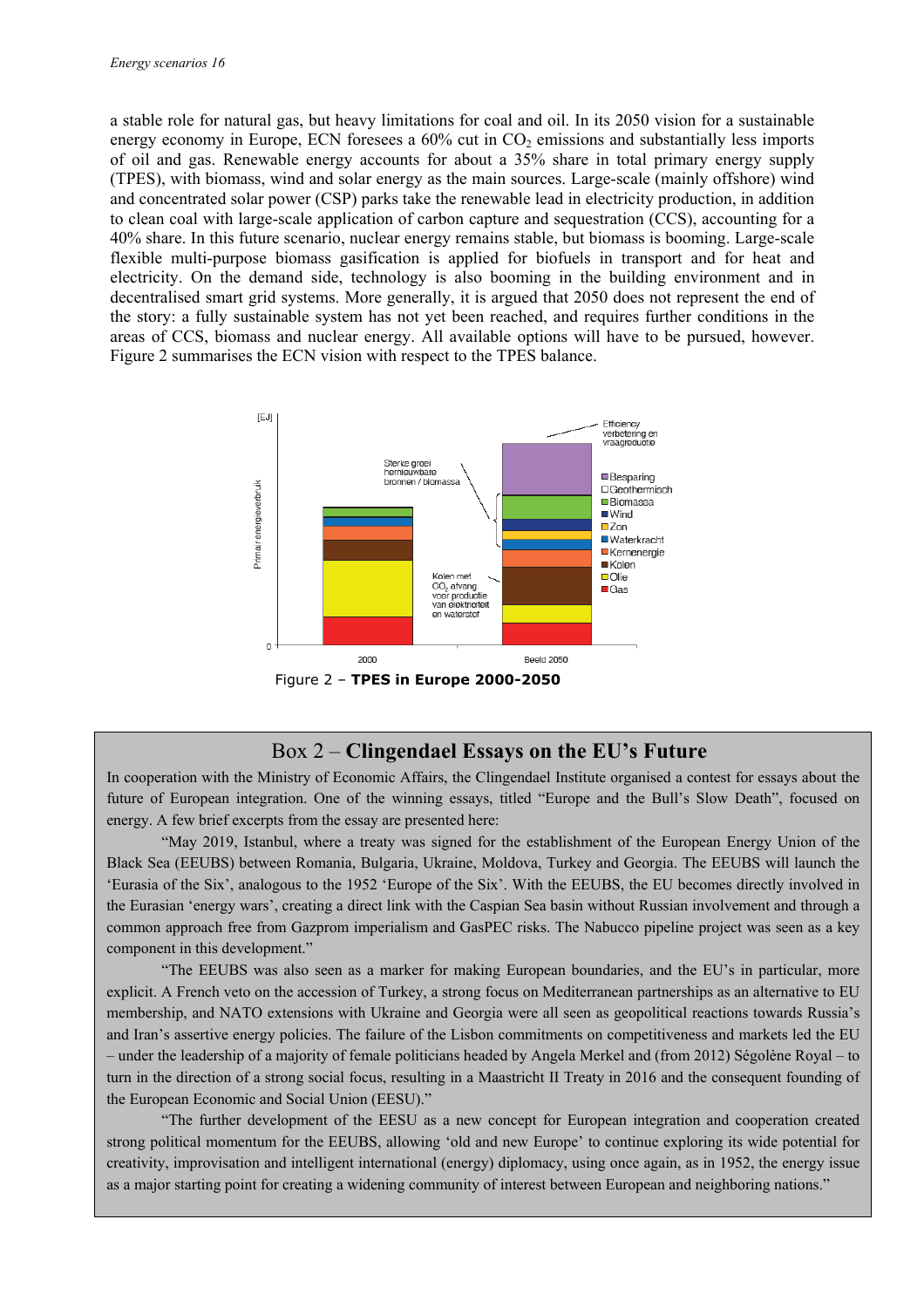a stable role for natural gas, but heavy limitations for coal and oil. In its 2050 vision for a sustainable energy economy in Europe, ECN foresees a  $60\%$  cut in  $CO<sub>2</sub>$  emissions and substantially less imports of oil and gas. Renewable energy accounts for about a 35% share in total primary energy supply (TPES), with biomass, wind and solar energy as the main sources. Large-scale (mainly offshore) wind and concentrated solar power (CSP) parks take the renewable lead in electricity production, in addition to clean coal with large-scale application of carbon capture and sequestration (CCS), accounting for a 40% share. In this future scenario, nuclear energy remains stable, but biomass is booming. Large-scale flexible multi-purpose biomass gasification is applied for biofuels in transport and for heat and electricity. On the demand side, technology is also booming in the building environment and in decentralised smart grid systems. More generally, it is argued that 2050 does not represent the end of the story: a fully sustainable system has not yet been reached, and requires further conditions in the areas of CCS, biomass and nuclear energy. All available options will have to be pursued, however. Figure 2 summarises the ECN vision with respect to the TPES balance.



#### Box 2 – **Clingendael Essays on the EU's Future**

In cooperation with the Ministry of Economic Affairs, the Clingendael Institute organised a contest for essays about the future of European integration. One of the winning essays, titled "Europe and the Bull's Slow Death", focused on energy. A few brief excerpts from the essay are presented here:

"May 2019, Istanbul, where a treaty was signed for the establishment of the European Energy Union of the Black Sea (EEUBS) between Romania, Bulgaria, Ukraine, Moldova, Turkey and Georgia. The EEUBS will launch the 'Eurasia of the Six', analogous to the 1952 'Europe of the Six'. With the EEUBS, the EU becomes directly involved in the Eurasian 'energy wars', creating a direct link with the Caspian Sea basin without Russian involvement and through a common approach free from Gazprom imperialism and GasPEC risks. The Nabucco pipeline project was seen as a key component in this development."

"The EEUBS was also seen as a marker for making European boundaries, and the EU's in particular, more explicit. A French veto on the accession of Turkey, a strong focus on Mediterranean partnerships as an alternative to EU membership, and NATO extensions with Ukraine and Georgia were all seen as geopolitical reactions towards Russia's and Iran's assertive energy policies. The failure of the Lisbon commitments on competitiveness and markets led the EU – under the leadership of a majority of female politicians headed by Angela Merkel and (from 2012) Ségolène Royal – to turn in the direction of a strong social focus, resulting in a Maastricht II Treaty in 2016 and the consequent founding of the European Economic and Social Union (EESU)."

 "The further development of the EESU as a new concept for European integration and cooperation created strong political momentum for the EEUBS, allowing 'old and new Europe' to continue exploring its wide potential for creativity, improvisation and intelligent international (energy) diplomacy, using once again, as in 1952, the energy issue as a major starting point for creating a widening community of interest between European and neighboring nations."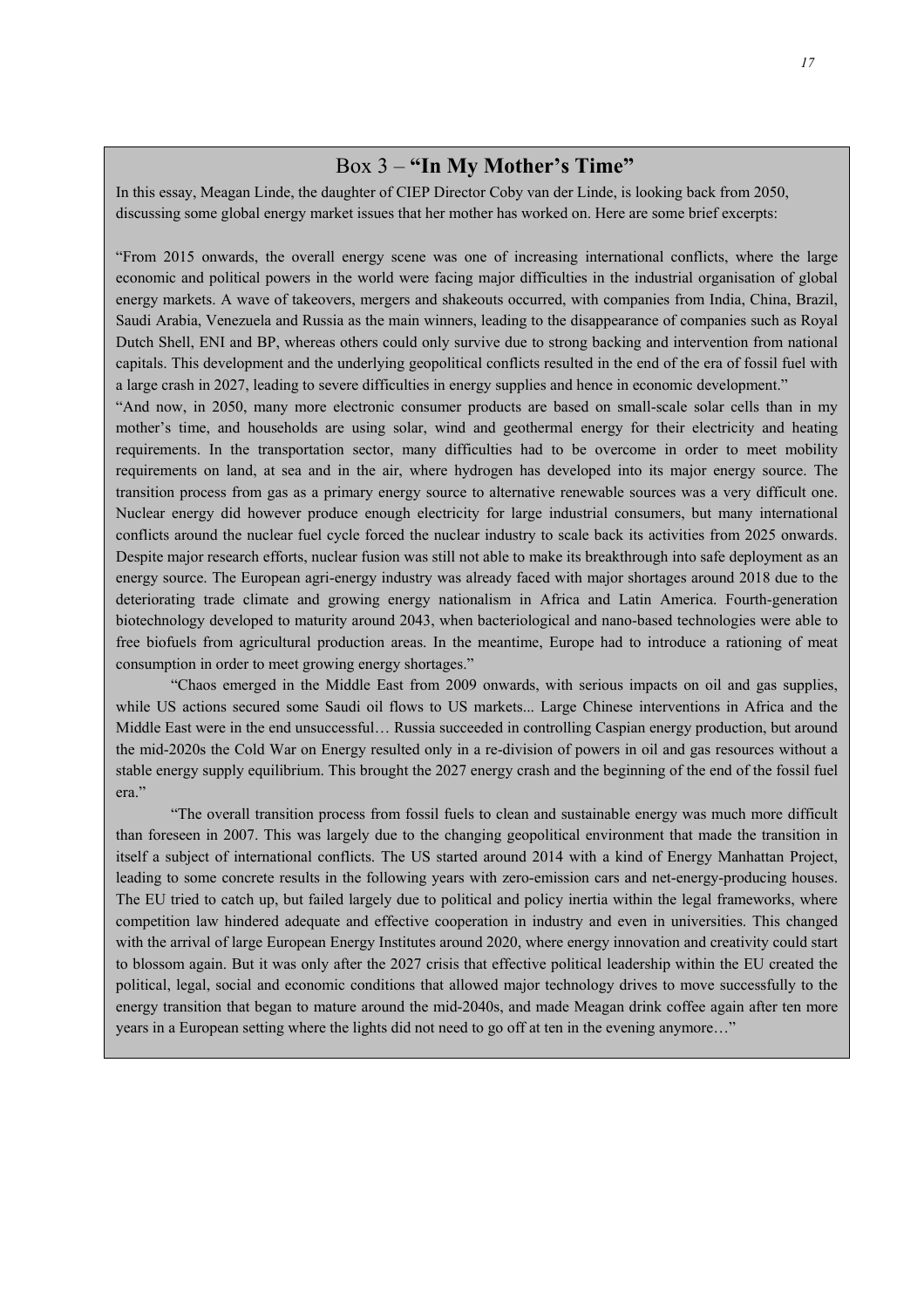#### Box 3 – **"In My Mother's Time"**

In this essay, Meagan Linde, the daughter of CIEP Director Coby van der Linde, is looking back from 2050, discussing some global energy market issues that her mother has worked on. Here are some brief excerpts:

"From 2015 onwards, the overall energy scene was one of increasing international conflicts, where the large economic and political powers in the world were facing major difficulties in the industrial organisation of global energy markets. A wave of takeovers, mergers and shakeouts occurred, with companies from India, China, Brazil, Saudi Arabia, Venezuela and Russia as the main winners, leading to the disappearance of companies such as Royal Dutch Shell, ENI and BP, whereas others could only survive due to strong backing and intervention from national capitals. This development and the underlying geopolitical conflicts resulted in the end of the era of fossil fuel with a large crash in 2027, leading to severe difficulties in energy supplies and hence in economic development."

"And now, in 2050, many more electronic consumer products are based on small-scale solar cells than in my mother's time, and households are using solar, wind and geothermal energy for their electricity and heating requirements. In the transportation sector, many difficulties had to be overcome in order to meet mobility requirements on land, at sea and in the air, where hydrogen has developed into its major energy source. The transition process from gas as a primary energy source to alternative renewable sources was a very difficult one. Nuclear energy did however produce enough electricity for large industrial consumers, but many international conflicts around the nuclear fuel cycle forced the nuclear industry to scale back its activities from 2025 onwards. Despite major research efforts, nuclear fusion was still not able to make its breakthrough into safe deployment as an energy source. The European agri-energy industry was already faced with major shortages around 2018 due to the deteriorating trade climate and growing energy nationalism in Africa and Latin America. Fourth-generation biotechnology developed to maturity around 2043, when bacteriological and nano-based technologies were able to free biofuels from agricultural production areas. In the meantime, Europe had to introduce a rationing of meat consumption in order to meet growing energy shortages."

 "Chaos emerged in the Middle East from 2009 onwards, with serious impacts on oil and gas supplies, while US actions secured some Saudi oil flows to US markets... Large Chinese interventions in Africa and the Middle East were in the end unsuccessful… Russia succeeded in controlling Caspian energy production, but around the mid-2020s the Cold War on Energy resulted only in a re-division of powers in oil and gas resources without a stable energy supply equilibrium. This brought the 2027 energy crash and the beginning of the end of the fossil fuel era."

"The overall transition process from fossil fuels to clean and sustainable energy was much more difficult than foreseen in 2007. This was largely due to the changing geopolitical environment that made the transition in itself a subject of international conflicts. The US started around 2014 with a kind of Energy Manhattan Project, leading to some concrete results in the following years with zero-emission cars and net-energy-producing houses. The EU tried to catch up, but failed largely due to political and policy inertia within the legal frameworks, where competition law hindered adequate and effective cooperation in industry and even in universities. This changed with the arrival of large European Energy Institutes around 2020, where energy innovation and creativity could start to blossom again. But it was only after the 2027 crisis that effective political leadership within the EU created the political, legal, social and economic conditions that allowed major technology drives to move successfully to the energy transition that began to mature around the mid-2040s, and made Meagan drink coffee again after ten more years in a European setting where the lights did not need to go off at ten in the evening anymore…"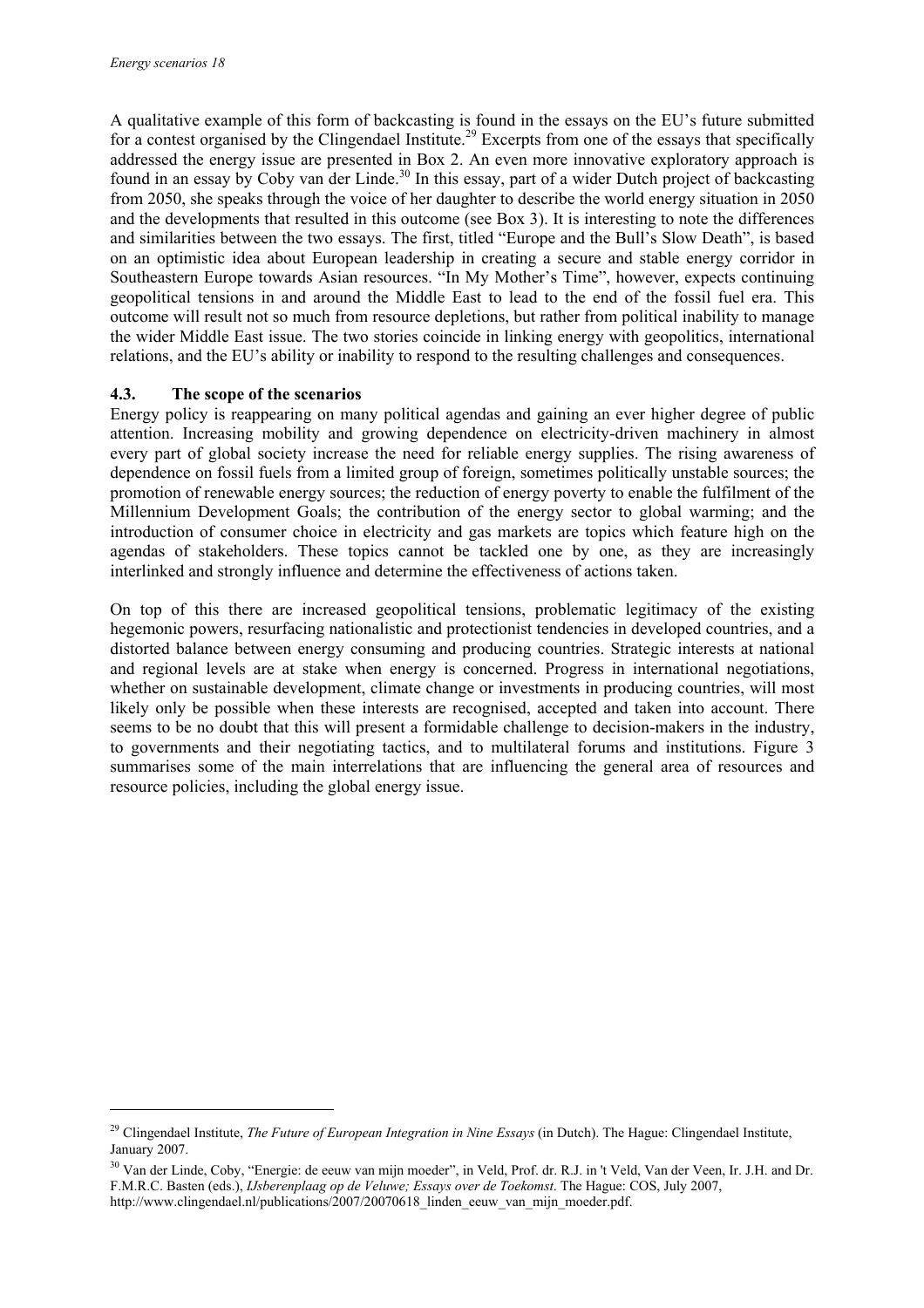ł

A qualitative example of this form of backcasting is found in the essays on the EU's future submitted for a contest organised by the Clingendael Institute.<sup>29</sup> Excerpts from one of the essays that specifically addressed the energy issue are presented in Box 2. An even more innovative exploratory approach is found in an essay by Coby van der Linde.<sup>30</sup> In this essay, part of a wider Dutch project of backcasting from 2050, she speaks through the voice of her daughter to describe the world energy situation in 2050 and the developments that resulted in this outcome (see Box 3). It is interesting to note the differences and similarities between the two essays. The first, titled "Europe and the Bull's Slow Death", is based on an optimistic idea about European leadership in creating a secure and stable energy corridor in Southeastern Europe towards Asian resources. "In My Mother's Time", however, expects continuing geopolitical tensions in and around the Middle East to lead to the end of the fossil fuel era. This outcome will result not so much from resource depletions, but rather from political inability to manage the wider Middle East issue. The two stories coincide in linking energy with geopolitics, international relations, and the EU's ability or inability to respond to the resulting challenges and consequences.

#### **4.3. The scope of the scenarios**

Energy policy is reappearing on many political agendas and gaining an ever higher degree of public attention. Increasing mobility and growing dependence on electricity-driven machinery in almost every part of global society increase the need for reliable energy supplies. The rising awareness of dependence on fossil fuels from a limited group of foreign, sometimes politically unstable sources; the promotion of renewable energy sources; the reduction of energy poverty to enable the fulfilment of the Millennium Development Goals; the contribution of the energy sector to global warming; and the introduction of consumer choice in electricity and gas markets are topics which feature high on the agendas of stakeholders. These topics cannot be tackled one by one, as they are increasingly interlinked and strongly influence and determine the effectiveness of actions taken.

On top of this there are increased geopolitical tensions, problematic legitimacy of the existing hegemonic powers, resurfacing nationalistic and protectionist tendencies in developed countries, and a distorted balance between energy consuming and producing countries. Strategic interests at national and regional levels are at stake when energy is concerned. Progress in international negotiations, whether on sustainable development, climate change or investments in producing countries, will most likely only be possible when these interests are recognised, accepted and taken into account. There seems to be no doubt that this will present a formidable challenge to decision-makers in the industry, to governments and their negotiating tactics, and to multilateral forums and institutions. Figure 3 summarises some of the main interrelations that are influencing the general area of resources and resource policies, including the global energy issue.

<sup>29</sup> Clingendael Institute, *The Future of European Integration in Nine Essays* (in Dutch). The Hague: Clingendael Institute, January 2007.

<sup>&</sup>lt;sup>30</sup> Van der Linde, Coby, "Energie: de eeuw van mijn moeder", in Veld, Prof. dr. R.J. in 't Veld, Van der Veen, Ir. J.H. and Dr. F.M.R.C. Basten (eds.), *IJsberenplaag op de Veluwe; Essays over de Toekomst*. The Hague: COS, July 2007, http://www.clingendael.nl/publications/2007/20070618\_linden\_eeuw\_van\_mijn\_moeder.pdf.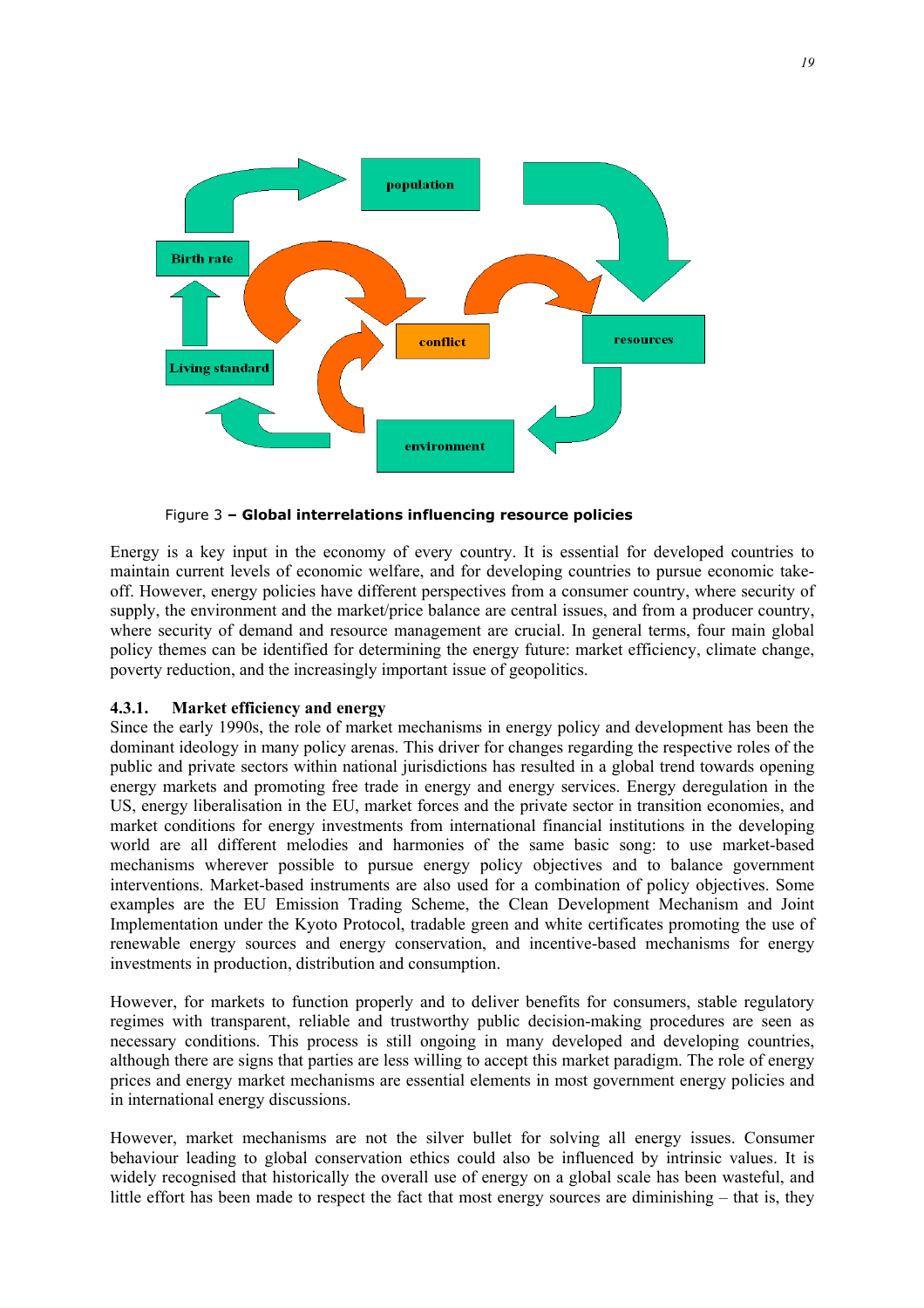

Figure 3 **– Global interrelations influencing resource policies** 

Energy is a key input in the economy of every country. It is essential for developed countries to maintain current levels of economic welfare, and for developing countries to pursue economic takeoff. However, energy policies have different perspectives from a consumer country, where security of supply, the environment and the market/price balance are central issues, and from a producer country, where security of demand and resource management are crucial. In general terms, four main global policy themes can be identified for determining the energy future: market efficiency, climate change, poverty reduction, and the increasingly important issue of geopolitics.

#### **4.3.1. Market efficiency and energy**

Since the early 1990s, the role of market mechanisms in energy policy and development has been the dominant ideology in many policy arenas. This driver for changes regarding the respective roles of the public and private sectors within national jurisdictions has resulted in a global trend towards opening energy markets and promoting free trade in energy and energy services. Energy deregulation in the US, energy liberalisation in the EU, market forces and the private sector in transition economies, and market conditions for energy investments from international financial institutions in the developing world are all different melodies and harmonies of the same basic song: to use market-based mechanisms wherever possible to pursue energy policy objectives and to balance government interventions. Market-based instruments are also used for a combination of policy objectives. Some examples are the EU Emission Trading Scheme, the Clean Development Mechanism and Joint Implementation under the Kyoto Protocol, tradable green and white certificates promoting the use of renewable energy sources and energy conservation, and incentive-based mechanisms for energy investments in production, distribution and consumption.

However, for markets to function properly and to deliver benefits for consumers, stable regulatory regimes with transparent, reliable and trustworthy public decision-making procedures are seen as necessary conditions. This process is still ongoing in many developed and developing countries, although there are signs that parties are less willing to accept this market paradigm. The role of energy prices and energy market mechanisms are essential elements in most government energy policies and in international energy discussions.

However, market mechanisms are not the silver bullet for solving all energy issues. Consumer behaviour leading to global conservation ethics could also be influenced by intrinsic values. It is widely recognised that historically the overall use of energy on a global scale has been wasteful, and little effort has been made to respect the fact that most energy sources are diminishing – that is, they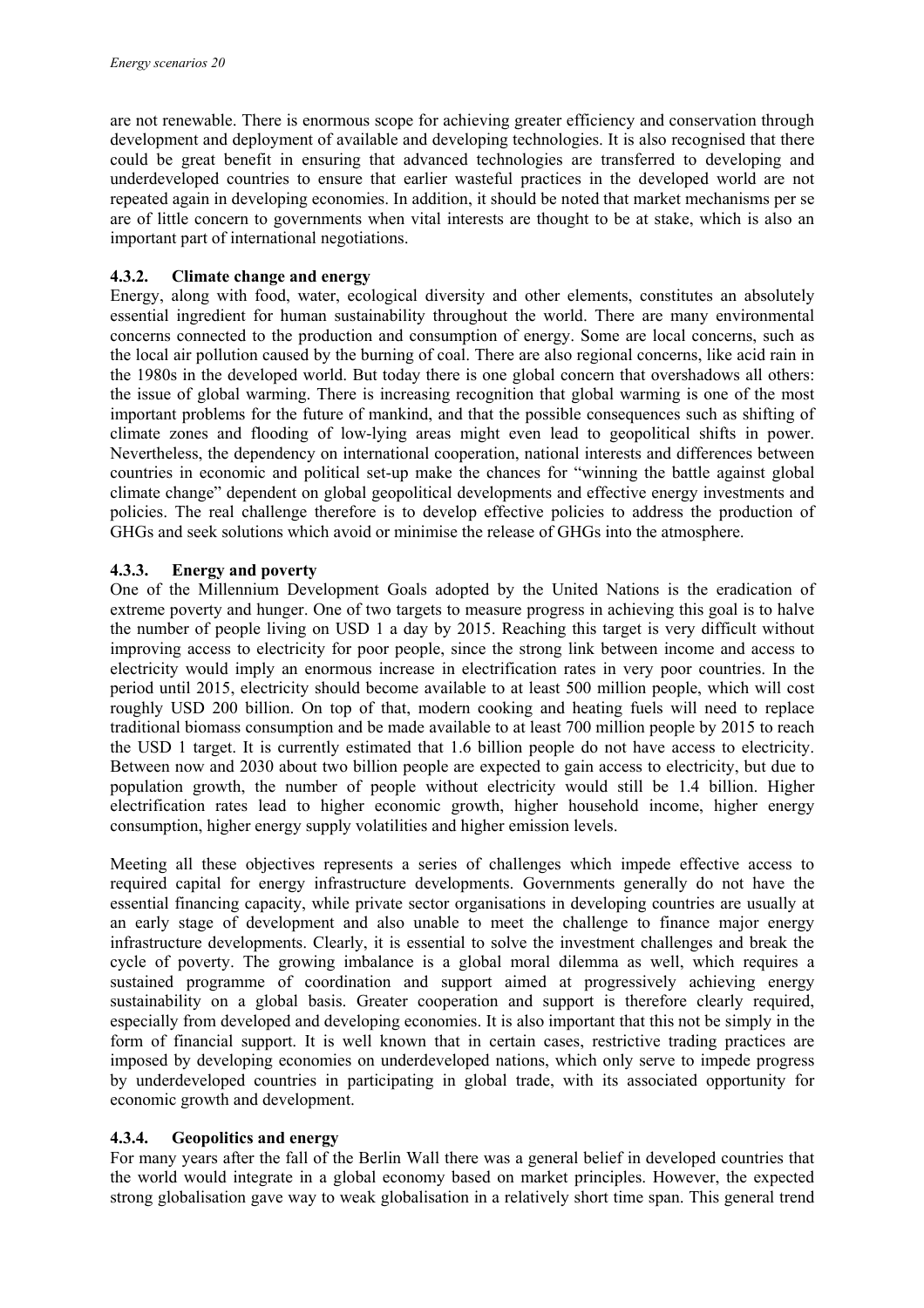are not renewable. There is enormous scope for achieving greater efficiency and conservation through development and deployment of available and developing technologies. It is also recognised that there could be great benefit in ensuring that advanced technologies are transferred to developing and underdeveloped countries to ensure that earlier wasteful practices in the developed world are not repeated again in developing economies. In addition, it should be noted that market mechanisms per se are of little concern to governments when vital interests are thought to be at stake, which is also an important part of international negotiations.

#### **4.3.2. Climate change and energy**

Energy, along with food, water, ecological diversity and other elements, constitutes an absolutely essential ingredient for human sustainability throughout the world. There are many environmental concerns connected to the production and consumption of energy. Some are local concerns, such as the local air pollution caused by the burning of coal. There are also regional concerns, like acid rain in the 1980s in the developed world. But today there is one global concern that overshadows all others: the issue of global warming. There is increasing recognition that global warming is one of the most important problems for the future of mankind, and that the possible consequences such as shifting of climate zones and flooding of low-lying areas might even lead to geopolitical shifts in power. Nevertheless, the dependency on international cooperation, national interests and differences between countries in economic and political set-up make the chances for "winning the battle against global climate change" dependent on global geopolitical developments and effective energy investments and policies. The real challenge therefore is to develop effective policies to address the production of GHGs and seek solutions which avoid or minimise the release of GHGs into the atmosphere.

#### **4.3.3. Energy and poverty**

One of the Millennium Development Goals adopted by the United Nations is the eradication of extreme poverty and hunger. One of two targets to measure progress in achieving this goal is to halve the number of people living on USD 1 a day by 2015. Reaching this target is very difficult without improving access to electricity for poor people, since the strong link between income and access to electricity would imply an enormous increase in electrification rates in very poor countries. In the period until 2015, electricity should become available to at least 500 million people, which will cost roughly USD 200 billion. On top of that, modern cooking and heating fuels will need to replace traditional biomass consumption and be made available to at least 700 million people by 2015 to reach the USD 1 target. It is currently estimated that 1.6 billion people do not have access to electricity. Between now and 2030 about two billion people are expected to gain access to electricity, but due to population growth, the number of people without electricity would still be 1.4 billion. Higher electrification rates lead to higher economic growth, higher household income, higher energy consumption, higher energy supply volatilities and higher emission levels.

Meeting all these objectives represents a series of challenges which impede effective access to required capital for energy infrastructure developments. Governments generally do not have the essential financing capacity, while private sector organisations in developing countries are usually at an early stage of development and also unable to meet the challenge to finance major energy infrastructure developments. Clearly, it is essential to solve the investment challenges and break the cycle of poverty. The growing imbalance is a global moral dilemma as well, which requires a sustained programme of coordination and support aimed at progressively achieving energy sustainability on a global basis. Greater cooperation and support is therefore clearly required, especially from developed and developing economies. It is also important that this not be simply in the form of financial support. It is well known that in certain cases, restrictive trading practices are imposed by developing economies on underdeveloped nations, which only serve to impede progress by underdeveloped countries in participating in global trade, with its associated opportunity for economic growth and development.

#### **4.3.4. Geopolitics and energy**

For many years after the fall of the Berlin Wall there was a general belief in developed countries that the world would integrate in a global economy based on market principles. However, the expected strong globalisation gave way to weak globalisation in a relatively short time span. This general trend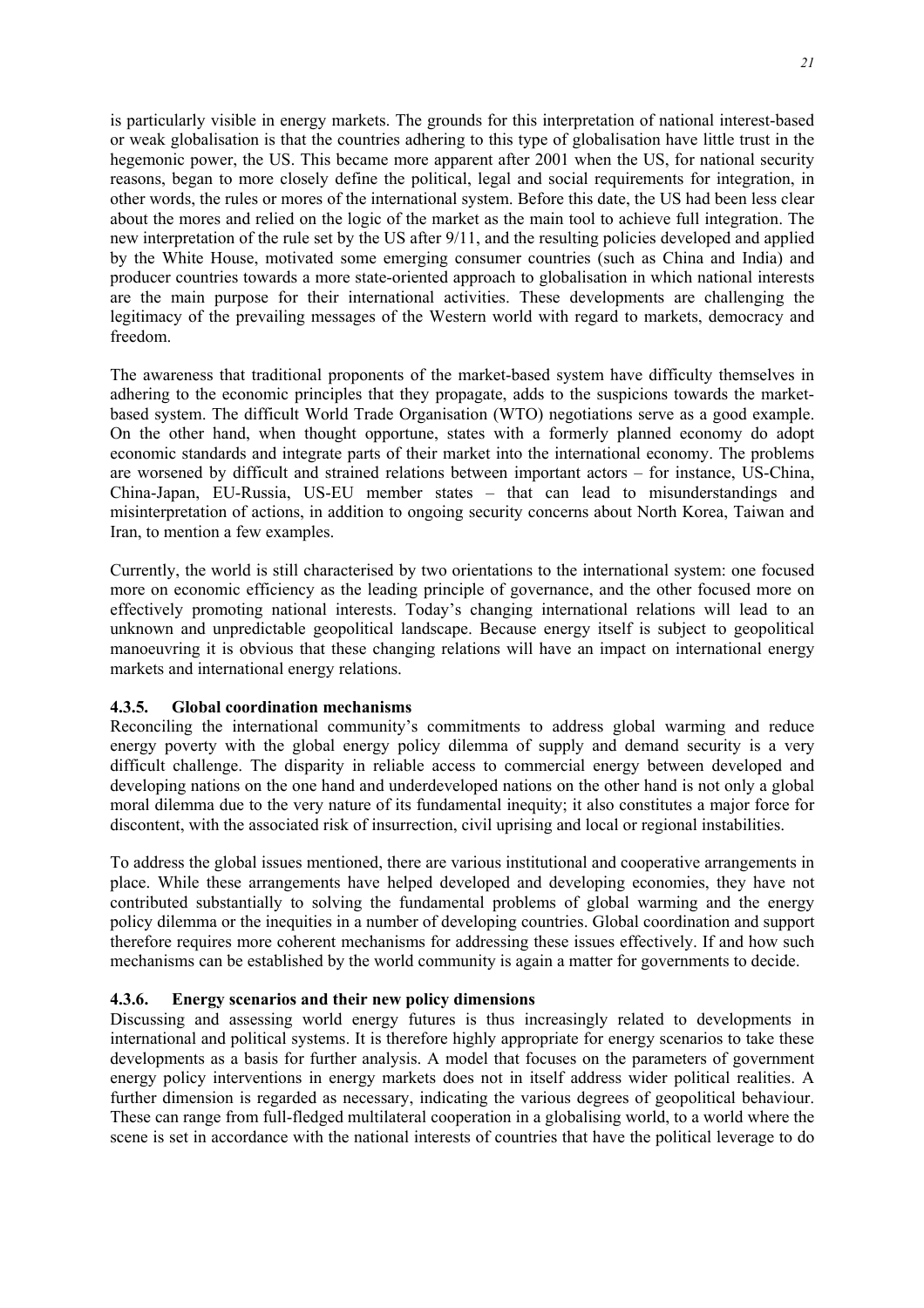is particularly visible in energy markets. The grounds for this interpretation of national interest-based or weak globalisation is that the countries adhering to this type of globalisation have little trust in the hegemonic power, the US. This became more apparent after 2001 when the US, for national security reasons, began to more closely define the political, legal and social requirements for integration, in other words, the rules or mores of the international system. Before this date, the US had been less clear about the mores and relied on the logic of the market as the main tool to achieve full integration. The new interpretation of the rule set by the US after 9/11, and the resulting policies developed and applied by the White House, motivated some emerging consumer countries (such as China and India) and producer countries towards a more state-oriented approach to globalisation in which national interests are the main purpose for their international activities. These developments are challenging the legitimacy of the prevailing messages of the Western world with regard to markets, democracy and freedom.

The awareness that traditional proponents of the market-based system have difficulty themselves in adhering to the economic principles that they propagate, adds to the suspicions towards the marketbased system. The difficult World Trade Organisation (WTO) negotiations serve as a good example. On the other hand, when thought opportune, states with a formerly planned economy do adopt economic standards and integrate parts of their market into the international economy. The problems are worsened by difficult and strained relations between important actors – for instance, US-China, China-Japan, EU-Russia, US-EU member states – that can lead to misunderstandings and misinterpretation of actions, in addition to ongoing security concerns about North Korea, Taiwan and Iran, to mention a few examples.

Currently, the world is still characterised by two orientations to the international system: one focused more on economic efficiency as the leading principle of governance, and the other focused more on effectively promoting national interests. Today's changing international relations will lead to an unknown and unpredictable geopolitical landscape. Because energy itself is subject to geopolitical manoeuvring it is obvious that these changing relations will have an impact on international energy markets and international energy relations.

#### **4.3.5. Global coordination mechanisms**

Reconciling the international community's commitments to address global warming and reduce energy poverty with the global energy policy dilemma of supply and demand security is a very difficult challenge. The disparity in reliable access to commercial energy between developed and developing nations on the one hand and underdeveloped nations on the other hand is not only a global moral dilemma due to the very nature of its fundamental inequity; it also constitutes a major force for discontent, with the associated risk of insurrection, civil uprising and local or regional instabilities.

To address the global issues mentioned, there are various institutional and cooperative arrangements in place. While these arrangements have helped developed and developing economies, they have not contributed substantially to solving the fundamental problems of global warming and the energy policy dilemma or the inequities in a number of developing countries. Global coordination and support therefore requires more coherent mechanisms for addressing these issues effectively. If and how such mechanisms can be established by the world community is again a matter for governments to decide.

#### **4.3.6. Energy scenarios and their new policy dimensions**

Discussing and assessing world energy futures is thus increasingly related to developments in international and political systems. It is therefore highly appropriate for energy scenarios to take these developments as a basis for further analysis. A model that focuses on the parameters of government energy policy interventions in energy markets does not in itself address wider political realities. A further dimension is regarded as necessary, indicating the various degrees of geopolitical behaviour. These can range from full-fledged multilateral cooperation in a globalising world, to a world where the scene is set in accordance with the national interests of countries that have the political leverage to do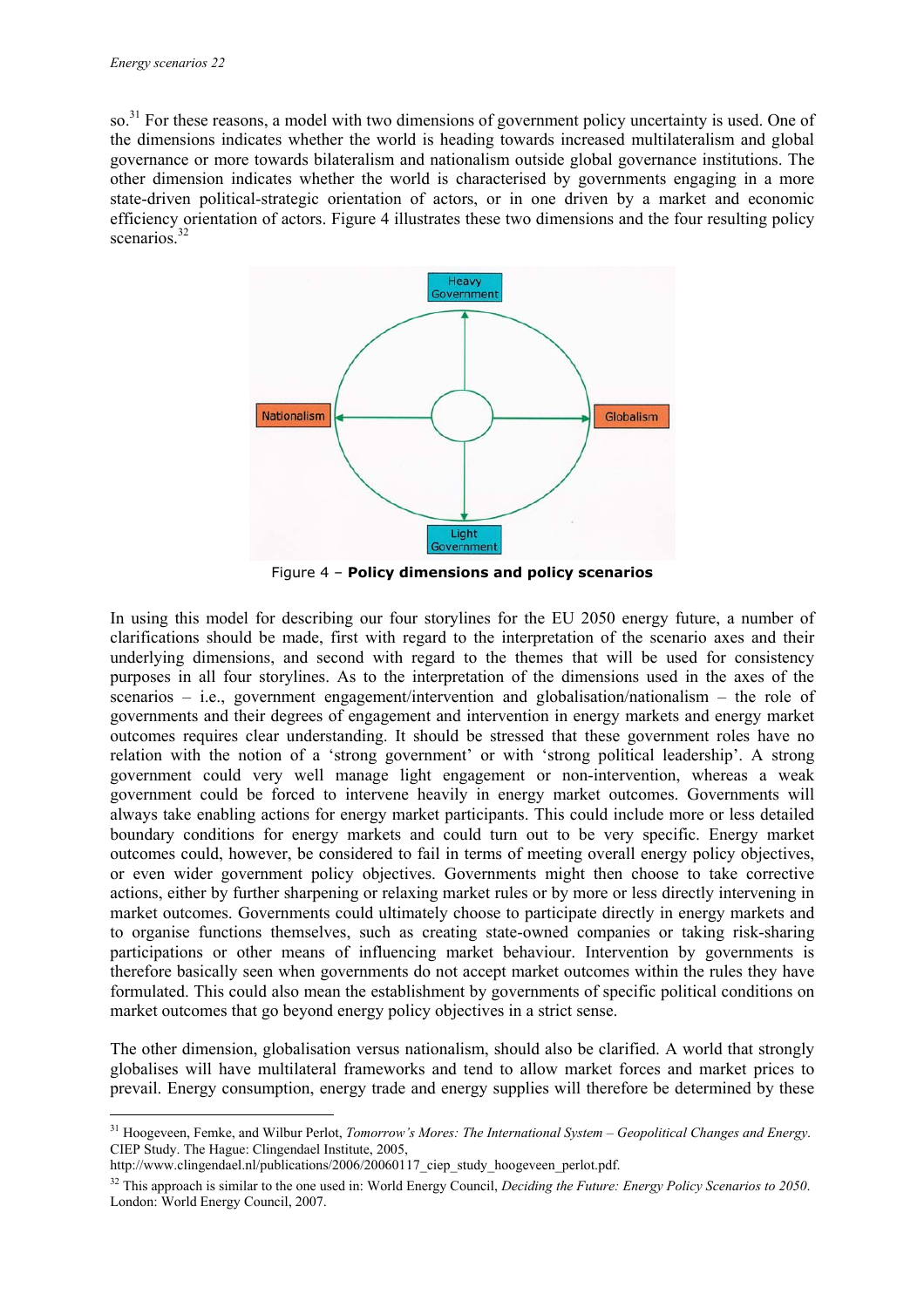so.<sup>31</sup> For these reasons, a model with two dimensions of government policy uncertainty is used. One of the dimensions indicates whether the world is heading towards increased multilateralism and global governance or more towards bilateralism and nationalism outside global governance institutions. The other dimension indicates whether the world is characterised by governments engaging in a more state-driven political-strategic orientation of actors, or in one driven by a market and economic efficiency orientation of actors. Figure 4 illustrates these two dimensions and the four resulting policy scenarios  $32$ 



Figure 4 – **Policy dimensions and policy scenarios**

In using this model for describing our four storylines for the EU 2050 energy future, a number of clarifications should be made, first with regard to the interpretation of the scenario axes and their underlying dimensions, and second with regard to the themes that will be used for consistency purposes in all four storylines. As to the interpretation of the dimensions used in the axes of the scenarios – i.e., government engagement/intervention and globalisation/nationalism – the role of governments and their degrees of engagement and intervention in energy markets and energy market outcomes requires clear understanding. It should be stressed that these government roles have no relation with the notion of a 'strong government' or with 'strong political leadership'. A strong government could very well manage light engagement or non-intervention, whereas a weak government could be forced to intervene heavily in energy market outcomes. Governments will always take enabling actions for energy market participants. This could include more or less detailed boundary conditions for energy markets and could turn out to be very specific. Energy market outcomes could, however, be considered to fail in terms of meeting overall energy policy objectives, or even wider government policy objectives. Governments might then choose to take corrective actions, either by further sharpening or relaxing market rules or by more or less directly intervening in market outcomes. Governments could ultimately choose to participate directly in energy markets and to organise functions themselves, such as creating state-owned companies or taking risk-sharing participations or other means of influencing market behaviour. Intervention by governments is therefore basically seen when governments do not accept market outcomes within the rules they have formulated. This could also mean the establishment by governments of specific political conditions on market outcomes that go beyond energy policy objectives in a strict sense.

The other dimension, globalisation versus nationalism, should also be clarified. A world that strongly globalises will have multilateral frameworks and tend to allow market forces and market prices to prevail. Energy consumption, energy trade and energy supplies will therefore be determined by these

<sup>31</sup> Hoogeveen, Femke, and Wilbur Perlot, *Tomorrow's Mores: The International System – Geopolitical Changes and Energy*. CIEP Study. The Hague: Clingendael Institute, 2005,

http://www.clingendael.nl/publications/2006/20060117\_ciep\_study\_hoogeveen\_perlot.pdf.

<sup>&</sup>lt;sup>32</sup> This approach is similar to the one used in: World Energy Council, *Deciding the Future: Energy Policy Scenarios to 2050*. London: World Energy Council, 2007.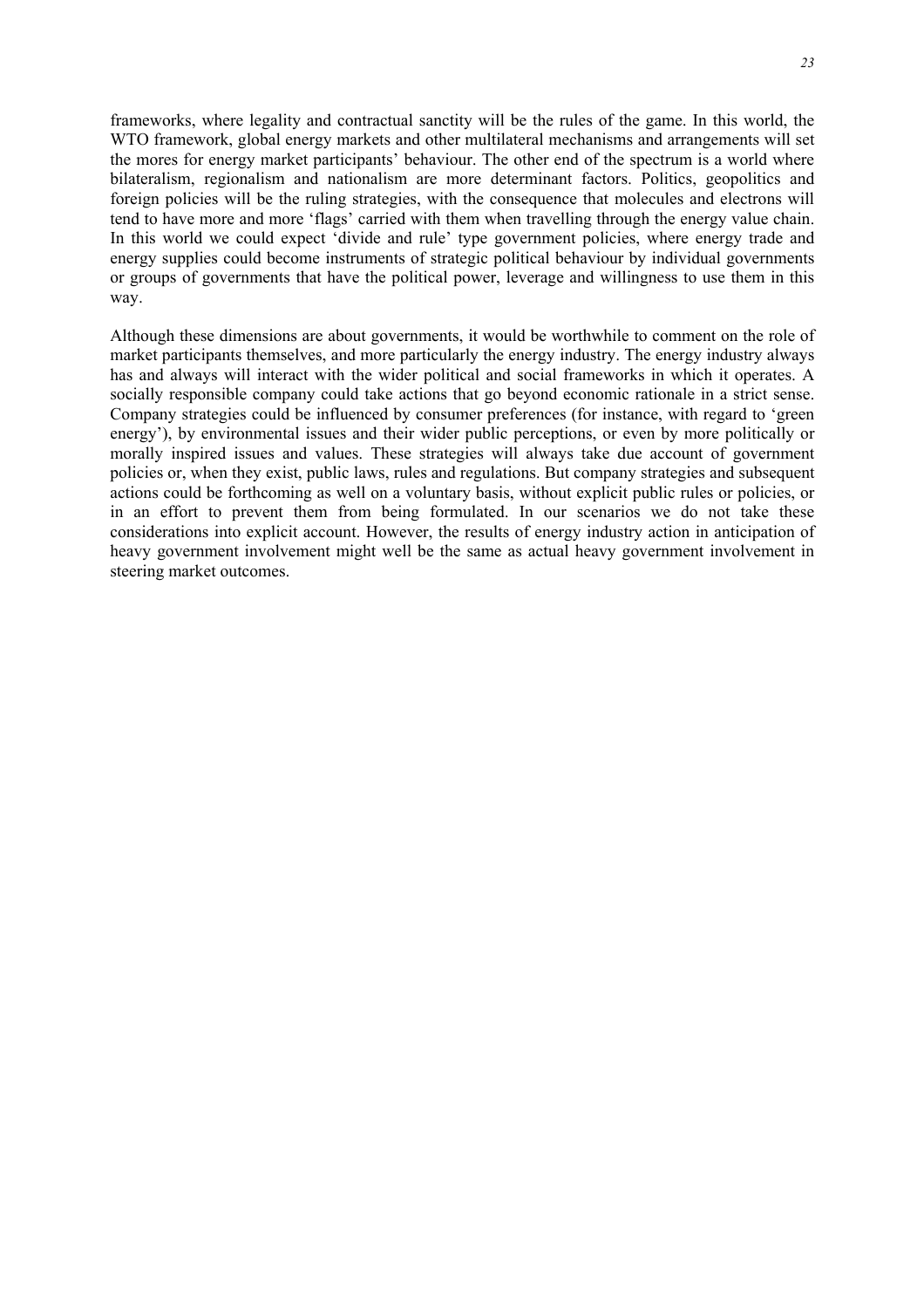frameworks, where legality and contractual sanctity will be the rules of the game. In this world, the WTO framework, global energy markets and other multilateral mechanisms and arrangements will set the mores for energy market participants' behaviour. The other end of the spectrum is a world where bilateralism, regionalism and nationalism are more determinant factors. Politics, geopolitics and foreign policies will be the ruling strategies, with the consequence that molecules and electrons will tend to have more and more 'flags' carried with them when travelling through the energy value chain. In this world we could expect 'divide and rule' type government policies, where energy trade and energy supplies could become instruments of strategic political behaviour by individual governments or groups of governments that have the political power, leverage and willingness to use them in this way.

Although these dimensions are about governments, it would be worthwhile to comment on the role of market participants themselves, and more particularly the energy industry. The energy industry always has and always will interact with the wider political and social frameworks in which it operates. A socially responsible company could take actions that go beyond economic rationale in a strict sense. Company strategies could be influenced by consumer preferences (for instance, with regard to 'green energy'), by environmental issues and their wider public perceptions, or even by more politically or morally inspired issues and values. These strategies will always take due account of government policies or, when they exist, public laws, rules and regulations. But company strategies and subsequent actions could be forthcoming as well on a voluntary basis, without explicit public rules or policies, or in an effort to prevent them from being formulated. In our scenarios we do not take these considerations into explicit account. However, the results of energy industry action in anticipation of heavy government involvement might well be the same as actual heavy government involvement in steering market outcomes.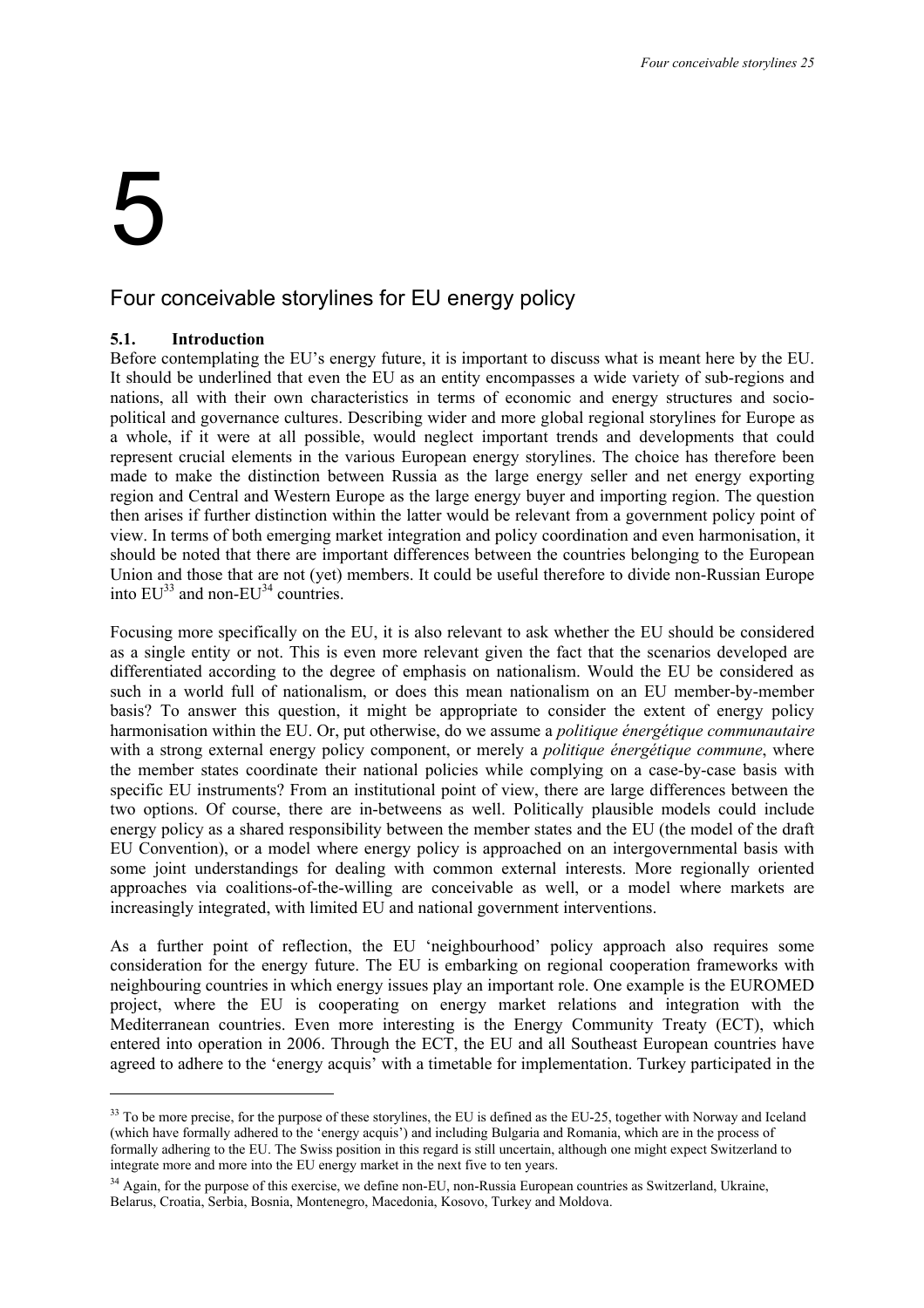## 5

ł

#### Four conceivable storylines for EU energy policy

#### **5.1. Introduction**

Before contemplating the EU's energy future, it is important to discuss what is meant here by the EU. It should be underlined that even the EU as an entity encompasses a wide variety of sub-regions and nations, all with their own characteristics in terms of economic and energy structures and sociopolitical and governance cultures. Describing wider and more global regional storylines for Europe as a whole, if it were at all possible, would neglect important trends and developments that could represent crucial elements in the various European energy storylines. The choice has therefore been made to make the distinction between Russia as the large energy seller and net energy exporting region and Central and Western Europe as the large energy buyer and importing region. The question then arises if further distinction within the latter would be relevant from a government policy point of view. In terms of both emerging market integration and policy coordination and even harmonisation, it should be noted that there are important differences between the countries belonging to the European Union and those that are not (yet) members. It could be useful therefore to divide non-Russian Europe into  $EU^{33}$  and non- $EU^{34}$  countries.

Focusing more specifically on the EU, it is also relevant to ask whether the EU should be considered as a single entity or not. This is even more relevant given the fact that the scenarios developed are differentiated according to the degree of emphasis on nationalism. Would the EU be considered as such in a world full of nationalism, or does this mean nationalism on an EU member-by-member basis? To answer this question, it might be appropriate to consider the extent of energy policy harmonisation within the EU. Or, put otherwise, do we assume a *politique énergétique communautaire* with a strong external energy policy component, or merely a *politique énergétique commune*, where the member states coordinate their national policies while complying on a case-by-case basis with specific EU instruments? From an institutional point of view, there are large differences between the two options. Of course, there are in-betweens as well. Politically plausible models could include energy policy as a shared responsibility between the member states and the EU (the model of the draft EU Convention), or a model where energy policy is approached on an intergovernmental basis with some joint understandings for dealing with common external interests. More regionally oriented approaches via coalitions-of-the-willing are conceivable as well, or a model where markets are increasingly integrated, with limited EU and national government interventions.

As a further point of reflection, the EU 'neighbourhood' policy approach also requires some consideration for the energy future. The EU is embarking on regional cooperation frameworks with neighbouring countries in which energy issues play an important role. One example is the EUROMED project, where the EU is cooperating on energy market relations and integration with the Mediterranean countries. Even more interesting is the Energy Community Treaty (ECT), which entered into operation in 2006. Through the ECT, the EU and all Southeast European countries have agreed to adhere to the 'energy acquis' with a timetable for implementation. Turkey participated in the

<sup>&</sup>lt;sup>33</sup> To be more precise, for the purpose of these storylines, the EU is defined as the EU-25, together with Norway and Iceland (which have formally adhered to the 'energy acquis') and including Bulgaria and Romania, which are in the process of formally adhering to the EU. The Swiss position in this regard is still uncertain, although one might expect Switzerland to integrate more and more into the EU energy market in the next five to ten years.

 $34$  Again, for the purpose of this exercise, we define non-EU, non-Russia European countries as Switzerland, Ukraine, Belarus, Croatia, Serbia, Bosnia, Montenegro, Macedonia, Kosovo, Turkey and Moldova.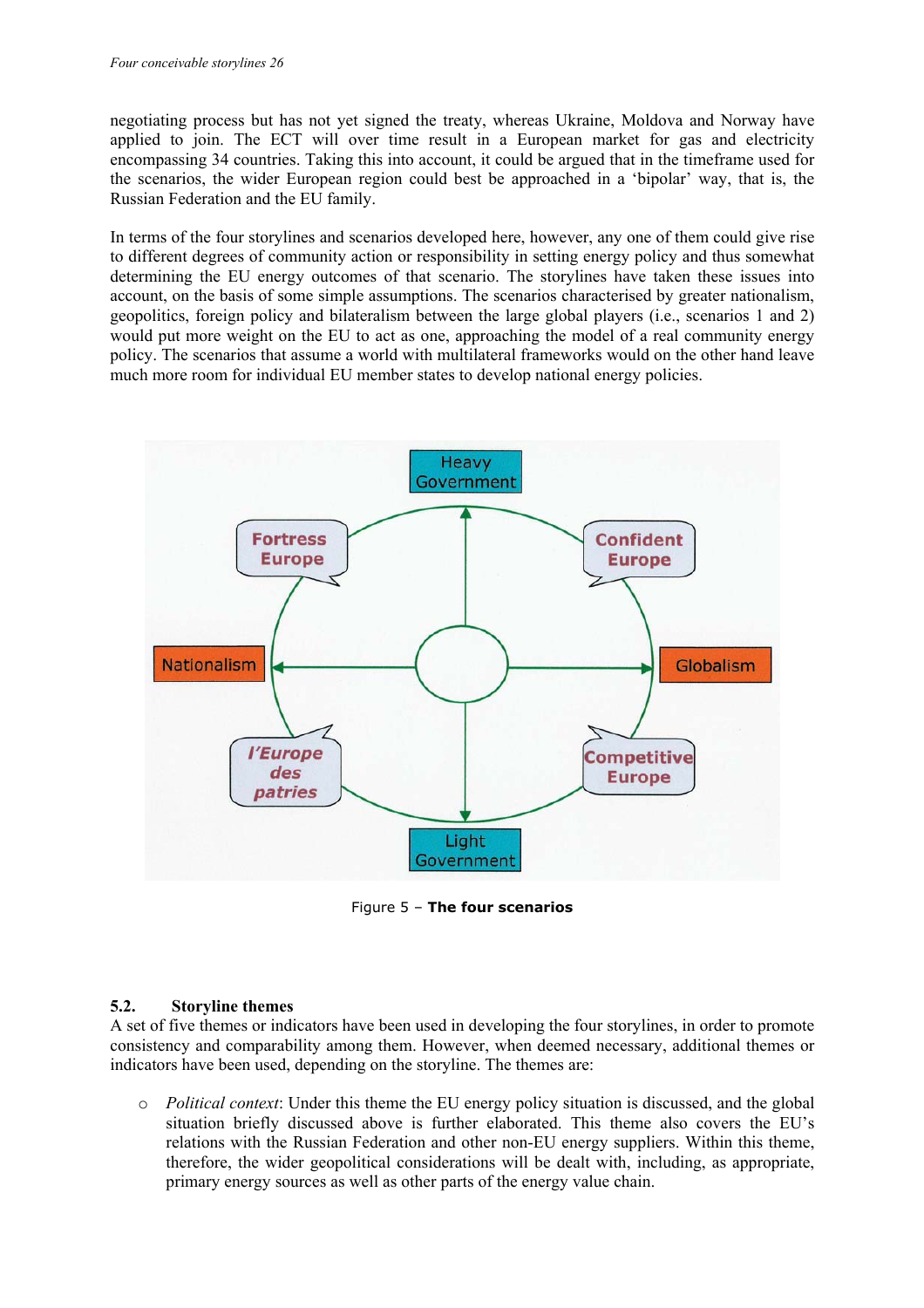negotiating process but has not yet signed the treaty, whereas Ukraine, Moldova and Norway have applied to join. The ECT will over time result in a European market for gas and electricity encompassing 34 countries. Taking this into account, it could be argued that in the timeframe used for the scenarios, the wider European region could best be approached in a 'bipolar' way, that is, the Russian Federation and the EU family.

In terms of the four storylines and scenarios developed here, however, any one of them could give rise to different degrees of community action or responsibility in setting energy policy and thus somewhat determining the EU energy outcomes of that scenario. The storylines have taken these issues into account, on the basis of some simple assumptions. The scenarios characterised by greater nationalism, geopolitics, foreign policy and bilateralism between the large global players (i.e., scenarios 1 and 2) would put more weight on the EU to act as one, approaching the model of a real community energy policy. The scenarios that assume a world with multilateral frameworks would on the other hand leave much more room for individual EU member states to develop national energy policies.



Figure 5 – **The four scenarios**

#### **5.2. Storyline themes**

A set of five themes or indicators have been used in developing the four storylines, in order to promote consistency and comparability among them. However, when deemed necessary, additional themes or indicators have been used, depending on the storyline. The themes are:

o *Political context*: Under this theme the EU energy policy situation is discussed, and the global situation briefly discussed above is further elaborated. This theme also covers the EU's relations with the Russian Federation and other non-EU energy suppliers. Within this theme, therefore, the wider geopolitical considerations will be dealt with, including, as appropriate, primary energy sources as well as other parts of the energy value chain.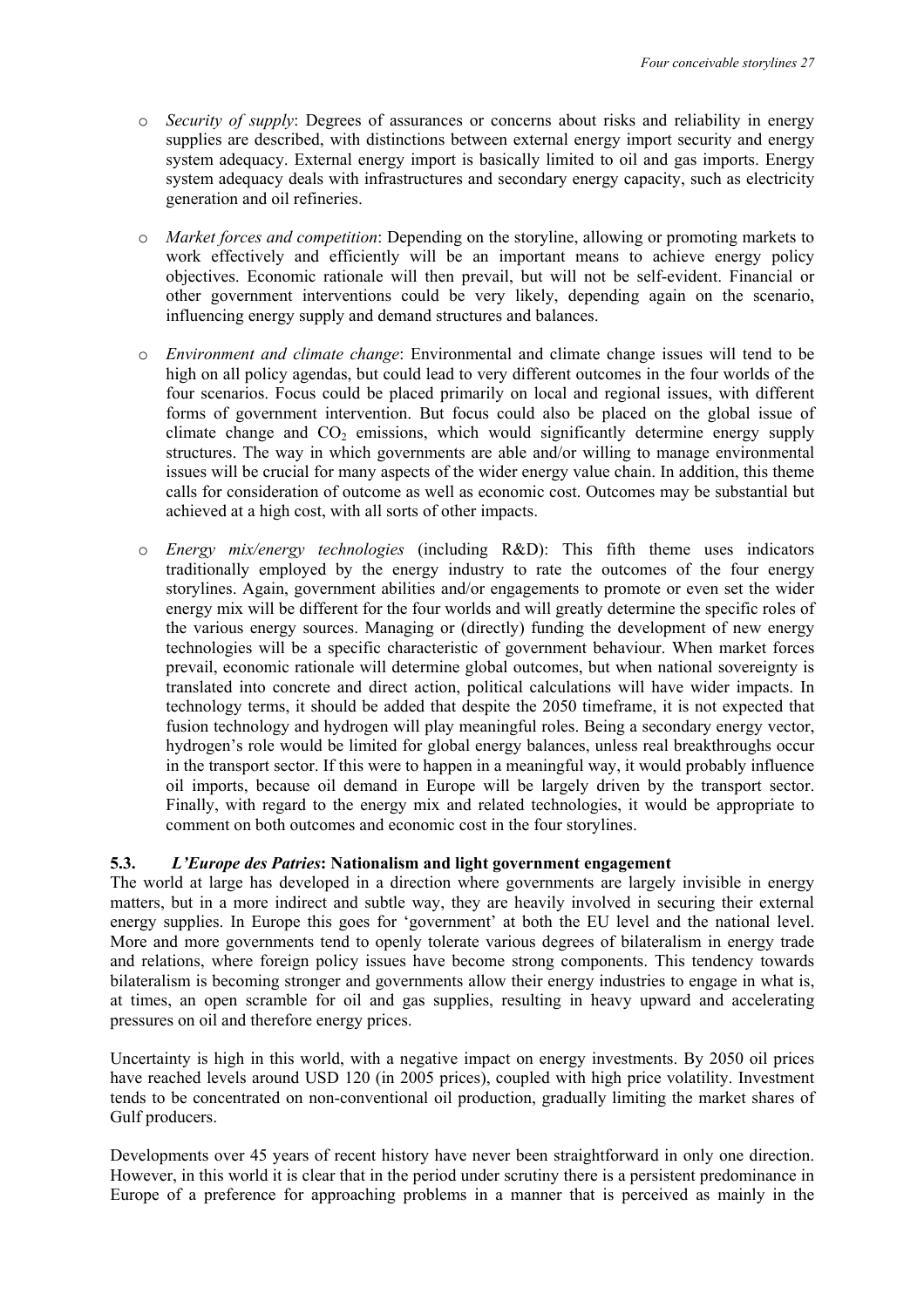- o *Security of supply*: Degrees of assurances or concerns about risks and reliability in energy supplies are described, with distinctions between external energy import security and energy system adequacy. External energy import is basically limited to oil and gas imports. Energy system adequacy deals with infrastructures and secondary energy capacity, such as electricity generation and oil refineries.
- o *Market forces and competition*: Depending on the storyline, allowing or promoting markets to work effectively and efficiently will be an important means to achieve energy policy objectives. Economic rationale will then prevail, but will not be self-evident. Financial or other government interventions could be very likely, depending again on the scenario, influencing energy supply and demand structures and balances.
- o *Environment and climate change*: Environmental and climate change issues will tend to be high on all policy agendas, but could lead to very different outcomes in the four worlds of the four scenarios. Focus could be placed primarily on local and regional issues, with different forms of government intervention. But focus could also be placed on the global issue of climate change and  $CO<sub>2</sub>$  emissions, which would significantly determine energy supply structures. The way in which governments are able and/or willing to manage environmental issues will be crucial for many aspects of the wider energy value chain. In addition, this theme calls for consideration of outcome as well as economic cost. Outcomes may be substantial but achieved at a high cost, with all sorts of other impacts.
- o *Energy mix/energy technologies* (including R&D): This fifth theme uses indicators traditionally employed by the energy industry to rate the outcomes of the four energy storylines. Again, government abilities and/or engagements to promote or even set the wider energy mix will be different for the four worlds and will greatly determine the specific roles of the various energy sources. Managing or (directly) funding the development of new energy technologies will be a specific characteristic of government behaviour. When market forces prevail, economic rationale will determine global outcomes, but when national sovereignty is translated into concrete and direct action, political calculations will have wider impacts. In technology terms, it should be added that despite the 2050 timeframe, it is not expected that fusion technology and hydrogen will play meaningful roles. Being a secondary energy vector, hydrogen's role would be limited for global energy balances, unless real breakthroughs occur in the transport sector. If this were to happen in a meaningful way, it would probably influence oil imports, because oil demand in Europe will be largely driven by the transport sector. Finally, with regard to the energy mix and related technologies, it would be appropriate to comment on both outcomes and economic cost in the four storylines.

#### **5.3.** *L'Europe des Patries***: Nationalism and light government engagement**

The world at large has developed in a direction where governments are largely invisible in energy matters, but in a more indirect and subtle way, they are heavily involved in securing their external energy supplies. In Europe this goes for 'government' at both the EU level and the national level. More and more governments tend to openly tolerate various degrees of bilateralism in energy trade and relations, where foreign policy issues have become strong components. This tendency towards bilateralism is becoming stronger and governments allow their energy industries to engage in what is, at times, an open scramble for oil and gas supplies, resulting in heavy upward and accelerating pressures on oil and therefore energy prices.

Uncertainty is high in this world, with a negative impact on energy investments. By 2050 oil prices have reached levels around USD 120 (in 2005 prices), coupled with high price volatility. Investment tends to be concentrated on non-conventional oil production, gradually limiting the market shares of Gulf producers.

Developments over 45 years of recent history have never been straightforward in only one direction. However, in this world it is clear that in the period under scrutiny there is a persistent predominance in Europe of a preference for approaching problems in a manner that is perceived as mainly in the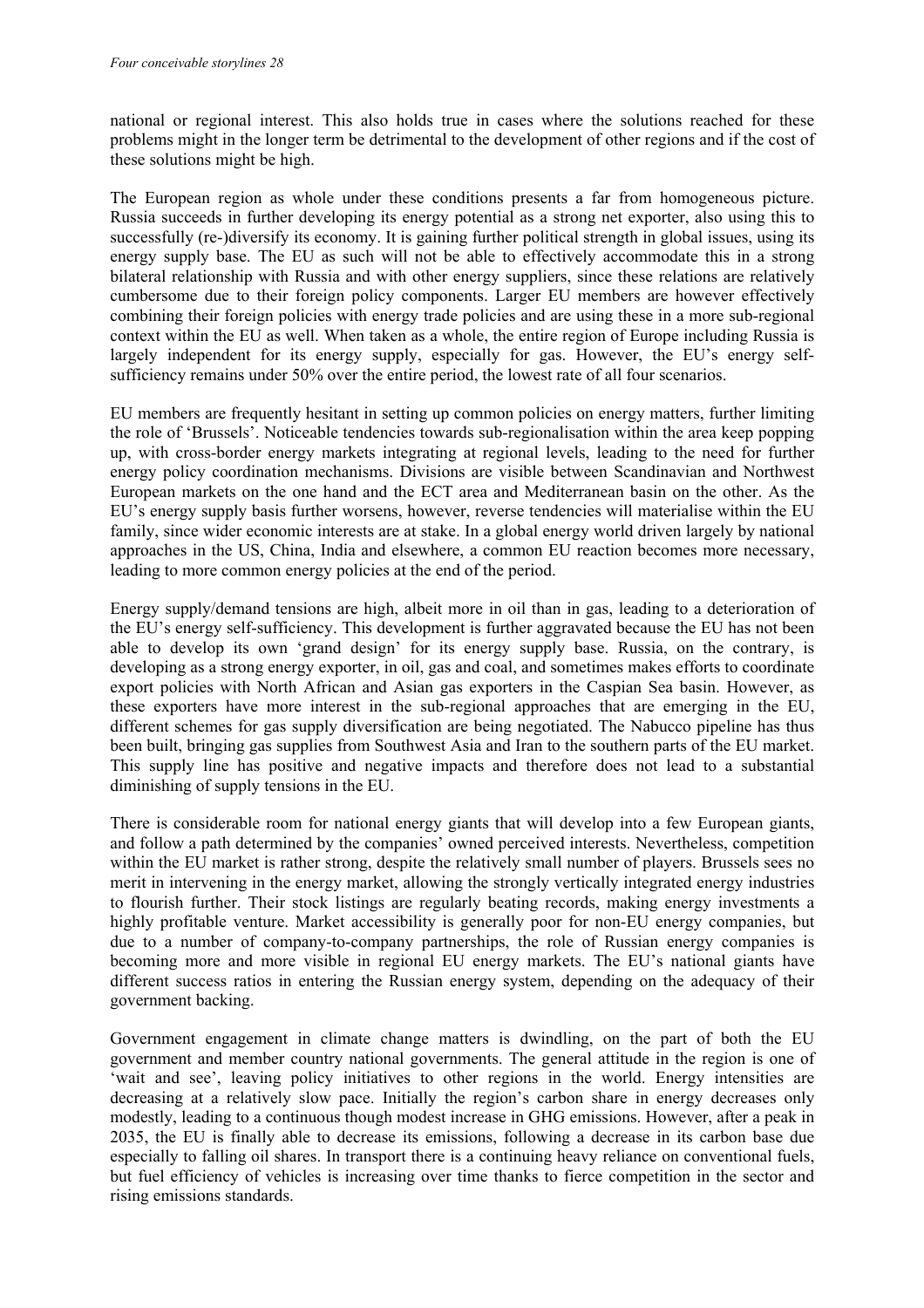national or regional interest. This also holds true in cases where the solutions reached for these problems might in the longer term be detrimental to the development of other regions and if the cost of these solutions might be high.

The European region as whole under these conditions presents a far from homogeneous picture. Russia succeeds in further developing its energy potential as a strong net exporter, also using this to successfully (re-)diversify its economy. It is gaining further political strength in global issues, using its energy supply base. The EU as such will not be able to effectively accommodate this in a strong bilateral relationship with Russia and with other energy suppliers, since these relations are relatively cumbersome due to their foreign policy components. Larger EU members are however effectively combining their foreign policies with energy trade policies and are using these in a more sub-regional context within the EU as well. When taken as a whole, the entire region of Europe including Russia is largely independent for its energy supply, especially for gas. However, the EU's energy selfsufficiency remains under 50% over the entire period, the lowest rate of all four scenarios.

EU members are frequently hesitant in setting up common policies on energy matters, further limiting the role of 'Brussels'. Noticeable tendencies towards sub-regionalisation within the area keep popping up, with cross-border energy markets integrating at regional levels, leading to the need for further energy policy coordination mechanisms. Divisions are visible between Scandinavian and Northwest European markets on the one hand and the ECT area and Mediterranean basin on the other. As the EU's energy supply basis further worsens, however, reverse tendencies will materialise within the EU family, since wider economic interests are at stake. In a global energy world driven largely by national approaches in the US, China, India and elsewhere, a common EU reaction becomes more necessary, leading to more common energy policies at the end of the period.

Energy supply/demand tensions are high, albeit more in oil than in gas, leading to a deterioration of the EU's energy self-sufficiency. This development is further aggravated because the EU has not been able to develop its own 'grand design' for its energy supply base. Russia, on the contrary, is developing as a strong energy exporter, in oil, gas and coal, and sometimes makes efforts to coordinate export policies with North African and Asian gas exporters in the Caspian Sea basin. However, as these exporters have more interest in the sub-regional approaches that are emerging in the EU, different schemes for gas supply diversification are being negotiated. The Nabucco pipeline has thus been built, bringing gas supplies from Southwest Asia and Iran to the southern parts of the EU market. This supply line has positive and negative impacts and therefore does not lead to a substantial diminishing of supply tensions in the EU.

There is considerable room for national energy giants that will develop into a few European giants, and follow a path determined by the companies' owned perceived interests. Nevertheless, competition within the EU market is rather strong, despite the relatively small number of players. Brussels sees no merit in intervening in the energy market, allowing the strongly vertically integrated energy industries to flourish further. Their stock listings are regularly beating records, making energy investments a highly profitable venture. Market accessibility is generally poor for non-EU energy companies, but due to a number of company-to-company partnerships, the role of Russian energy companies is becoming more and more visible in regional EU energy markets. The EU's national giants have different success ratios in entering the Russian energy system, depending on the adequacy of their government backing.

Government engagement in climate change matters is dwindling, on the part of both the EU government and member country national governments. The general attitude in the region is one of 'wait and see', leaving policy initiatives to other regions in the world. Energy intensities are decreasing at a relatively slow pace. Initially the region's carbon share in energy decreases only modestly, leading to a continuous though modest increase in GHG emissions. However, after a peak in 2035, the EU is finally able to decrease its emissions, following a decrease in its carbon base due especially to falling oil shares. In transport there is a continuing heavy reliance on conventional fuels, but fuel efficiency of vehicles is increasing over time thanks to fierce competition in the sector and rising emissions standards.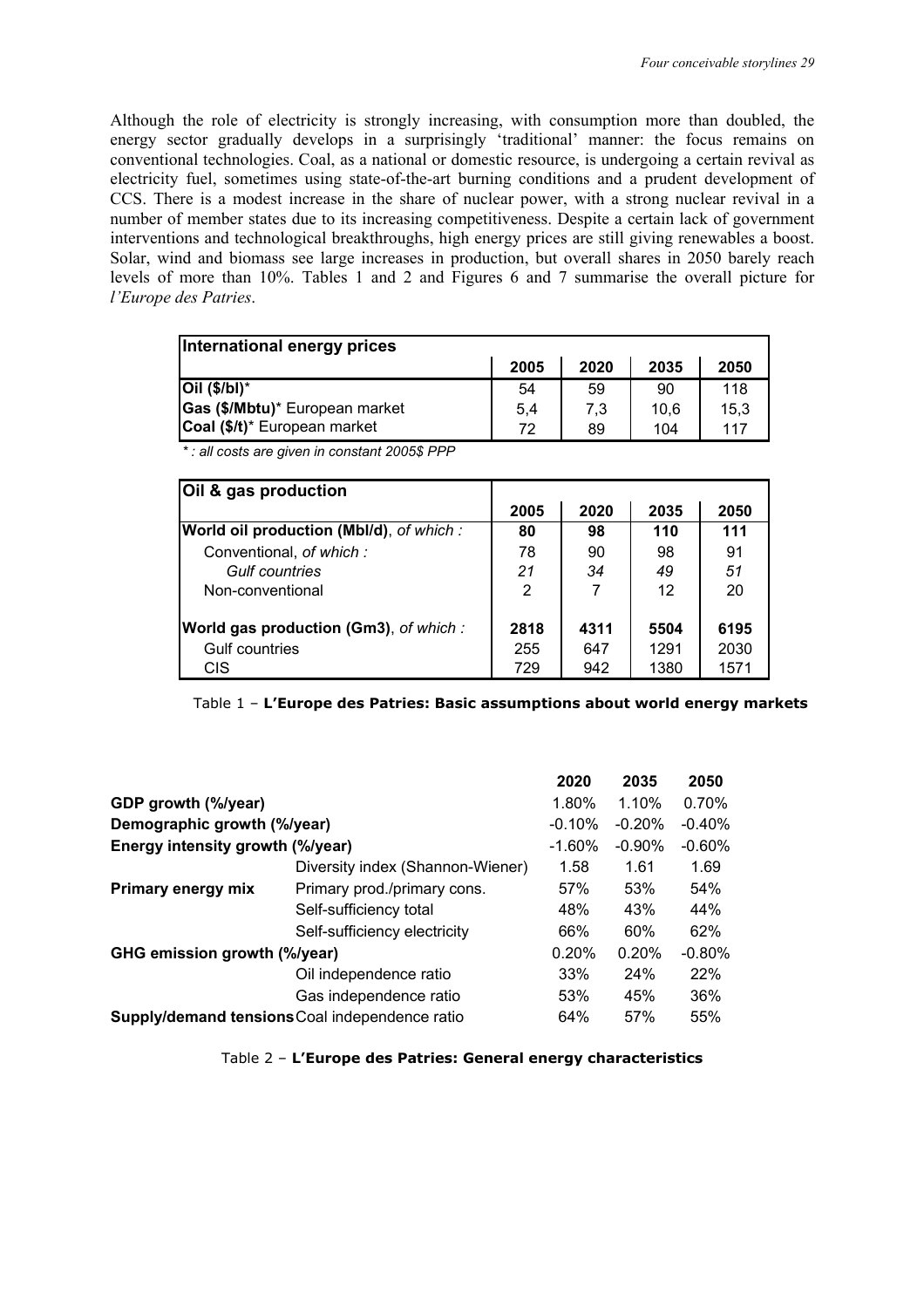Although the role of electricity is strongly increasing, with consumption more than doubled, the energy sector gradually develops in a surprisingly 'traditional' manner: the focus remains on conventional technologies. Coal, as a national or domestic resource, is undergoing a certain revival as electricity fuel, sometimes using state-of-the-art burning conditions and a prudent development of CCS. There is a modest increase in the share of nuclear power, with a strong nuclear revival in a number of member states due to its increasing competitiveness. Despite a certain lack of government interventions and technological breakthroughs, high energy prices are still giving renewables a boost. Solar, wind and biomass see large increases in production, but overall shares in 2050 barely reach levels of more than 10%. Tables 1 and 2 and Figures 6 and 7 summarise the overall picture for *l'Europe des Patries*.

| International energy prices    |      |      |      |      |
|--------------------------------|------|------|------|------|
|                                | 2005 | 2020 | 2035 | 2050 |
| $Oil (\$/bl)^*$                | 54   | 59   | 90   | 118  |
| Gas (\$/Mbtu)* European market | 5,4  | 7,3  | 10.6 | 15,3 |
| Coal (\$/t)* European market   | 72   | 89   | 104  | 117  |

*\* : all costs are given in constant 2005\$ PPP*

| Oil & gas production                          |      |      |      |      |
|-----------------------------------------------|------|------|------|------|
|                                               | 2005 | 2020 | 2035 | 2050 |
| World oil production (Mbl/d), of which:       | 80   | 98   | 110  | 111  |
| Conventional, of which:                       | 78   | 90   | 98   | 91   |
| <b>Gulf countries</b>                         | 21   | 34   | 49   | 51   |
| Non-conventional                              | 2    |      | 12   | 20   |
| <b>World gas production (Gm3)</b> , of which: | 2818 | 4311 | 5504 | 6195 |
| <b>Gulf countries</b>                         | 255  | 647  | 1291 | 2030 |
| CIS                                           | 729  | 942  | 1380 | 1571 |

Table 1 – **L'Europe des Patries: Basic assumptions about world energy markets** 

|                                  |                                                | 2020     | 2035      | 2050      |
|----------------------------------|------------------------------------------------|----------|-----------|-----------|
| GDP growth (%/year)              |                                                | 1.80%    | 1.10%     | 0.70%     |
| Demographic growth (%/year)      |                                                | $-0.10%$ | $-0.20\%$ | $-0.40\%$ |
| Energy intensity growth (%/year) |                                                | $-1.60%$ | $-0.90\%$ | $-0.60\%$ |
|                                  | Diversity index (Shannon-Wiener)               | 1.58     | 1.61      | 1.69      |
| Primary energy mix               | Primary prod./primary cons.                    | 57%      | 53%       | 54%       |
|                                  | Self-sufficiency total                         | 48%      | 43%       | 44%       |
|                                  | Self-sufficiency electricity                   | 66%      | 60%       | 62%       |
| GHG emission growth (%/year)     |                                                | 0.20%    | 0.20%     | $-0.80\%$ |
|                                  | Oil independence ratio                         | 33%      | 24%       | 22%       |
|                                  | Gas independence ratio                         | 53%      | 45%       | 36%       |
|                                  | Supply/demand tensions Coal independence ratio | 64%      | 57%       | 55%       |

Table 2 – **L'Europe des Patries: General energy characteristics**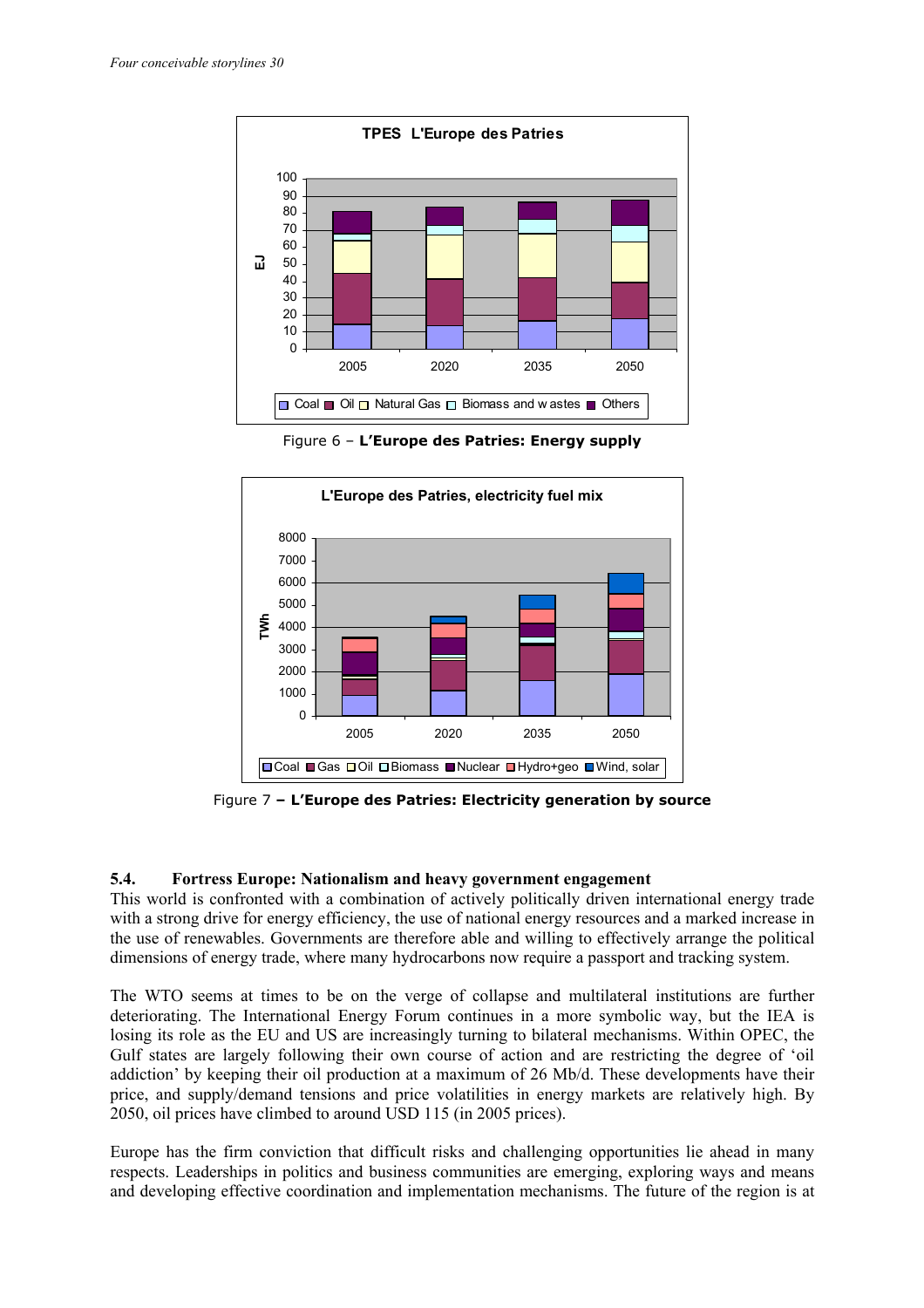

Figure 6 – **L'Europe des Patries: Energy supply** 



Figure 7 **– L'Europe des Patries: Electricity generation by source** 

#### **5.4. Fortress Europe: Nationalism and heavy government engagement**

This world is confronted with a combination of actively politically driven international energy trade with a strong drive for energy efficiency, the use of national energy resources and a marked increase in the use of renewables. Governments are therefore able and willing to effectively arrange the political dimensions of energy trade, where many hydrocarbons now require a passport and tracking system.

The WTO seems at times to be on the verge of collapse and multilateral institutions are further deteriorating. The International Energy Forum continues in a more symbolic way, but the IEA is losing its role as the EU and US are increasingly turning to bilateral mechanisms. Within OPEC, the Gulf states are largely following their own course of action and are restricting the degree of 'oil addiction' by keeping their oil production at a maximum of 26 Mb/d. These developments have their price, and supply/demand tensions and price volatilities in energy markets are relatively high. By 2050, oil prices have climbed to around USD 115 (in 2005 prices).

Europe has the firm conviction that difficult risks and challenging opportunities lie ahead in many respects. Leaderships in politics and business communities are emerging, exploring ways and means and developing effective coordination and implementation mechanisms. The future of the region is at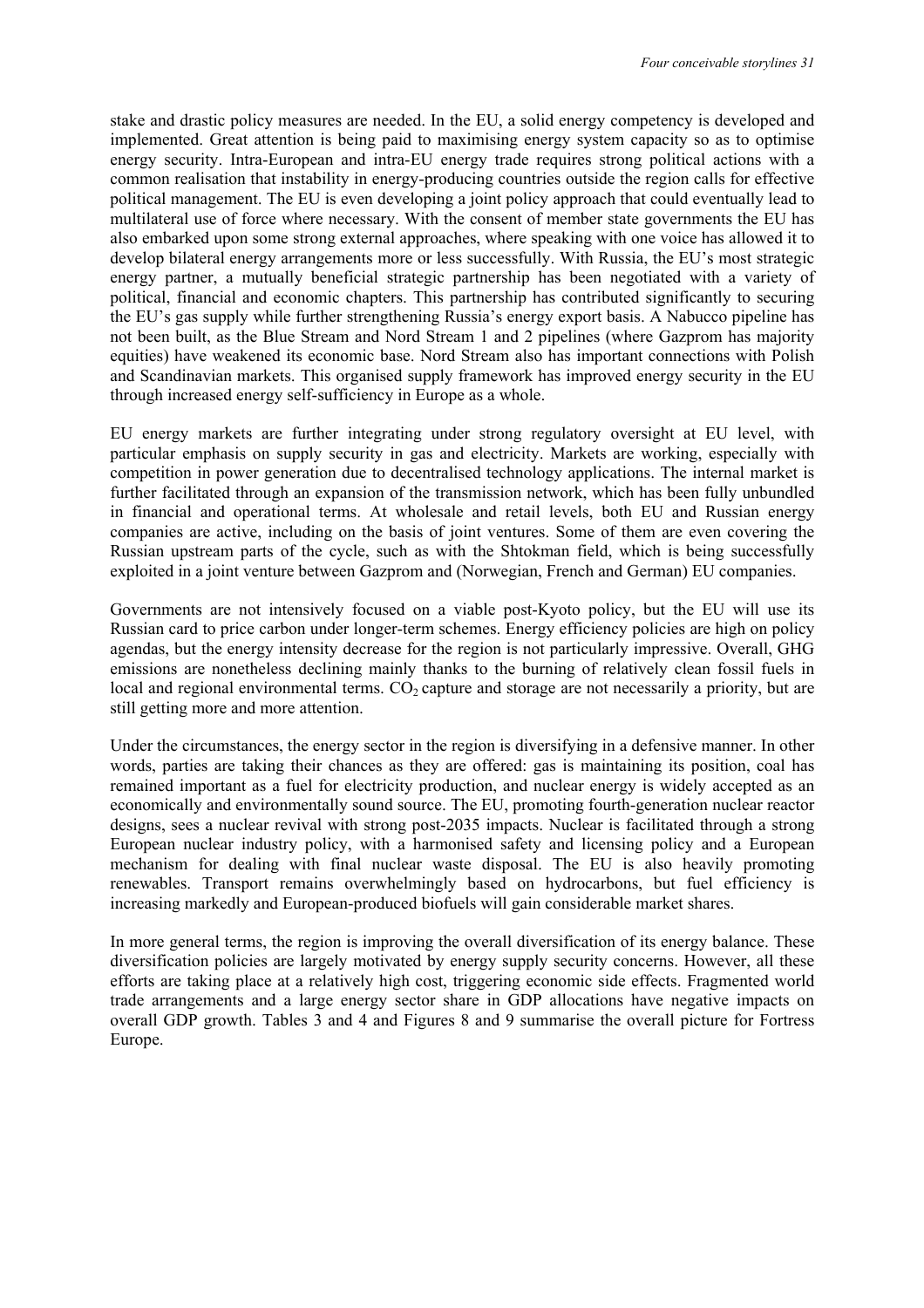stake and drastic policy measures are needed. In the EU, a solid energy competency is developed and implemented. Great attention is being paid to maximising energy system capacity so as to optimise energy security. Intra-European and intra-EU energy trade requires strong political actions with a common realisation that instability in energy-producing countries outside the region calls for effective political management. The EU is even developing a joint policy approach that could eventually lead to multilateral use of force where necessary. With the consent of member state governments the EU has also embarked upon some strong external approaches, where speaking with one voice has allowed it to develop bilateral energy arrangements more or less successfully. With Russia, the EU's most strategic energy partner, a mutually beneficial strategic partnership has been negotiated with a variety of political, financial and economic chapters. This partnership has contributed significantly to securing the EU's gas supply while further strengthening Russia's energy export basis. A Nabucco pipeline has not been built, as the Blue Stream and Nord Stream 1 and 2 pipelines (where Gazprom has majority equities) have weakened its economic base. Nord Stream also has important connections with Polish and Scandinavian markets. This organised supply framework has improved energy security in the EU through increased energy self-sufficiency in Europe as a whole.

EU energy markets are further integrating under strong regulatory oversight at EU level, with particular emphasis on supply security in gas and electricity. Markets are working, especially with competition in power generation due to decentralised technology applications. The internal market is further facilitated through an expansion of the transmission network, which has been fully unbundled in financial and operational terms. At wholesale and retail levels, both EU and Russian energy companies are active, including on the basis of joint ventures. Some of them are even covering the Russian upstream parts of the cycle, such as with the Shtokman field, which is being successfully exploited in a joint venture between Gazprom and (Norwegian, French and German) EU companies.

Governments are not intensively focused on a viable post-Kyoto policy, but the EU will use its Russian card to price carbon under longer-term schemes. Energy efficiency policies are high on policy agendas, but the energy intensity decrease for the region is not particularly impressive. Overall, GHG emissions are nonetheless declining mainly thanks to the burning of relatively clean fossil fuels in local and regional environmental terms.  $CO<sub>2</sub>$  capture and storage are not necessarily a priority, but are still getting more and more attention.

Under the circumstances, the energy sector in the region is diversifying in a defensive manner. In other words, parties are taking their chances as they are offered: gas is maintaining its position, coal has remained important as a fuel for electricity production, and nuclear energy is widely accepted as an economically and environmentally sound source. The EU, promoting fourth-generation nuclear reactor designs, sees a nuclear revival with strong post-2035 impacts. Nuclear is facilitated through a strong European nuclear industry policy, with a harmonised safety and licensing policy and a European mechanism for dealing with final nuclear waste disposal. The EU is also heavily promoting renewables. Transport remains overwhelmingly based on hydrocarbons, but fuel efficiency is increasing markedly and European-produced biofuels will gain considerable market shares.

In more general terms, the region is improving the overall diversification of its energy balance. These diversification policies are largely motivated by energy supply security concerns. However, all these efforts are taking place at a relatively high cost, triggering economic side effects. Fragmented world trade arrangements and a large energy sector share in GDP allocations have negative impacts on overall GDP growth. Tables 3 and 4 and Figures 8 and 9 summarise the overall picture for Fortress Europe.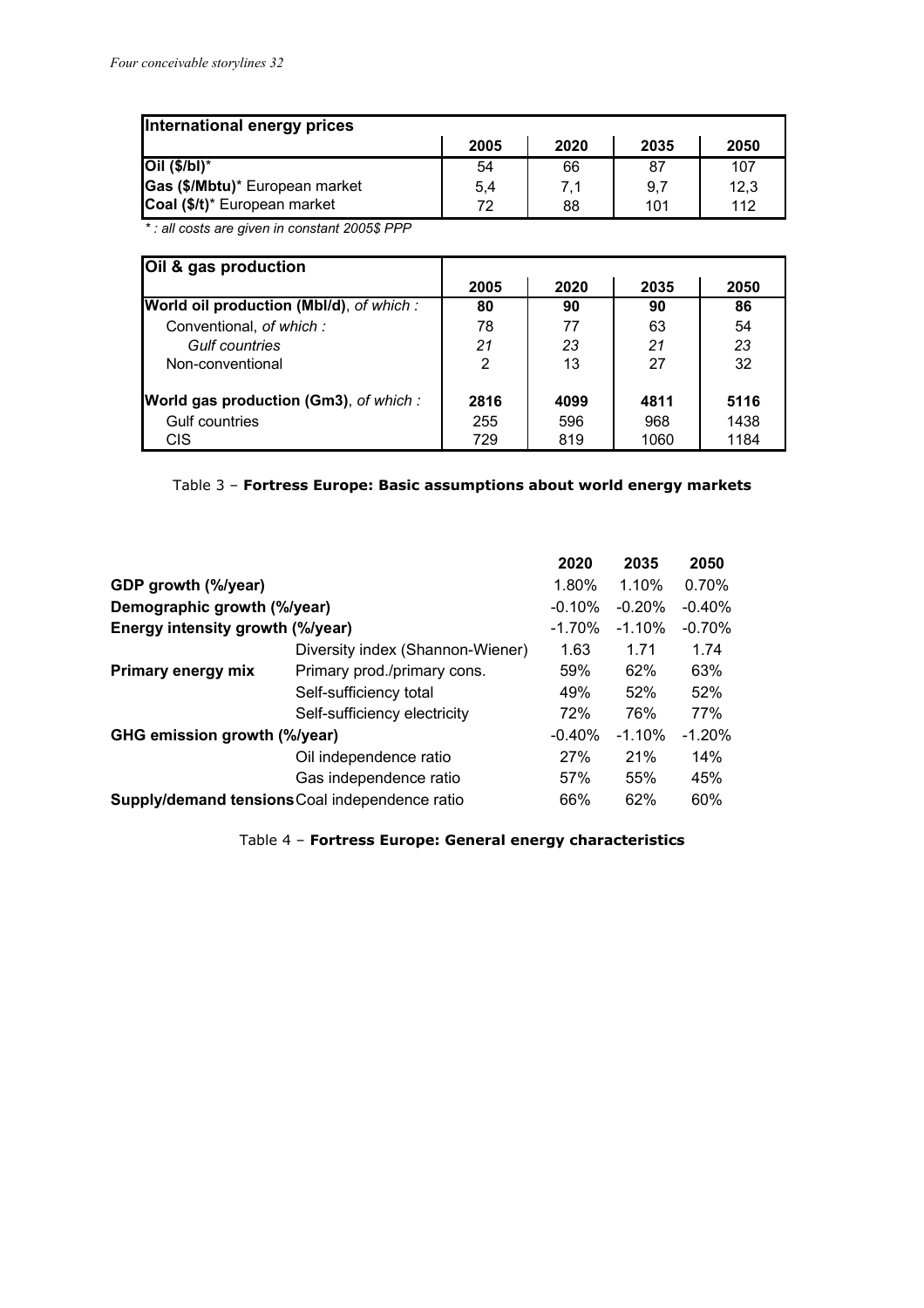| International energy prices    |      |      |      |      |  |  |
|--------------------------------|------|------|------|------|--|--|
|                                | 2005 | 2020 | 2035 | 2050 |  |  |
| $Oil$ (\$/bl)*                 | 54   | 66   | 87   | 107  |  |  |
| Gas (\$/Mbtu)* European market | 5,4  | 7.1  | 9,7  | 12.3 |  |  |
| Coal (\$/t)* European market   | 72   | 88   | 101  | 112  |  |  |

*\* : all costs are given in constant 2005\$ PPP*

| Oil & gas production                          |      |      |      |      |
|-----------------------------------------------|------|------|------|------|
|                                               | 2005 | 2020 | 2035 | 2050 |
| World oil production (Mbl/d), of which:       | 80   | 90   | 90   | 86   |
| Conventional, of which:                       | 78   | 77   | 63   | 54   |
| <b>Gulf countries</b>                         | 21   | 23   | 21   | 23   |
| Non-conventional                              | 2    | 13   | 27   | 32   |
| <b>World gas production (Gm3)</b> , of which: | 2816 | 4099 | 4811 | 5116 |
| Gulf countries                                | 255  | 596  | 968  | 1438 |
| <b>CIS</b>                                    | 729  | 819  | 1060 | 1184 |

#### Table 3 – **Fortress Europe: Basic assumptions about world energy markets**

|                                  |                                                | 2020     | 2035     | 2050     |
|----------------------------------|------------------------------------------------|----------|----------|----------|
| GDP growth (%/year)              |                                                | 1.80%    | 1.10%    | 0.70%    |
| Demographic growth (%/year)      |                                                | $-0.10%$ | $-0.20%$ | $-0.40%$ |
| Energy intensity growth (%/year) |                                                | $-1.70%$ | $-1.10%$ | $-0.70%$ |
|                                  | Diversity index (Shannon-Wiener)               | 1.63     | 1.71     | 1.74     |
| Primary energy mix               | Primary prod./primary cons.                    | 59%      | 62%      | 63%      |
|                                  | Self-sufficiency total                         | 49%      | 52%      | 52%      |
|                                  | Self-sufficiency electricity                   | 72%      | 76%      | 77%      |
| GHG emission growth (%/year)     |                                                | $-0.40%$ | $-1.10%$ | $-1.20%$ |
|                                  | Oil independence ratio                         | 27%      | 21%      | 14%      |
|                                  | Gas independence ratio                         | 57%      | 55%      | 45%      |
|                                  | Supply/demand tensions Coal independence ratio | 66%      | 62%      | 60%      |

Table 4 – **Fortress Europe: General energy characteristics**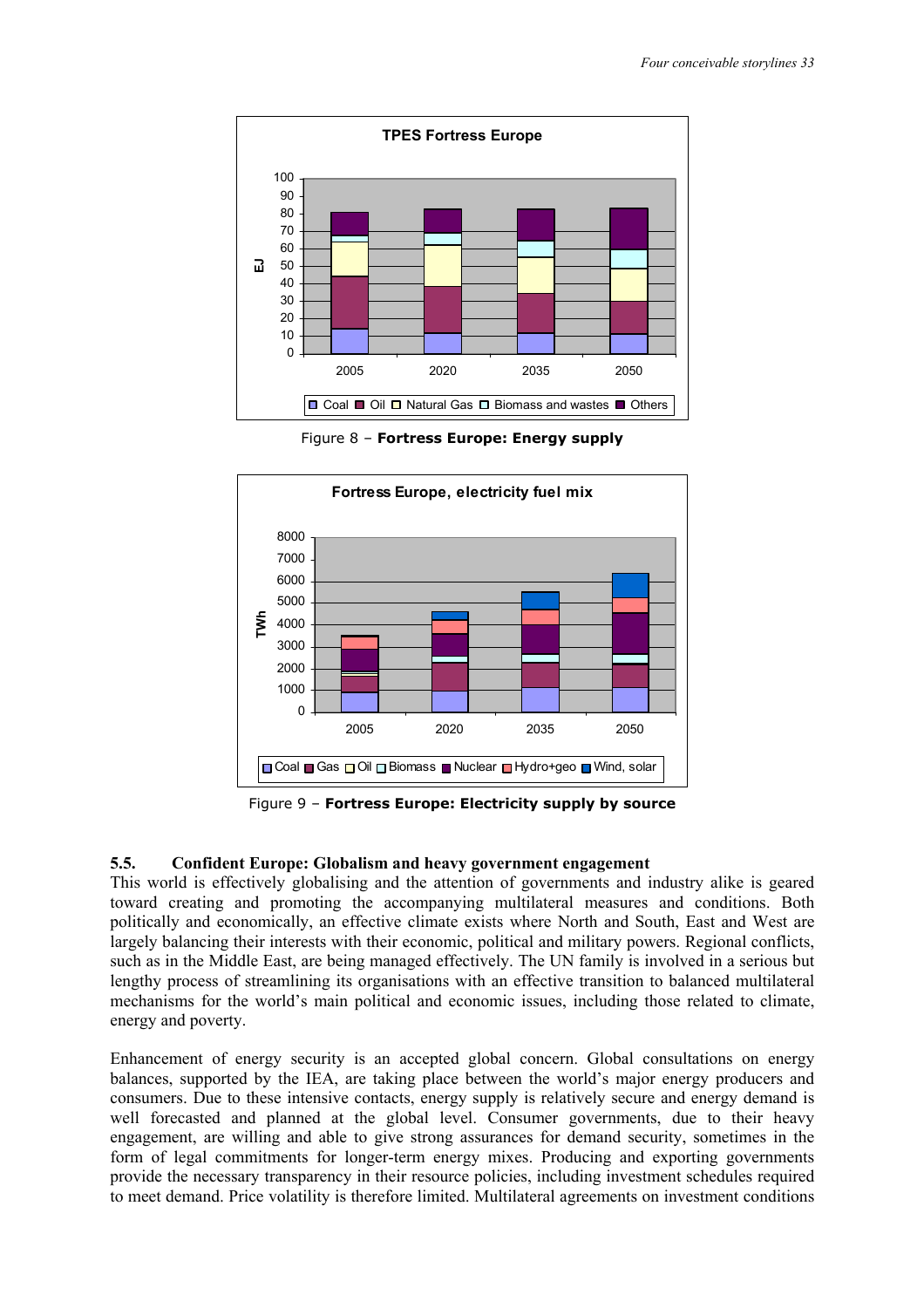

Figure 8 – **Fortress Europe: Energy supply** 



Figure 9 – **Fortress Europe: Electricity supply by source** 

#### **5.5. Confident Europe: Globalism and heavy government engagement**

This world is effectively globalising and the attention of governments and industry alike is geared toward creating and promoting the accompanying multilateral measures and conditions. Both politically and economically, an effective climate exists where North and South, East and West are largely balancing their interests with their economic, political and military powers. Regional conflicts, such as in the Middle East, are being managed effectively. The UN family is involved in a serious but lengthy process of streamlining its organisations with an effective transition to balanced multilateral mechanisms for the world's main political and economic issues, including those related to climate, energy and poverty.

Enhancement of energy security is an accepted global concern. Global consultations on energy balances, supported by the IEA, are taking place between the world's major energy producers and consumers. Due to these intensive contacts, energy supply is relatively secure and energy demand is well forecasted and planned at the global level. Consumer governments, due to their heavy engagement, are willing and able to give strong assurances for demand security, sometimes in the form of legal commitments for longer-term energy mixes. Producing and exporting governments provide the necessary transparency in their resource policies, including investment schedules required to meet demand. Price volatility is therefore limited. Multilateral agreements on investment conditions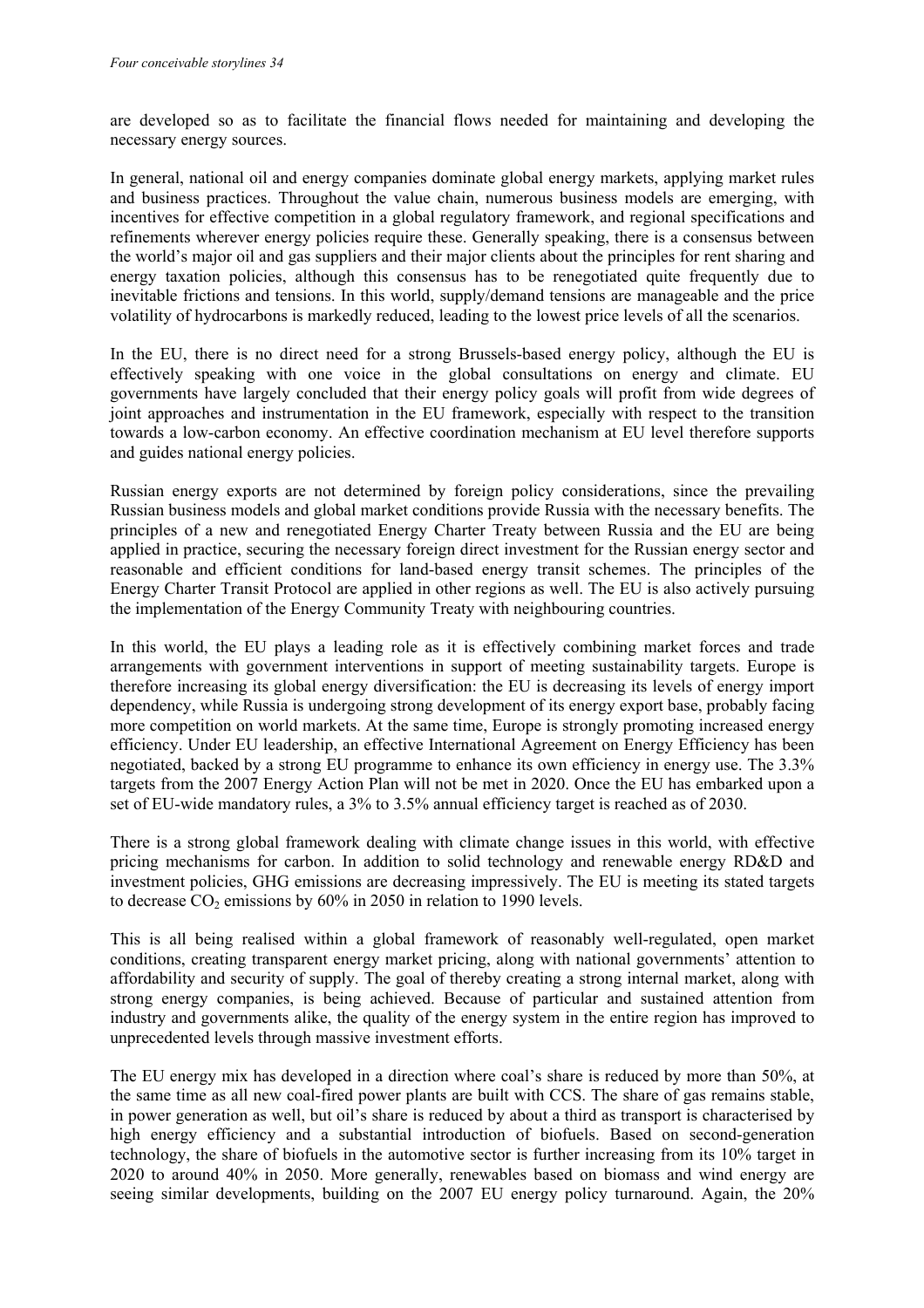are developed so as to facilitate the financial flows needed for maintaining and developing the necessary energy sources.

In general, national oil and energy companies dominate global energy markets, applying market rules and business practices. Throughout the value chain, numerous business models are emerging, with incentives for effective competition in a global regulatory framework, and regional specifications and refinements wherever energy policies require these. Generally speaking, there is a consensus between the world's major oil and gas suppliers and their major clients about the principles for rent sharing and energy taxation policies, although this consensus has to be renegotiated quite frequently due to inevitable frictions and tensions. In this world, supply/demand tensions are manageable and the price volatility of hydrocarbons is markedly reduced, leading to the lowest price levels of all the scenarios.

In the EU, there is no direct need for a strong Brussels-based energy policy, although the EU is effectively speaking with one voice in the global consultations on energy and climate. EU governments have largely concluded that their energy policy goals will profit from wide degrees of joint approaches and instrumentation in the EU framework, especially with respect to the transition towards a low-carbon economy. An effective coordination mechanism at EU level therefore supports and guides national energy policies.

Russian energy exports are not determined by foreign policy considerations, since the prevailing Russian business models and global market conditions provide Russia with the necessary benefits. The principles of a new and renegotiated Energy Charter Treaty between Russia and the EU are being applied in practice, securing the necessary foreign direct investment for the Russian energy sector and reasonable and efficient conditions for land-based energy transit schemes. The principles of the Energy Charter Transit Protocol are applied in other regions as well. The EU is also actively pursuing the implementation of the Energy Community Treaty with neighbouring countries.

In this world, the EU plays a leading role as it is effectively combining market forces and trade arrangements with government interventions in support of meeting sustainability targets. Europe is therefore increasing its global energy diversification: the EU is decreasing its levels of energy import dependency, while Russia is undergoing strong development of its energy export base, probably facing more competition on world markets. At the same time, Europe is strongly promoting increased energy efficiency. Under EU leadership, an effective International Agreement on Energy Efficiency has been negotiated, backed by a strong EU programme to enhance its own efficiency in energy use. The 3.3% targets from the 2007 Energy Action Plan will not be met in 2020. Once the EU has embarked upon a set of EU-wide mandatory rules, a 3% to 3.5% annual efficiency target is reached as of 2030.

There is a strong global framework dealing with climate change issues in this world, with effective pricing mechanisms for carbon. In addition to solid technology and renewable energy RD&D and investment policies, GHG emissions are decreasing impressively. The EU is meeting its stated targets to decrease  $CO<sub>2</sub>$  emissions by 60% in 2050 in relation to 1990 levels.

This is all being realised within a global framework of reasonably well-regulated, open market conditions, creating transparent energy market pricing, along with national governments' attention to affordability and security of supply. The goal of thereby creating a strong internal market, along with strong energy companies, is being achieved. Because of particular and sustained attention from industry and governments alike, the quality of the energy system in the entire region has improved to unprecedented levels through massive investment efforts.

The EU energy mix has developed in a direction where coal's share is reduced by more than 50%, at the same time as all new coal-fired power plants are built with CCS. The share of gas remains stable, in power generation as well, but oil's share is reduced by about a third as transport is characterised by high energy efficiency and a substantial introduction of biofuels. Based on second-generation technology, the share of biofuels in the automotive sector is further increasing from its 10% target in 2020 to around 40% in 2050. More generally, renewables based on biomass and wind energy are seeing similar developments, building on the 2007 EU energy policy turnaround. Again, the 20%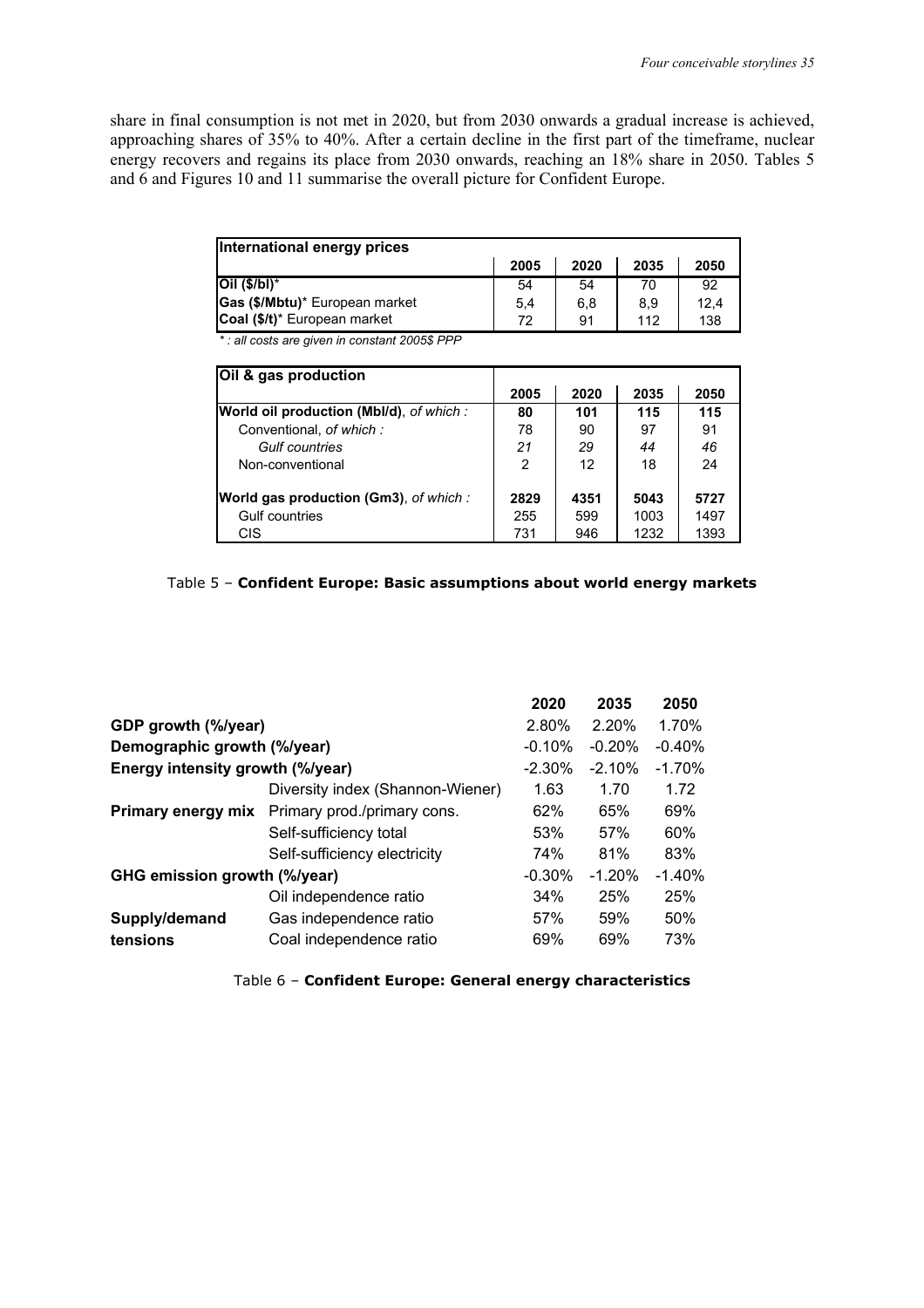share in final consumption is not met in 2020, but from 2030 onwards a gradual increase is achieved, approaching shares of 35% to 40%. After a certain decline in the first part of the timeframe, nuclear energy recovers and regains its place from 2030 onwards, reaching an 18% share in 2050. Tables 5 and 6 and Figures 10 and 11 summarise the overall picture for Confident Europe.

| International energy prices         |      |      |      |      |
|-------------------------------------|------|------|------|------|
|                                     | 2005 | 2020 | 2035 | 2050 |
| $ O   (S/b!)^*$                     | 54   | 54   | 70   | 92   |
| Gas (\$/Mbtu)* European market      | 5,4  | 6.8  | 8.9  | 12.4 |
| <b>Coal (\$/t)*</b> European market | 72   | 91   | 112  | 138  |

*\* : all costs are given in constant 2005\$ PPP*

| Oil & gas production                          |      |      |      |      |
|-----------------------------------------------|------|------|------|------|
|                                               | 2005 | 2020 | 2035 | 2050 |
| World oil production (Mbl/d), of which:       | 80   | 101  | 115  | 115  |
| Conventional, of which:                       | 78   | 90   | 97   | 91   |
| Gulf countries                                | 21   | 29   | 44   | 46   |
| Non-conventional                              | 2    | 12   | 18   | 24   |
| <b>World gas production (Gm3)</b> , of which: | 2829 | 4351 | 5043 | 5727 |
| Gulf countries                                | 255  | 599  | 1003 | 1497 |
| CIS.                                          | 731  | 946  | 1232 | 1393 |

#### Table 5 – **Confident Europe: Basic assumptions about world energy markets**

|                                  |                                  | 2020      | 2035     | 2050     |
|----------------------------------|----------------------------------|-----------|----------|----------|
| GDP growth (%/year)              |                                  | 2.80%     | 2.20%    | 1.70%    |
| Demographic growth (%/year)      |                                  | $-0.10%$  | $-0.20%$ | $-0.40%$ |
| Energy intensity growth (%/year) |                                  | $-2.30%$  | $-2.10%$ | $-1.70%$ |
|                                  | Diversity index (Shannon-Wiener) | 1.63      | 1.70     | 1.72     |
| Primary energy mix               | Primary prod./primary cons.      | 62%       | 65%      | 69%      |
|                                  | Self-sufficiency total           | 53%       | 57%      | 60%      |
|                                  | Self-sufficiency electricity     | 74%       | 81%      | 83%      |
| GHG emission growth (%/year)     |                                  | $-0.30\%$ | $-1.20%$ | $-1.40%$ |
|                                  | Oil independence ratio           | 34%       | 25%      | 25%      |
| Supply/demand                    | Gas independence ratio           | 57%       | 59%      | 50%      |
| tensions                         | Coal independence ratio          | 69%       | 69%      | 73%      |
|                                  |                                  |           |          |          |

Table 6 – **Confident Europe: General energy characteristics**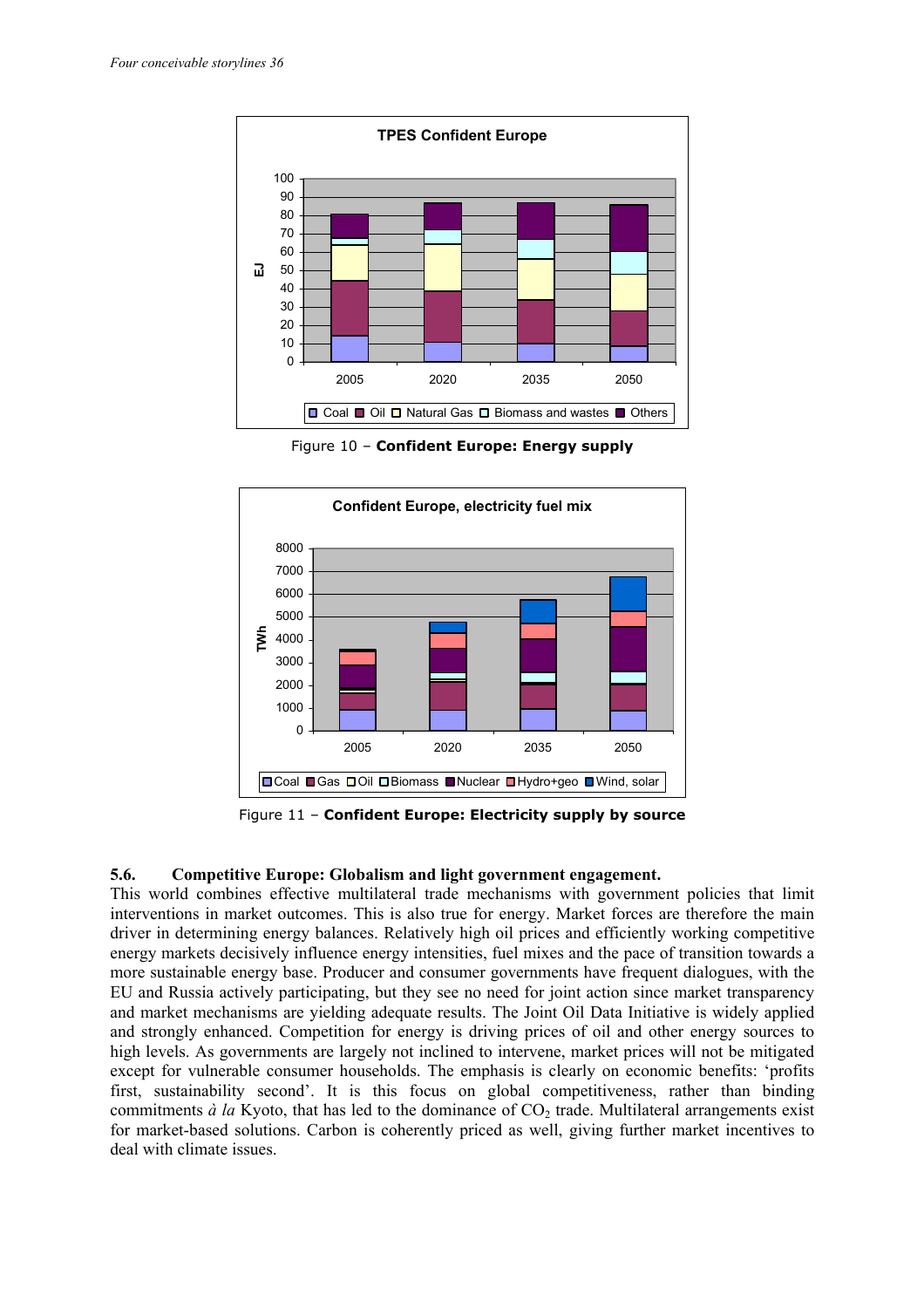

Figure 10 – **Confident Europe: Energy supply** 



Figure 11 – **Confident Europe: Electricity supply by source** 

#### **5.6. Competitive Europe: Globalism and light government engagement.**

This world combines effective multilateral trade mechanisms with government policies that limit interventions in market outcomes. This is also true for energy. Market forces are therefore the main driver in determining energy balances. Relatively high oil prices and efficiently working competitive energy markets decisively influence energy intensities, fuel mixes and the pace of transition towards a more sustainable energy base. Producer and consumer governments have frequent dialogues, with the EU and Russia actively participating, but they see no need for joint action since market transparency and market mechanisms are yielding adequate results. The Joint Oil Data Initiative is widely applied and strongly enhanced. Competition for energy is driving prices of oil and other energy sources to high levels. As governments are largely not inclined to intervene, market prices will not be mitigated except for vulnerable consumer households. The emphasis is clearly on economic benefits: 'profits first, sustainability second'. It is this focus on global competitiveness, rather than binding commitments  $\dot{a}$  la Kyoto, that has led to the dominance of  $CO<sub>2</sub>$  trade. Multilateral arrangements exist for market-based solutions. Carbon is coherently priced as well, giving further market incentives to deal with climate issues.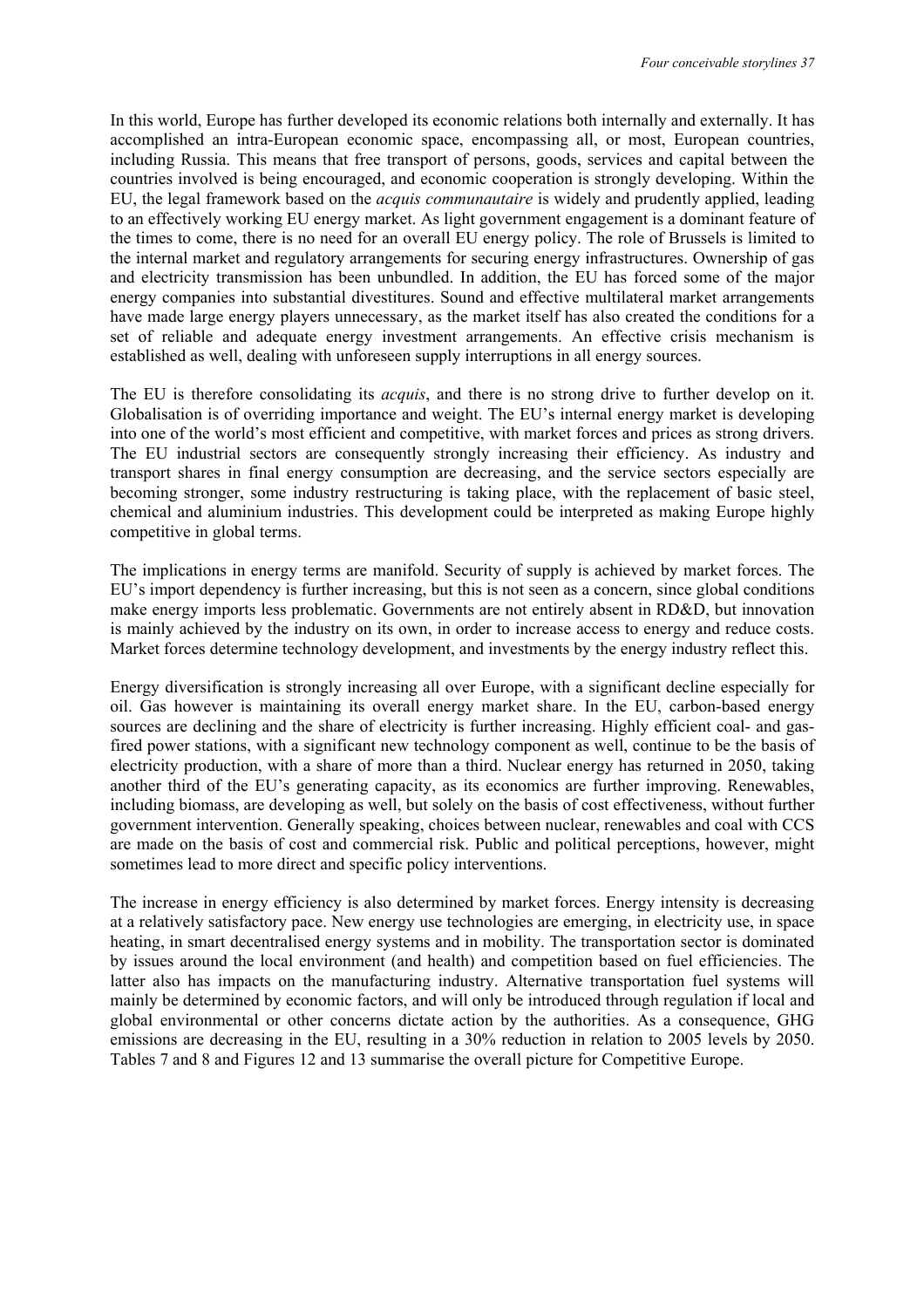In this world, Europe has further developed its economic relations both internally and externally. It has accomplished an intra-European economic space, encompassing all, or most, European countries, including Russia. This means that free transport of persons, goods, services and capital between the countries involved is being encouraged, and economic cooperation is strongly developing. Within the EU, the legal framework based on the *acquis communautaire* is widely and prudently applied, leading to an effectively working EU energy market. As light government engagement is a dominant feature of the times to come, there is no need for an overall EU energy policy. The role of Brussels is limited to the internal market and regulatory arrangements for securing energy infrastructures. Ownership of gas and electricity transmission has been unbundled. In addition, the EU has forced some of the major energy companies into substantial divestitures. Sound and effective multilateral market arrangements have made large energy players unnecessary, as the market itself has also created the conditions for a set of reliable and adequate energy investment arrangements. An effective crisis mechanism is established as well, dealing with unforeseen supply interruptions in all energy sources.

The EU is therefore consolidating its *acquis*, and there is no strong drive to further develop on it. Globalisation is of overriding importance and weight. The EU's internal energy market is developing into one of the world's most efficient and competitive, with market forces and prices as strong drivers. The EU industrial sectors are consequently strongly increasing their efficiency. As industry and transport shares in final energy consumption are decreasing, and the service sectors especially are becoming stronger, some industry restructuring is taking place, with the replacement of basic steel, chemical and aluminium industries. This development could be interpreted as making Europe highly competitive in global terms.

The implications in energy terms are manifold. Security of supply is achieved by market forces. The EU's import dependency is further increasing, but this is not seen as a concern, since global conditions make energy imports less problematic. Governments are not entirely absent in RD&D, but innovation is mainly achieved by the industry on its own, in order to increase access to energy and reduce costs. Market forces determine technology development, and investments by the energy industry reflect this.

Energy diversification is strongly increasing all over Europe, with a significant decline especially for oil. Gas however is maintaining its overall energy market share. In the EU, carbon-based energy sources are declining and the share of electricity is further increasing. Highly efficient coal- and gasfired power stations, with a significant new technology component as well, continue to be the basis of electricity production, with a share of more than a third. Nuclear energy has returned in 2050, taking another third of the EU's generating capacity, as its economics are further improving. Renewables, including biomass, are developing as well, but solely on the basis of cost effectiveness, without further government intervention. Generally speaking, choices between nuclear, renewables and coal with CCS are made on the basis of cost and commercial risk. Public and political perceptions, however, might sometimes lead to more direct and specific policy interventions.

The increase in energy efficiency is also determined by market forces. Energy intensity is decreasing at a relatively satisfactory pace. New energy use technologies are emerging, in electricity use, in space heating, in smart decentralised energy systems and in mobility. The transportation sector is dominated by issues around the local environment (and health) and competition based on fuel efficiencies. The latter also has impacts on the manufacturing industry. Alternative transportation fuel systems will mainly be determined by economic factors, and will only be introduced through regulation if local and global environmental or other concerns dictate action by the authorities. As a consequence, GHG emissions are decreasing in the EU, resulting in a 30% reduction in relation to 2005 levels by 2050. Tables 7 and 8 and Figures 12 and 13 summarise the overall picture for Competitive Europe.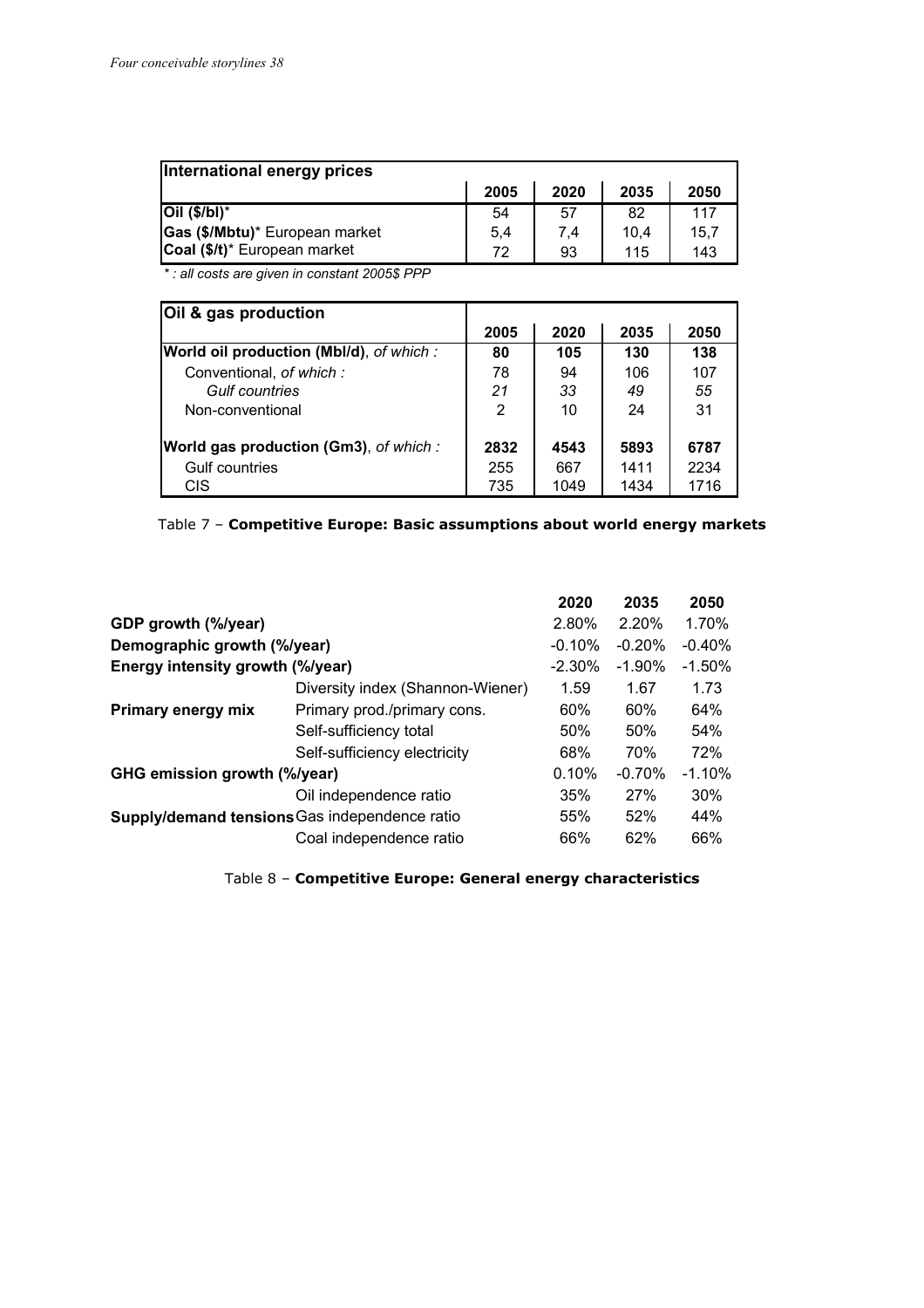| International energy prices    |      |      |      |      |  |  |  |
|--------------------------------|------|------|------|------|--|--|--|
|                                | 2005 | 2020 | 2035 | 2050 |  |  |  |
| $Oil$ (\$/bl)*                 | 54   | 57   | 82   | 117  |  |  |  |
| Gas (\$/Mbtu)* European market | 5,4  | 7.4  | 10.4 | 15.7 |  |  |  |
| Coal (\$/t)* European market   | 72   | 93   | 115  | 143  |  |  |  |

*\* : all costs are given in constant 2005\$ PPP*

| Oil & gas production                          |      |      |      |      |
|-----------------------------------------------|------|------|------|------|
|                                               | 2005 | 2020 | 2035 | 2050 |
| World oil production (Mbl/d), of which:       | 80   | 105  | 130  | 138  |
| Conventional, of which:                       | 78   | 94   | 106  | 107  |
| Gulf countries                                | 21   | 33   | 49   | 55   |
| Non-conventional                              | 2    | 10   | 24   | 31   |
| <b>World gas production (Gm3)</b> , of which: | 2832 | 4543 | 5893 | 6787 |
| Gulf countries                                | 255  | 667  | 1411 | 2234 |
| <b>CIS</b>                                    | 735  | 1049 | 1434 | 1716 |

| Table 7 - Competitive Europe: Basic assumptions about world energy markets |
|----------------------------------------------------------------------------|
|----------------------------------------------------------------------------|

|                                               |                                  | 2020      | 2035      | 2050      |
|-----------------------------------------------|----------------------------------|-----------|-----------|-----------|
| GDP growth (%/year)                           |                                  | 2.80%     | 2.20%     | 1.70%     |
| Demographic growth (%/year)                   |                                  | $-0.10%$  | $-0.20%$  | $-0.40%$  |
| Energy intensity growth (%/year)              |                                  | $-2.30\%$ | $-1.90\%$ | $-1.50\%$ |
|                                               | Diversity index (Shannon-Wiener) | 1.59      | 1.67      | 1.73      |
| Primary energy mix                            | Primary prod./primary cons.      | 60%       | 60%       | 64%       |
|                                               | Self-sufficiency total           | 50%       | 50%       | 54%       |
|                                               | Self-sufficiency electricity     | 68%       | 70%       | 72%       |
| GHG emission growth (%/year)                  |                                  | 0.10%     | $-0.70%$  | $-1.10%$  |
|                                               | Oil independence ratio           | 35%       | 27%       | 30%       |
| Supply/demand tensions Gas independence ratio |                                  | 55%       | 52%       | 44%       |
|                                               | Coal independence ratio          | 66%       | 62%       | 66%       |
|                                               |                                  |           |           |           |

Table 8 – **Competitive Europe: General energy characteristics**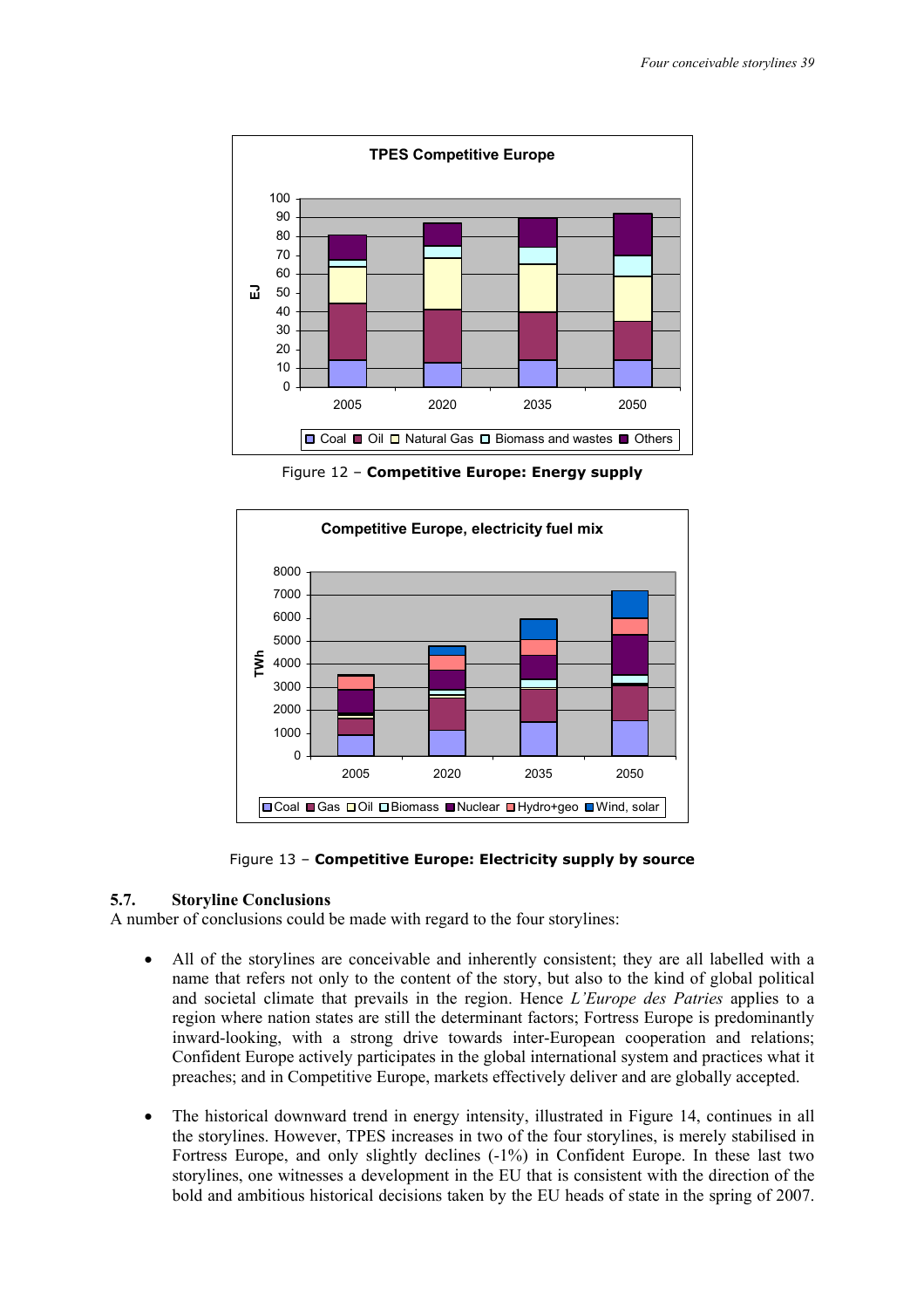

Figure 12 – **Competitive Europe: Energy supply** 



Figure 13 – **Competitive Europe: Electricity supply by source** 

#### **5.7. Storyline Conclusions**

A number of conclusions could be made with regard to the four storylines:

- All of the storylines are conceivable and inherently consistent; they are all labelled with a name that refers not only to the content of the story, but also to the kind of global political and societal climate that prevails in the region. Hence *L'Europe des Patries* applies to a region where nation states are still the determinant factors; Fortress Europe is predominantly inward-looking, with a strong drive towards inter-European cooperation and relations; Confident Europe actively participates in the global international system and practices what it preaches; and in Competitive Europe, markets effectively deliver and are globally accepted.
- The historical downward trend in energy intensity, illustrated in Figure 14, continues in all the storylines. However, TPES increases in two of the four storylines, is merely stabilised in Fortress Europe, and only slightly declines (-1%) in Confident Europe. In these last two storylines, one witnesses a development in the EU that is consistent with the direction of the bold and ambitious historical decisions taken by the EU heads of state in the spring of 2007.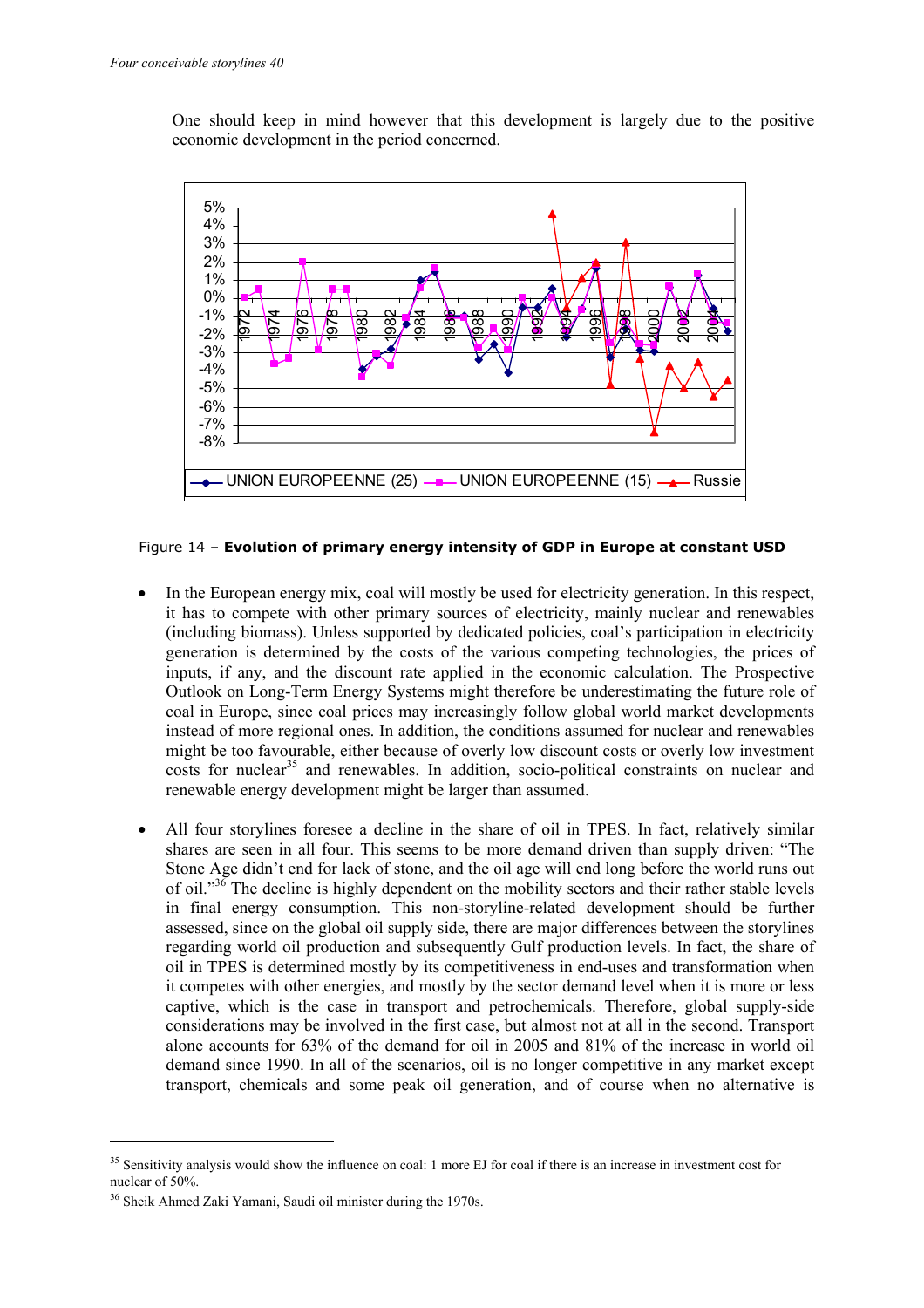One should keep in mind however that this development is largely due to the positive economic development in the period concerned.



Figure 14 – **Evolution of primary energy intensity of GDP in Europe at constant USD** 

- In the European energy mix, coal will mostly be used for electricity generation. In this respect, it has to compete with other primary sources of electricity, mainly nuclear and renewables (including biomass). Unless supported by dedicated policies, coal's participation in electricity generation is determined by the costs of the various competing technologies, the prices of inputs, if any, and the discount rate applied in the economic calculation. The Prospective Outlook on Long-Term Energy Systems might therefore be underestimating the future role of coal in Europe, since coal prices may increasingly follow global world market developments instead of more regional ones. In addition, the conditions assumed for nuclear and renewables might be too favourable, either because of overly low discount costs or overly low investment costs for nuclear<sup>35</sup> and renewables. In addition, socio-political constraints on nuclear and renewable energy development might be larger than assumed.
- All four storylines foresee a decline in the share of oil in TPES. In fact, relatively similar shares are seen in all four. This seems to be more demand driven than supply driven: "The Stone Age didn't end for lack of stone, and the oil age will end long before the world runs out of oil."<sup>36</sup> The decline is highly dependent on the mobility sectors and their rather stable levels in final energy consumption. This non-storyline-related development should be further assessed, since on the global oil supply side, there are major differences between the storylines regarding world oil production and subsequently Gulf production levels. In fact, the share of oil in TPES is determined mostly by its competitiveness in end-uses and transformation when it competes with other energies, and mostly by the sector demand level when it is more or less captive, which is the case in transport and petrochemicals. Therefore, global supply-side considerations may be involved in the first case, but almost not at all in the second. Transport alone accounts for 63% of the demand for oil in 2005 and 81% of the increase in world oil demand since 1990. In all of the scenarios, oil is no longer competitive in any market except transport, chemicals and some peak oil generation, and of course when no alternative is

<sup>&</sup>lt;sup>35</sup> Sensitivity analysis would show the influence on coal: 1 more EJ for coal if there is an increase in investment cost for nuclear of 50%.

<sup>36</sup> Sheik Ahmed Zaki Yamani, Saudi oil minister during the 1970s.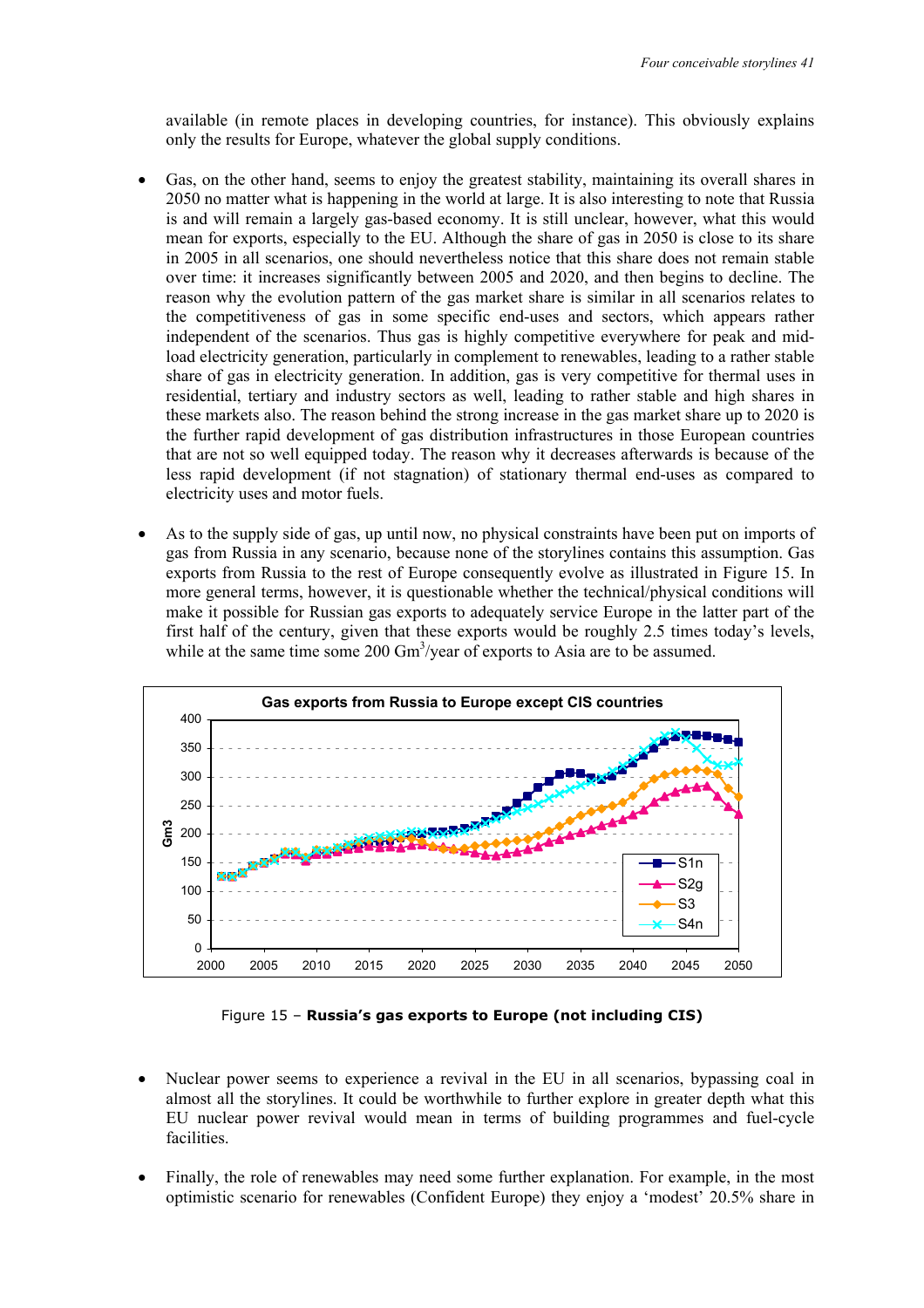available (in remote places in developing countries, for instance). This obviously explains only the results for Europe, whatever the global supply conditions.

- Gas, on the other hand, seems to enjoy the greatest stability, maintaining its overall shares in 2050 no matter what is happening in the world at large. It is also interesting to note that Russia is and will remain a largely gas-based economy. It is still unclear, however, what this would mean for exports, especially to the EU. Although the share of gas in 2050 is close to its share in 2005 in all scenarios, one should nevertheless notice that this share does not remain stable over time: it increases significantly between 2005 and 2020, and then begins to decline. The reason why the evolution pattern of the gas market share is similar in all scenarios relates to the competitiveness of gas in some specific end-uses and sectors, which appears rather independent of the scenarios. Thus gas is highly competitive everywhere for peak and midload electricity generation, particularly in complement to renewables, leading to a rather stable share of gas in electricity generation. In addition, gas is very competitive for thermal uses in residential, tertiary and industry sectors as well, leading to rather stable and high shares in these markets also. The reason behind the strong increase in the gas market share up to 2020 is the further rapid development of gas distribution infrastructures in those European countries that are not so well equipped today. The reason why it decreases afterwards is because of the less rapid development (if not stagnation) of stationary thermal end-uses as compared to electricity uses and motor fuels.
- As to the supply side of gas, up until now, no physical constraints have been put on imports of gas from Russia in any scenario, because none of the storylines contains this assumption. Gas exports from Russia to the rest of Europe consequently evolve as illustrated in Figure 15. In more general terms, however, it is questionable whether the technical/physical conditions will make it possible for Russian gas exports to adequately service Europe in the latter part of the first half of the century, given that these exports would be roughly 2.5 times today's levels, while at the same time some 200 Gm<sup>3</sup>/year of exports to Asia are to be assumed.



Figure 15 – **Russia's gas exports to Europe (not including CIS)** 

- Nuclear power seems to experience a revival in the EU in all scenarios, bypassing coal in almost all the storylines. It could be worthwhile to further explore in greater depth what this EU nuclear power revival would mean in terms of building programmes and fuel-cycle facilities.
- Finally, the role of renewables may need some further explanation. For example, in the most optimistic scenario for renewables (Confident Europe) they enjoy a 'modest' 20.5% share in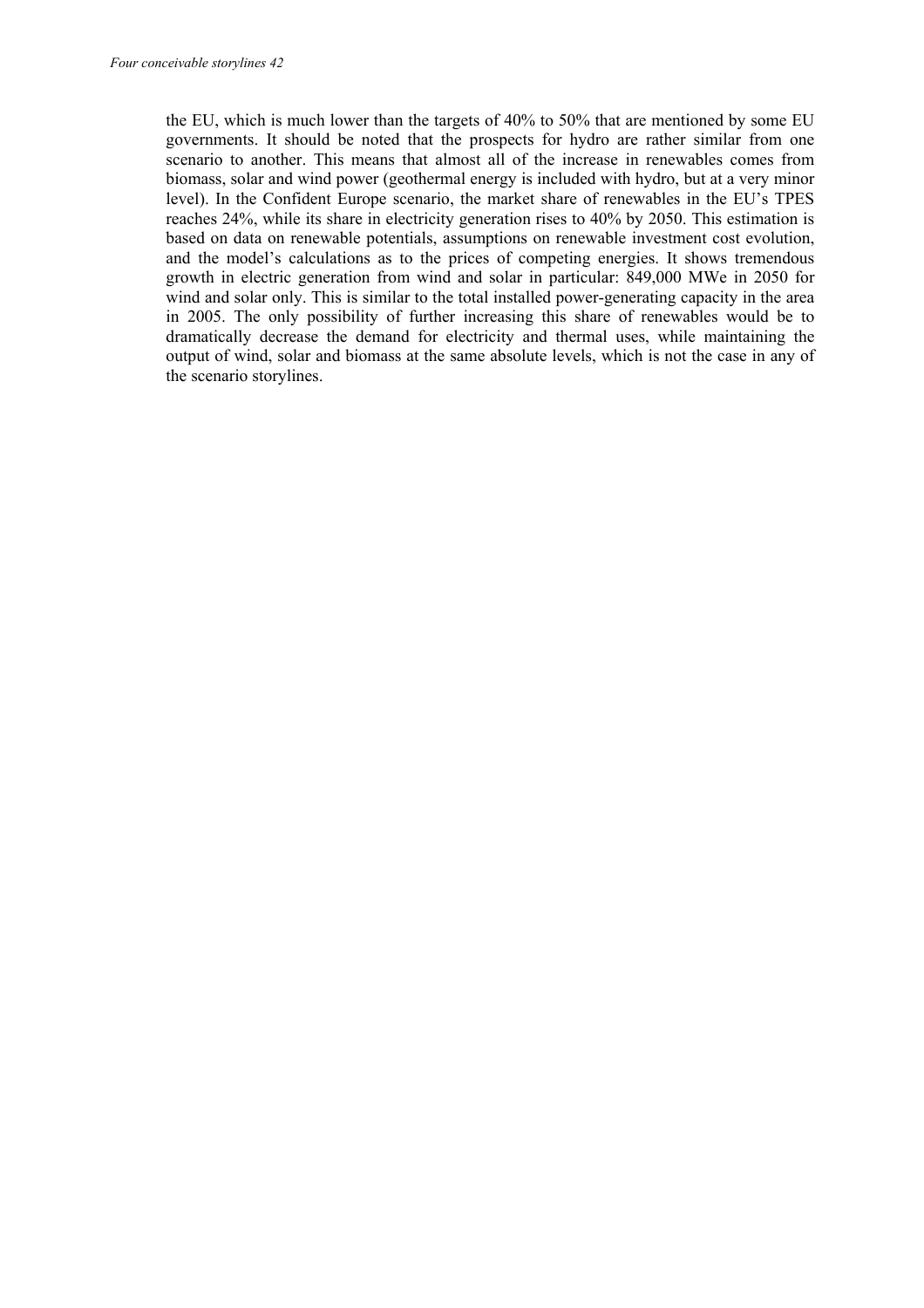the EU, which is much lower than the targets of 40% to 50% that are mentioned by some EU governments. It should be noted that the prospects for hydro are rather similar from one scenario to another. This means that almost all of the increase in renewables comes from biomass, solar and wind power (geothermal energy is included with hydro, but at a very minor level). In the Confident Europe scenario, the market share of renewables in the EU's TPES reaches 24%, while its share in electricity generation rises to 40% by 2050. This estimation is based on data on renewable potentials, assumptions on renewable investment cost evolution, and the model's calculations as to the prices of competing energies. It shows tremendous growth in electric generation from wind and solar in particular: 849,000 MWe in 2050 for wind and solar only. This is similar to the total installed power-generating capacity in the area in 2005. The only possibility of further increasing this share of renewables would be to dramatically decrease the demand for electricity and thermal uses, while maintaining the output of wind, solar and biomass at the same absolute levels, which is not the case in any of the scenario storylines.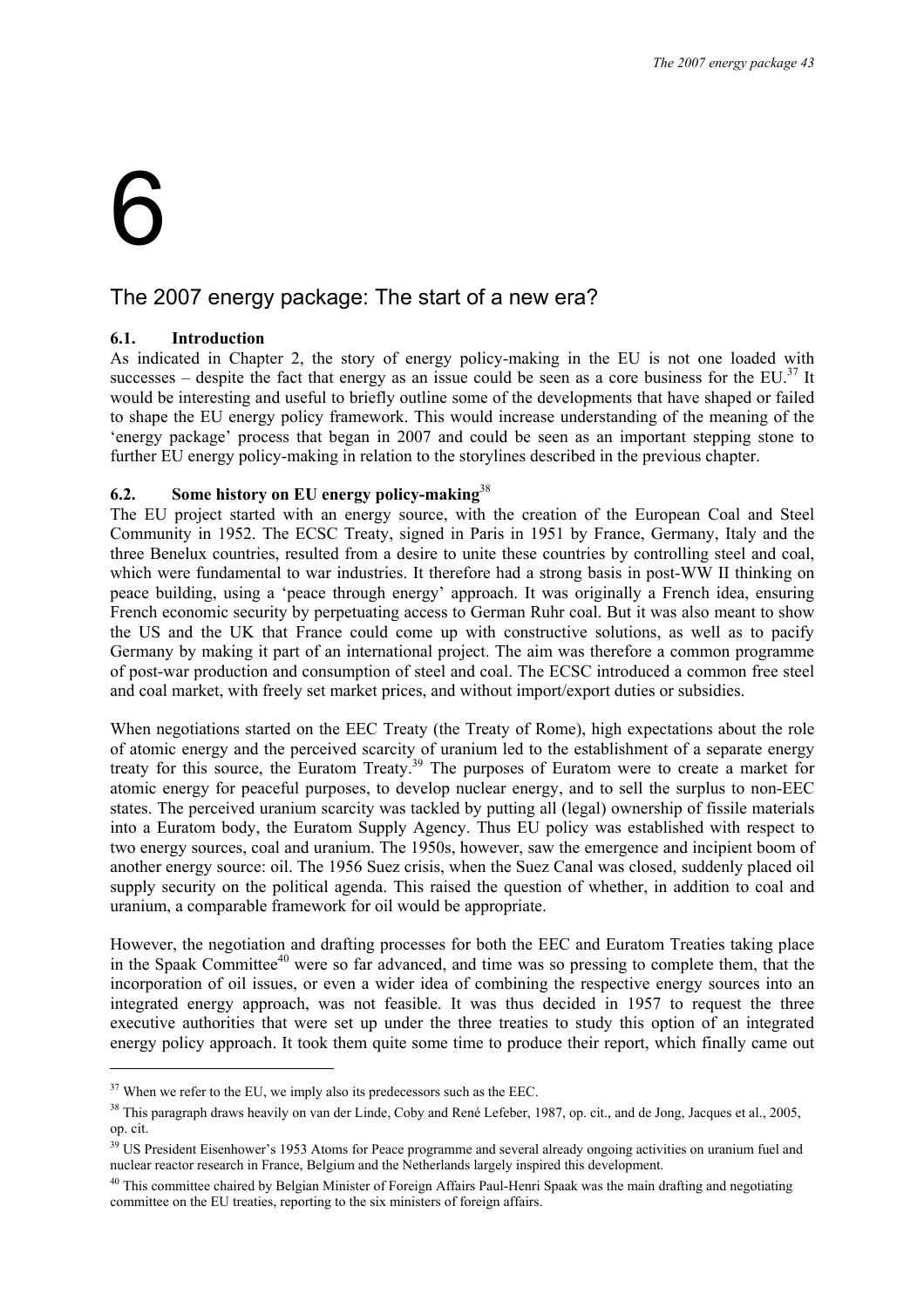# 6

ł

#### The 2007 energy package: The start of a new era?

#### **6.1. Introduction**

As indicated in Chapter 2, the story of energy policy-making in the EU is not one loaded with successes – despite the fact that energy as an issue could be seen as a core business for the EU.<sup>37</sup> It would be interesting and useful to briefly outline some of the developments that have shaped or failed to shape the EU energy policy framework. This would increase understanding of the meaning of the 'energy package' process that began in 2007 and could be seen as an important stepping stone to further EU energy policy-making in relation to the storylines described in the previous chapter.

#### **6.2. Some history on EU energy policy-making**<sup>38</sup>

The EU project started with an energy source, with the creation of the European Coal and Steel Community in 1952. The ECSC Treaty, signed in Paris in 1951 by France, Germany, Italy and the three Benelux countries, resulted from a desire to unite these countries by controlling steel and coal, which were fundamental to war industries. It therefore had a strong basis in post-WW II thinking on peace building, using a 'peace through energy' approach. It was originally a French idea, ensuring French economic security by perpetuating access to German Ruhr coal. But it was also meant to show the US and the UK that France could come up with constructive solutions, as well as to pacify Germany by making it part of an international project. The aim was therefore a common programme of post-war production and consumption of steel and coal. The ECSC introduced a common free steel and coal market, with freely set market prices, and without import/export duties or subsidies.

When negotiations started on the EEC Treaty (the Treaty of Rome), high expectations about the role of atomic energy and the perceived scarcity of uranium led to the establishment of a separate energy treaty for this source, the Euratom Treaty.<sup>39</sup> The purposes of Euratom were to create a market for atomic energy for peaceful purposes, to develop nuclear energy, and to sell the surplus to non-EEC states. The perceived uranium scarcity was tackled by putting all (legal) ownership of fissile materials into a Euratom body, the Euratom Supply Agency. Thus EU policy was established with respect to two energy sources, coal and uranium. The 1950s, however, saw the emergence and incipient boom of another energy source: oil. The 1956 Suez crisis, when the Suez Canal was closed, suddenly placed oil supply security on the political agenda. This raised the question of whether, in addition to coal and uranium, a comparable framework for oil would be appropriate.

However, the negotiation and drafting processes for both the EEC and Euratom Treaties taking place in the Spaak Committee<sup>40</sup> were so far advanced, and time was so pressing to complete them, that the incorporation of oil issues, or even a wider idea of combining the respective energy sources into an integrated energy approach, was not feasible. It was thus decided in 1957 to request the three executive authorities that were set up under the three treaties to study this option of an integrated energy policy approach. It took them quite some time to produce their report, which finally came out

 $37$  When we refer to the EU, we imply also its predecessors such as the EEC.

<sup>&</sup>lt;sup>38</sup> This paragraph draws heavily on van der Linde, Coby and René Lefeber, 1987, op. cit., and de Jong, Jacques et al., 2005, op. cit.

<sup>&</sup>lt;sup>39</sup> US President Eisenhower's 1953 Atoms for Peace programme and several already ongoing activities on uranium fuel and nuclear reactor research in France, Belgium and the Netherlands largely inspired this development.

<sup>&</sup>lt;sup>40</sup> This committee chaired by Belgian Minister of Foreign Affairs Paul-Henri Spaak was the main drafting and negotiating committee on the EU treaties, reporting to the six ministers of foreign affairs.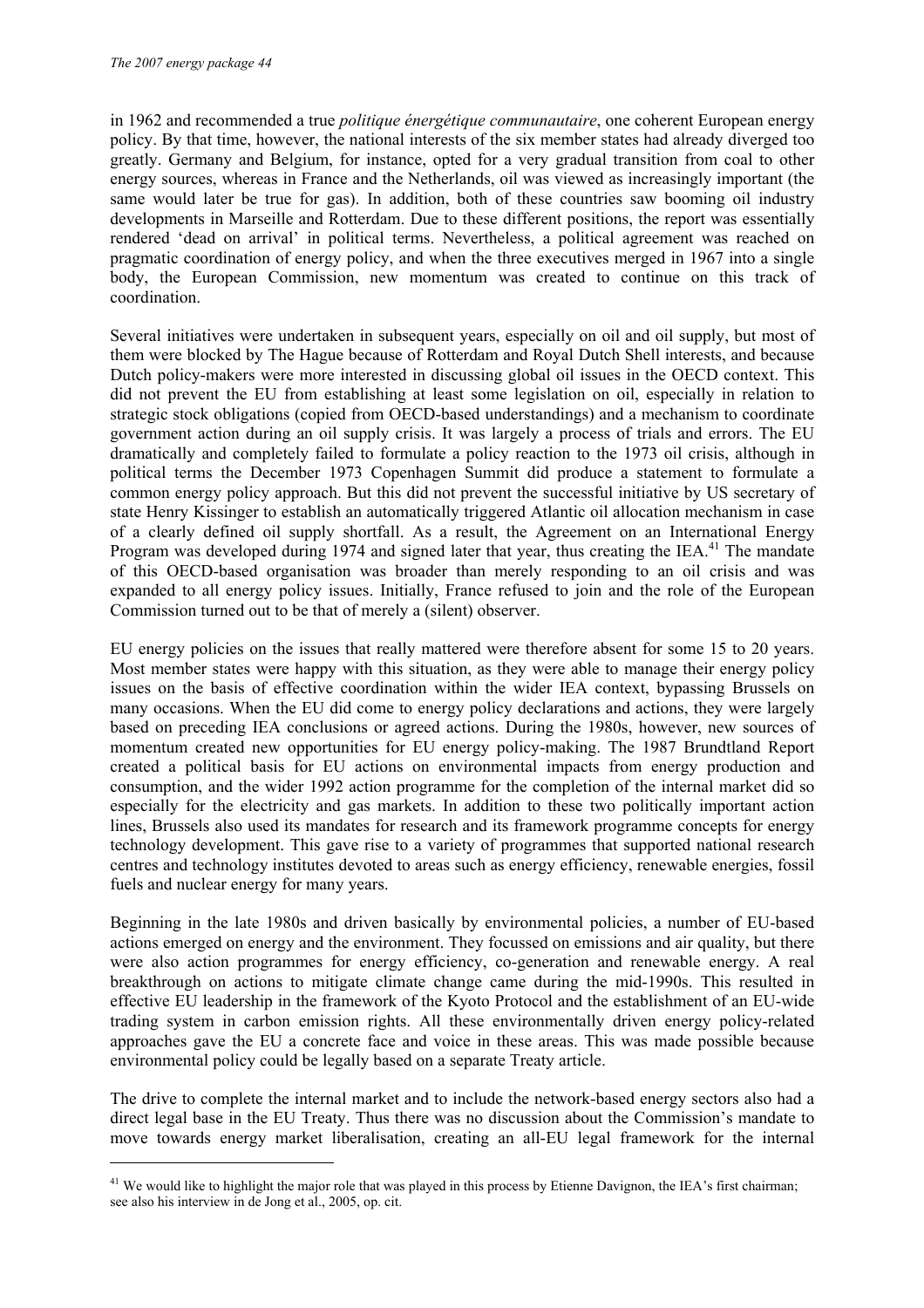ł

in 1962 and recommended a true *politique énergétique communautaire*, one coherent European energy policy. By that time, however, the national interests of the six member states had already diverged too greatly. Germany and Belgium, for instance, opted for a very gradual transition from coal to other energy sources, whereas in France and the Netherlands, oil was viewed as increasingly important (the same would later be true for gas). In addition, both of these countries saw booming oil industry developments in Marseille and Rotterdam. Due to these different positions, the report was essentially rendered 'dead on arrival' in political terms. Nevertheless, a political agreement was reached on pragmatic coordination of energy policy, and when the three executives merged in 1967 into a single body, the European Commission, new momentum was created to continue on this track of coordination.

Several initiatives were undertaken in subsequent years, especially on oil and oil supply, but most of them were blocked by The Hague because of Rotterdam and Royal Dutch Shell interests, and because Dutch policy-makers were more interested in discussing global oil issues in the OECD context. This did not prevent the EU from establishing at least some legislation on oil, especially in relation to strategic stock obligations (copied from OECD-based understandings) and a mechanism to coordinate government action during an oil supply crisis. It was largely a process of trials and errors. The EU dramatically and completely failed to formulate a policy reaction to the 1973 oil crisis, although in political terms the December 1973 Copenhagen Summit did produce a statement to formulate a common energy policy approach. But this did not prevent the successful initiative by US secretary of state Henry Kissinger to establish an automatically triggered Atlantic oil allocation mechanism in case of a clearly defined oil supply shortfall. As a result, the Agreement on an International Energy Program was developed during 1974 and signed later that year, thus creating the IEA.<sup>41</sup> The mandate of this OECD-based organisation was broader than merely responding to an oil crisis and was expanded to all energy policy issues. Initially, France refused to join and the role of the European Commission turned out to be that of merely a (silent) observer.

EU energy policies on the issues that really mattered were therefore absent for some 15 to 20 years. Most member states were happy with this situation, as they were able to manage their energy policy issues on the basis of effective coordination within the wider IEA context, bypassing Brussels on many occasions. When the EU did come to energy policy declarations and actions, they were largely based on preceding IEA conclusions or agreed actions. During the 1980s, however, new sources of momentum created new opportunities for EU energy policy-making. The 1987 Brundtland Report created a political basis for EU actions on environmental impacts from energy production and consumption, and the wider 1992 action programme for the completion of the internal market did so especially for the electricity and gas markets. In addition to these two politically important action lines, Brussels also used its mandates for research and its framework programme concepts for energy technology development. This gave rise to a variety of programmes that supported national research centres and technology institutes devoted to areas such as energy efficiency, renewable energies, fossil fuels and nuclear energy for many years.

Beginning in the late 1980s and driven basically by environmental policies, a number of EU-based actions emerged on energy and the environment. They focussed on emissions and air quality, but there were also action programmes for energy efficiency, co-generation and renewable energy. A real breakthrough on actions to mitigate climate change came during the mid-1990s. This resulted in effective EU leadership in the framework of the Kyoto Protocol and the establishment of an EU-wide trading system in carbon emission rights. All these environmentally driven energy policy-related approaches gave the EU a concrete face and voice in these areas. This was made possible because environmental policy could be legally based on a separate Treaty article.

The drive to complete the internal market and to include the network-based energy sectors also had a direct legal base in the EU Treaty. Thus there was no discussion about the Commission's mandate to move towards energy market liberalisation, creating an all-EU legal framework for the internal

<sup>&</sup>lt;sup>41</sup> We would like to highlight the major role that was played in this process by Etienne Davignon, the IEA's first chairman; see also his interview in de Jong et al., 2005, op. cit.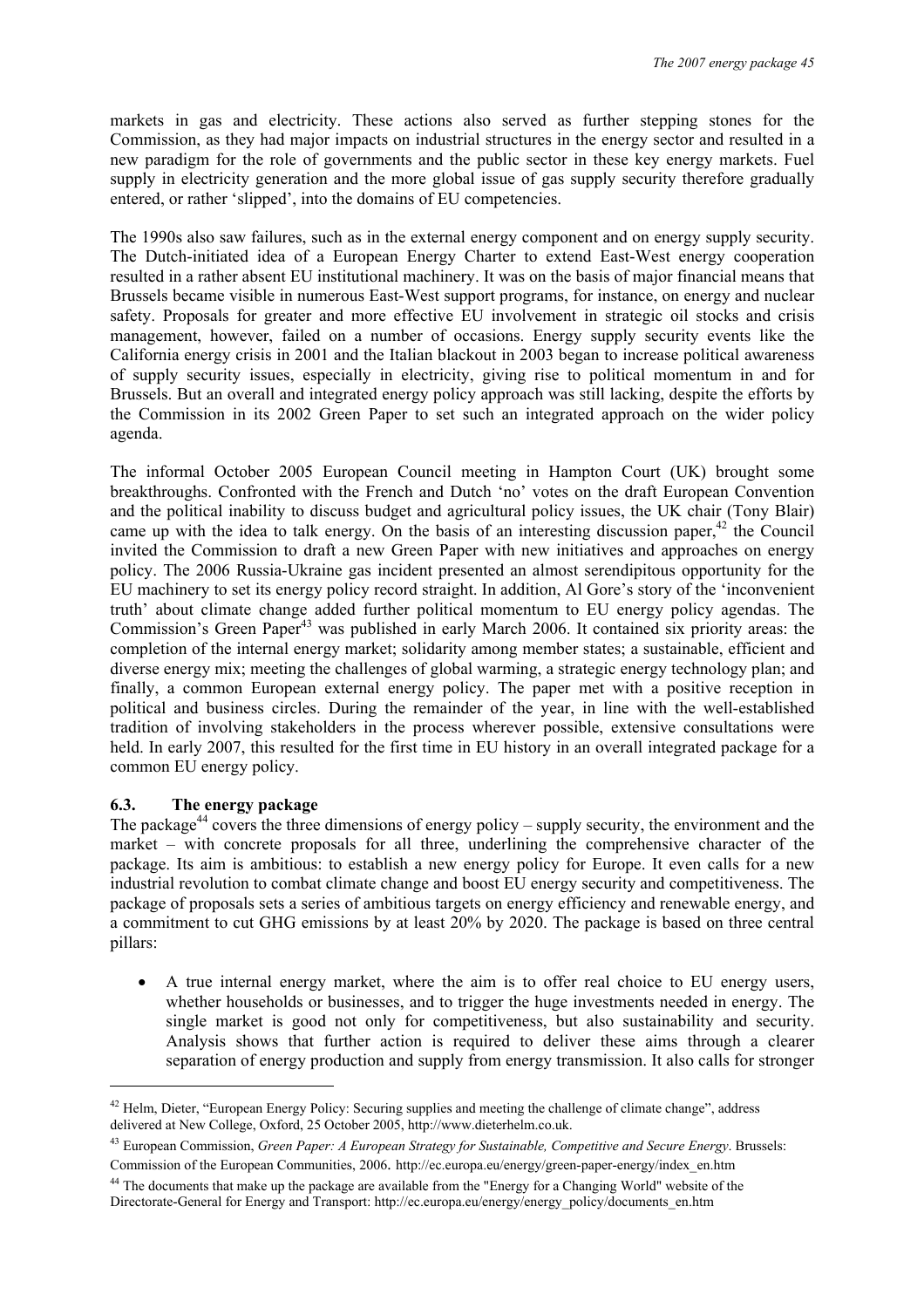markets in gas and electricity. These actions also served as further stepping stones for the Commission, as they had major impacts on industrial structures in the energy sector and resulted in a new paradigm for the role of governments and the public sector in these key energy markets. Fuel supply in electricity generation and the more global issue of gas supply security therefore gradually entered, or rather 'slipped', into the domains of EU competencies.

The 1990s also saw failures, such as in the external energy component and on energy supply security. The Dutch-initiated idea of a European Energy Charter to extend East-West energy cooperation resulted in a rather absent EU institutional machinery. It was on the basis of major financial means that Brussels became visible in numerous East-West support programs, for instance, on energy and nuclear safety. Proposals for greater and more effective EU involvement in strategic oil stocks and crisis management, however, failed on a number of occasions. Energy supply security events like the California energy crisis in 2001 and the Italian blackout in 2003 began to increase political awareness of supply security issues, especially in electricity, giving rise to political momentum in and for Brussels. But an overall and integrated energy policy approach was still lacking, despite the efforts by the Commission in its 2002 Green Paper to set such an integrated approach on the wider policy agenda.

The informal October 2005 European Council meeting in Hampton Court (UK) brought some breakthroughs. Confronted with the French and Dutch 'no' votes on the draft European Convention and the political inability to discuss budget and agricultural policy issues, the UK chair (Tony Blair) came up with the idea to talk energy. On the basis of an interesting discussion paper,<sup>42</sup> the Council invited the Commission to draft a new Green Paper with new initiatives and approaches on energy policy. The 2006 Russia-Ukraine gas incident presented an almost serendipitous opportunity for the EU machinery to set its energy policy record straight. In addition, Al Gore's story of the 'inconvenient truth' about climate change added further political momentum to EU energy policy agendas. The Commission's Green Paper<sup>43</sup> was published in early March 2006. It contained six priority areas: the completion of the internal energy market; solidarity among member states; a sustainable, efficient and diverse energy mix; meeting the challenges of global warming, a strategic energy technology plan; and finally, a common European external energy policy. The paper met with a positive reception in political and business circles. During the remainder of the year, in line with the well-established tradition of involving stakeholders in the process wherever possible, extensive consultations were held. In early 2007, this resulted for the first time in EU history in an overall integrated package for a common EU energy policy.

#### **6.3. The energy package**

ł

The package<sup>44</sup> covers the three dimensions of energy policy – supply security, the environment and the market – with concrete proposals for all three, underlining the comprehensive character of the package. Its aim is ambitious: to establish a new energy policy for Europe. It even calls for a new industrial revolution to combat climate change and boost EU energy security and competitiveness. The package of proposals sets a series of ambitious targets on energy efficiency and renewable energy, and a commitment to cut GHG emissions by at least 20% by 2020. The package is based on three central pillars:

• A true internal energy market, where the aim is to offer real choice to EU energy users, whether households or businesses, and to trigger the huge investments needed in energy. The single market is good not only for competitiveness, but also sustainability and security. Analysis shows that further action is required to deliver these aims through a clearer separation of energy production and supply from energy transmission. It also calls for stronger

 $42$  Helm, Dieter, "European Energy Policy: Securing supplies and meeting the challenge of climate change", address delivered at New College, Oxford, 25 October 2005, http://www.dieterhelm.co.uk.

<sup>43</sup> European Commission, *Green Paper: A European Strategy for Sustainable, Competitive and Secure Energy*. Brussels: Commission of the European Communities, 2006. http://ec.europa.eu/energy/green-paper-energy/index\_en.htm

<sup>&</sup>lt;sup>44</sup> The documents that make up the package are available from the "Energy for a Changing World" website of the Directorate-General for Energy and Transport: http://ec.europa.eu/energy/energy\_policy/documents\_en.htm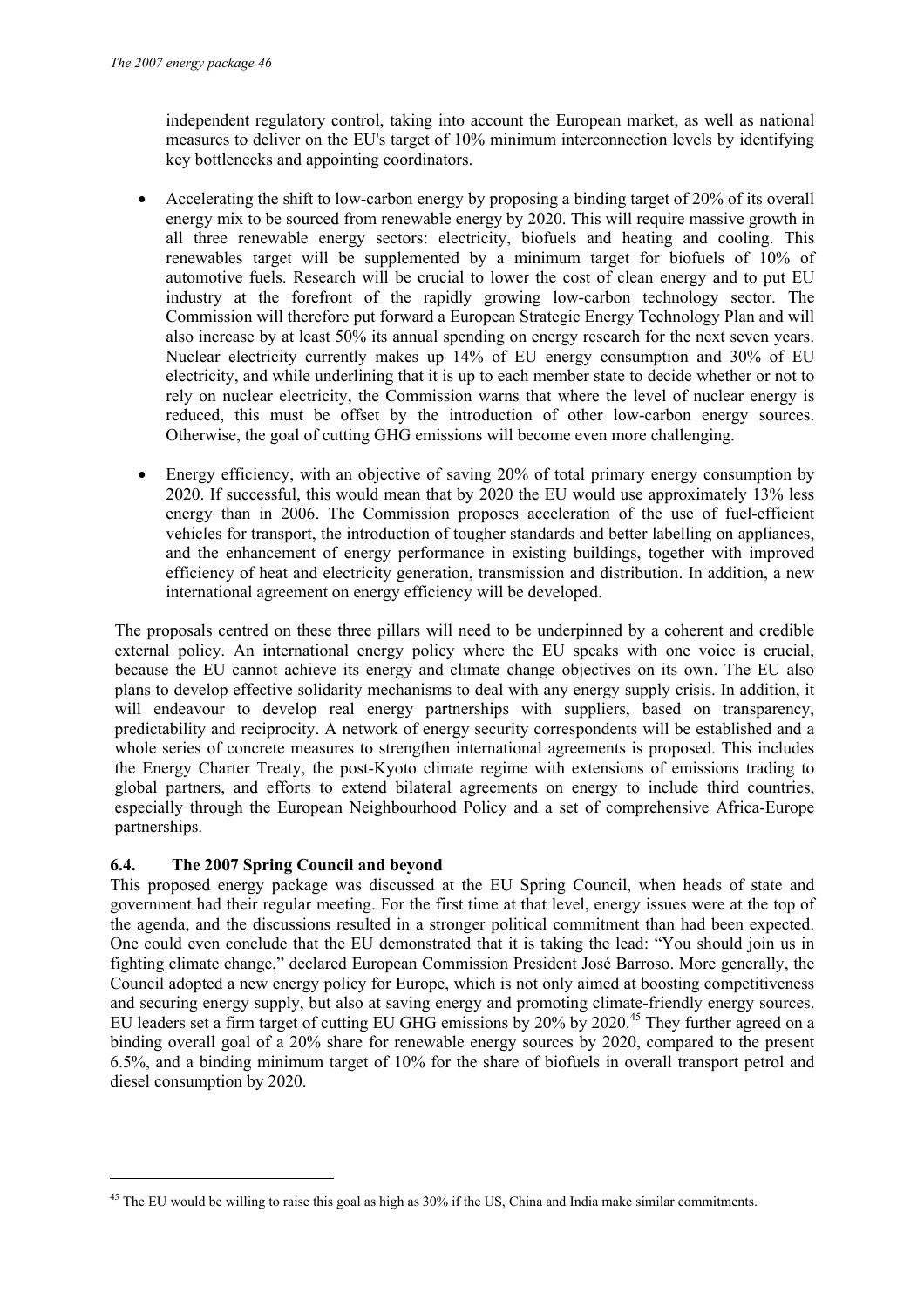independent regulatory control, taking into account the European market, as well as national measures to deliver on the EU's target of 10% minimum interconnection levels by identifying key bottlenecks and appointing coordinators.

- Accelerating the shift to low-carbon energy by proposing a binding target of 20% of its overall energy mix to be sourced from renewable energy by 2020. This will require massive growth in all three renewable energy sectors: electricity, biofuels and heating and cooling. This renewables target will be supplemented by a minimum target for biofuels of 10% of automotive fuels. Research will be crucial to lower the cost of clean energy and to put EU industry at the forefront of the rapidly growing low-carbon technology sector. The Commission will therefore put forward a European Strategic Energy Technology Plan and will also increase by at least 50% its annual spending on energy research for the next seven years. Nuclear electricity currently makes up 14% of EU energy consumption and 30% of EU electricity, and while underlining that it is up to each member state to decide whether or not to rely on nuclear electricity, the Commission warns that where the level of nuclear energy is reduced, this must be offset by the introduction of other low-carbon energy sources. Otherwise, the goal of cutting GHG emissions will become even more challenging.
- Energy efficiency, with an objective of saving 20% of total primary energy consumption by 2020. If successful, this would mean that by 2020 the EU would use approximately 13% less energy than in 2006. The Commission proposes acceleration of the use of fuel-efficient vehicles for transport, the introduction of tougher standards and better labelling on appliances, and the enhancement of energy performance in existing buildings, together with improved efficiency of heat and electricity generation, transmission and distribution. In addition, a new international agreement on energy efficiency will be developed.

The proposals centred on these three pillars will need to be underpinned by a coherent and credible external policy. An international energy policy where the EU speaks with one voice is crucial, because the EU cannot achieve its energy and climate change objectives on its own. The EU also plans to develop effective solidarity mechanisms to deal with any energy supply crisis. In addition, it will endeavour to develop real energy partnerships with suppliers, based on transparency, predictability and reciprocity. A network of energy security correspondents will be established and a whole series of concrete measures to strengthen international agreements is proposed. This includes the Energy Charter Treaty, the post-Kyoto climate regime with extensions of emissions trading to global partners, and efforts to extend bilateral agreements on energy to include third countries, especially through the European Neighbourhood Policy and a set of comprehensive Africa-Europe partnerships.

#### **6.4. The 2007 Spring Council and beyond**

ł

This proposed energy package was discussed at the EU Spring Council, when heads of state and government had their regular meeting. For the first time at that level, energy issues were at the top of the agenda, and the discussions resulted in a stronger political commitment than had been expected. One could even conclude that the EU demonstrated that it is taking the lead: "You should join us in fighting climate change," declared European Commission President José Barroso. More generally, the Council adopted a new energy policy for Europe, which is not only aimed at boosting competitiveness and securing energy supply, but also at saving energy and promoting climate-friendly energy sources. EU leaders set a firm target of cutting EU GHG emissions by 20% by 2020.<sup>45</sup> They further agreed on a binding overall goal of a 20% share for renewable energy sources by 2020, compared to the present 6.5%, and a binding minimum target of 10% for the share of biofuels in overall transport petrol and diesel consumption by 2020.

<sup>&</sup>lt;sup>45</sup> The EU would be willing to raise this goal as high as 30% if the US, China and India make similar commitments.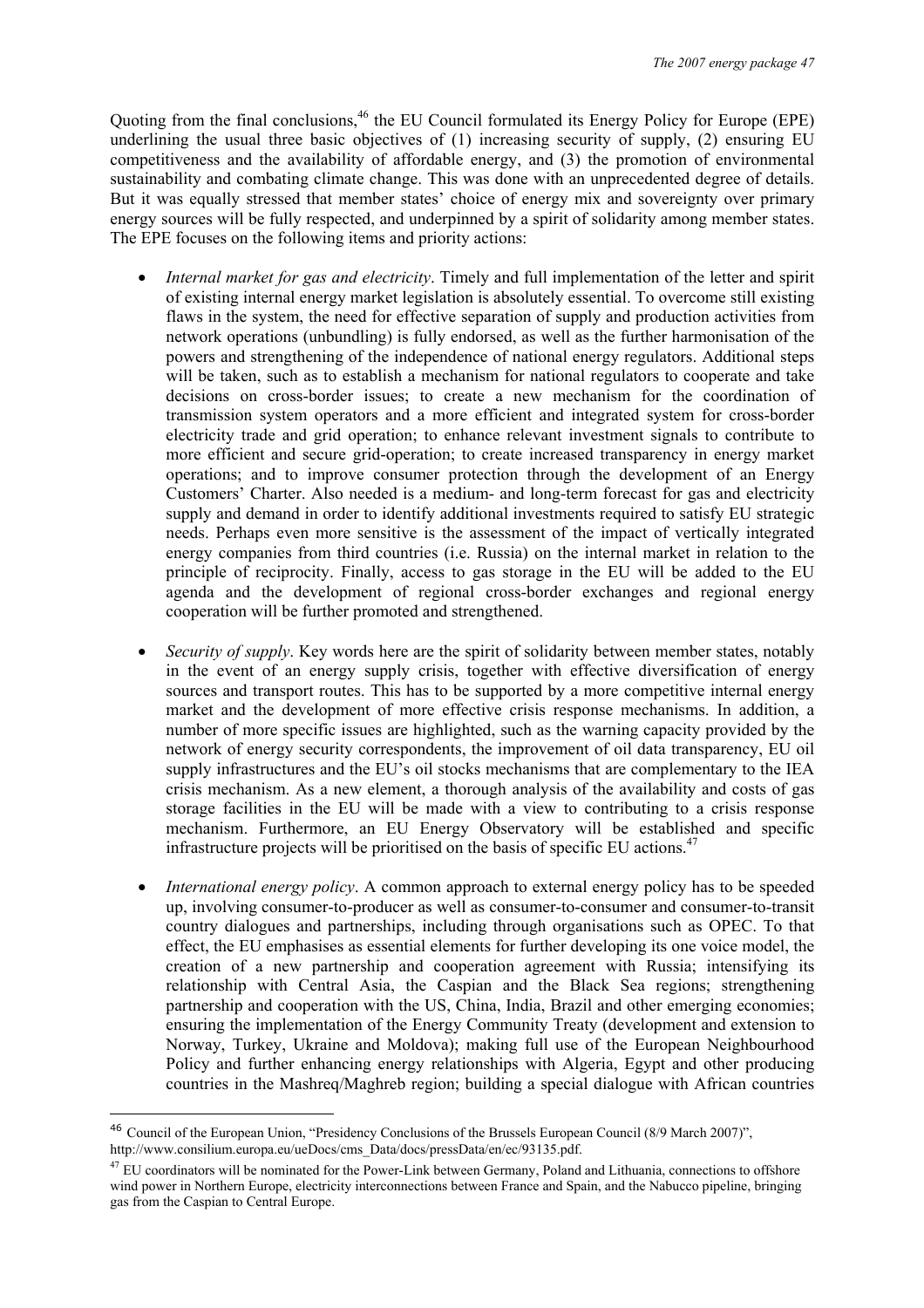Quoting from the final conclusions,<sup>46</sup> the EU Council formulated its Energy Policy for Europe (EPE) underlining the usual three basic objectives of (1) increasing security of supply, (2) ensuring EU competitiveness and the availability of affordable energy, and (3) the promotion of environmental sustainability and combating climate change. This was done with an unprecedented degree of details. But it was equally stressed that member states' choice of energy mix and sovereignty over primary energy sources will be fully respected, and underpinned by a spirit of solidarity among member states. The EPE focuses on the following items and priority actions:

- *Internal market for gas and electricity*. Timely and full implementation of the letter and spirit of existing internal energy market legislation is absolutely essential. To overcome still existing flaws in the system, the need for effective separation of supply and production activities from network operations (unbundling) is fully endorsed, as well as the further harmonisation of the powers and strengthening of the independence of national energy regulators. Additional steps will be taken, such as to establish a mechanism for national regulators to cooperate and take decisions on cross-border issues; to create a new mechanism for the coordination of transmission system operators and a more efficient and integrated system for cross-border electricity trade and grid operation; to enhance relevant investment signals to contribute to more efficient and secure grid-operation; to create increased transparency in energy market operations; and to improve consumer protection through the development of an Energy Customers' Charter. Also needed is a medium- and long-term forecast for gas and electricity supply and demand in order to identify additional investments required to satisfy EU strategic needs. Perhaps even more sensitive is the assessment of the impact of vertically integrated energy companies from third countries (i.e. Russia) on the internal market in relation to the principle of reciprocity. Finally, access to gas storage in the EU will be added to the EU agenda and the development of regional cross-border exchanges and regional energy cooperation will be further promoted and strengthened.
- *Security of supply*. Key words here are the spirit of solidarity between member states, notably in the event of an energy supply crisis, together with effective diversification of energy sources and transport routes. This has to be supported by a more competitive internal energy market and the development of more effective crisis response mechanisms. In addition, a number of more specific issues are highlighted, such as the warning capacity provided by the network of energy security correspondents, the improvement of oil data transparency, EU oil supply infrastructures and the EU's oil stocks mechanisms that are complementary to the IEA crisis mechanism. As a new element, a thorough analysis of the availability and costs of gas storage facilities in the EU will be made with a view to contributing to a crisis response mechanism. Furthermore, an EU Energy Observatory will be established and specific infrastructure projects will be prioritised on the basis of specific EU actions.<sup>47</sup>
- *International energy policy*. A common approach to external energy policy has to be speeded up, involving consumer-to-producer as well as consumer-to-consumer and consumer-to-transit country dialogues and partnerships, including through organisations such as OPEC. To that effect, the EU emphasises as essential elements for further developing its one voice model, the creation of a new partnership and cooperation agreement with Russia; intensifying its relationship with Central Asia, the Caspian and the Black Sea regions; strengthening partnership and cooperation with the US, China, India, Brazil and other emerging economies; ensuring the implementation of the Energy Community Treaty (development and extension to Norway, Turkey, Ukraine and Moldova); making full use of the European Neighbourhood Policy and further enhancing energy relationships with Algeria, Egypt and other producing countries in the Mashreq/Maghreb region; building a special dialogue with African countries

<sup>46</sup> Council of the European Union, "Presidency Conclusions of the Brussels European Council (8/9 March 2007)", http://www.consilium.europa.eu/ueDocs/cms\_Data/docs/pressData/en/ec/93135.pdf.

<sup>&</sup>lt;sup>47</sup> EU coordinators will be nominated for the Power-Link between Germany, Poland and Lithuania, connections to offshore wind power in Northern Europe, electricity interconnections between France and Spain, and the Nabucco pipeline, bringing gas from the Caspian to Central Europe.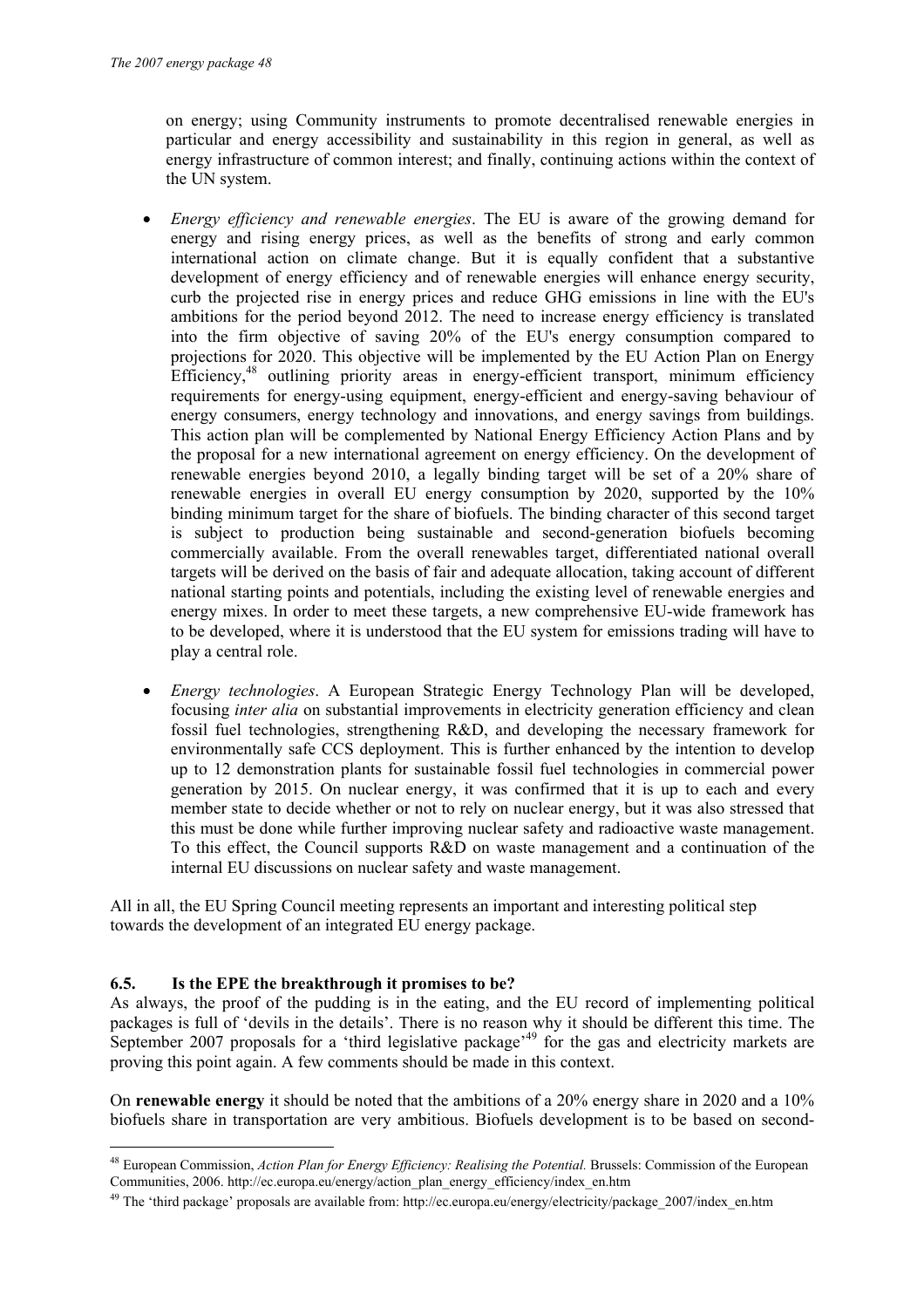on energy; using Community instruments to promote decentralised renewable energies in particular and energy accessibility and sustainability in this region in general, as well as energy infrastructure of common interest; and finally, continuing actions within the context of the UN system.

- *Energy efficiency and renewable energies*. The EU is aware of the growing demand for energy and rising energy prices, as well as the benefits of strong and early common international action on climate change. But it is equally confident that a substantive development of energy efficiency and of renewable energies will enhance energy security, curb the projected rise in energy prices and reduce GHG emissions in line with the EU's ambitions for the period beyond 2012. The need to increase energy efficiency is translated into the firm objective of saving 20% of the EU's energy consumption compared to projections for 2020. This objective will be implemented by the EU Action Plan on Energy Efficiency,<sup>48</sup> outlining priority areas in energy-efficient transport, minimum efficiency requirements for energy-using equipment, energy-efficient and energy-saving behaviour of energy consumers, energy technology and innovations, and energy savings from buildings. This action plan will be complemented by National Energy Efficiency Action Plans and by the proposal for a new international agreement on energy efficiency. On the development of renewable energies beyond 2010, a legally binding target will be set of a 20% share of renewable energies in overall EU energy consumption by 2020, supported by the 10% binding minimum target for the share of biofuels. The binding character of this second target is subject to production being sustainable and second-generation biofuels becoming commercially available. From the overall renewables target, differentiated national overall targets will be derived on the basis of fair and adequate allocation, taking account of different national starting points and potentials, including the existing level of renewable energies and energy mixes. In order to meet these targets, a new comprehensive EU-wide framework has to be developed, where it is understood that the EU system for emissions trading will have to play a central role.
- *Energy technologies*. A European Strategic Energy Technology Plan will be developed, focusing *inter alia* on substantial improvements in electricity generation efficiency and clean fossil fuel technologies, strengthening R&D, and developing the necessary framework for environmentally safe CCS deployment. This is further enhanced by the intention to develop up to 12 demonstration plants for sustainable fossil fuel technologies in commercial power generation by 2015. On nuclear energy, it was confirmed that it is up to each and every member state to decide whether or not to rely on nuclear energy, but it was also stressed that this must be done while further improving nuclear safety and radioactive waste management. To this effect, the Council supports R&D on waste management and a continuation of the internal EU discussions on nuclear safety and waste management.

All in all, the EU Spring Council meeting represents an important and interesting political step towards the development of an integrated EU energy package.

#### **6.5. Is the EPE the breakthrough it promises to be?**

ł

As always, the proof of the pudding is in the eating, and the EU record of implementing political packages is full of 'devils in the details'. There is no reason why it should be different this time. The September 2007 proposals for a 'third legislative package'<sup>49</sup> for the gas and electricity markets are proving this point again. A few comments should be made in this context.

On **renewable energy** it should be noted that the ambitions of a 20% energy share in 2020 and a 10% biofuels share in transportation are very ambitious. Biofuels development is to be based on second-

<sup>&</sup>lt;sup>48</sup> European Commission, *Action Plan for Energy Efficiency: Realising the Potential*. Brussels: Commission of the European Communities, 2006. http://ec.europa.eu/energy/action\_plan\_energy\_efficiency/index\_en.htm

 $^{49}$  The 'third package' proposals are available from: http://ec.europa.eu/energy/electricity/package\_2007/index\_en.htm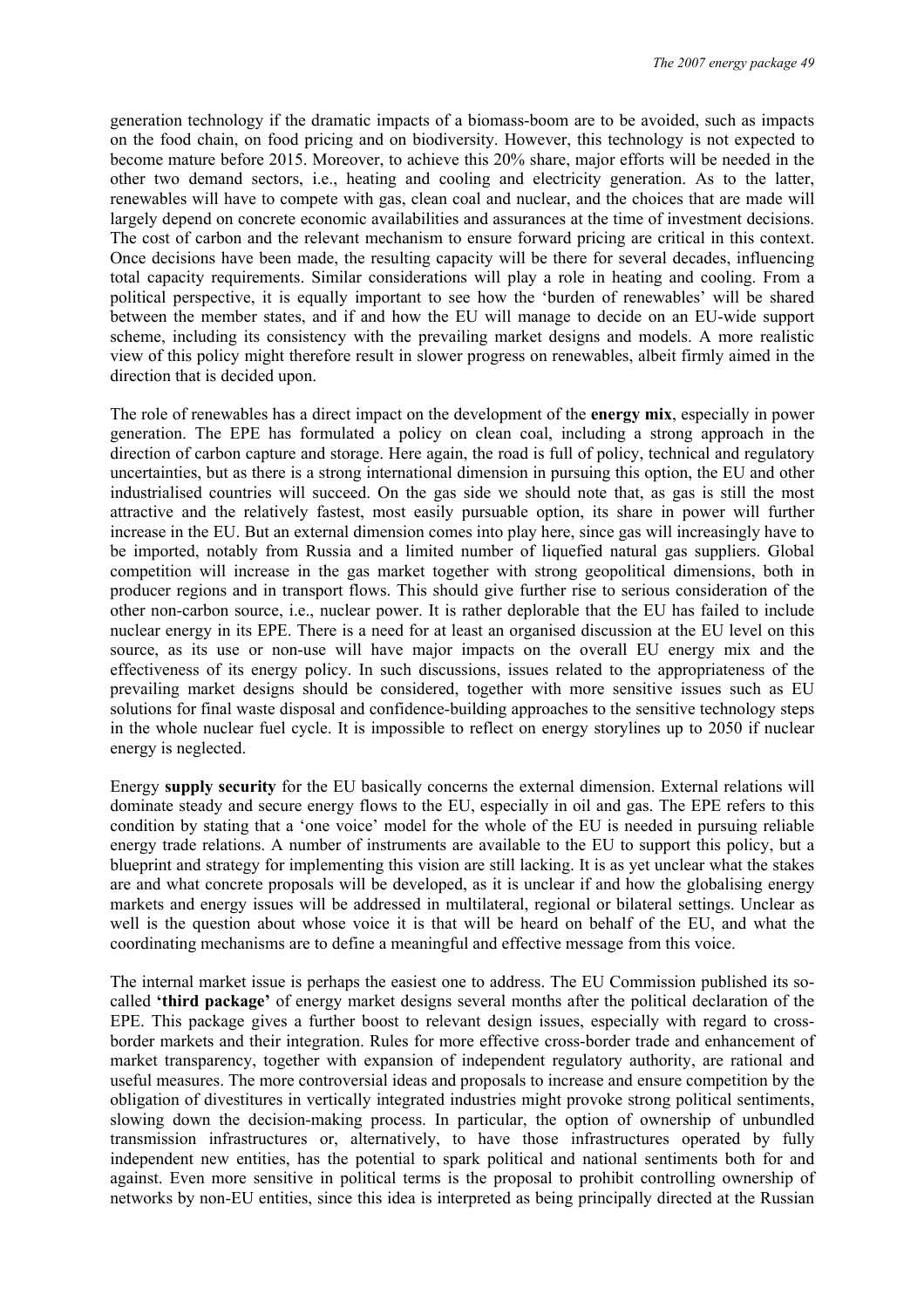generation technology if the dramatic impacts of a biomass-boom are to be avoided, such as impacts on the food chain, on food pricing and on biodiversity. However, this technology is not expected to become mature before 2015. Moreover, to achieve this 20% share, major efforts will be needed in the other two demand sectors, i.e., heating and cooling and electricity generation. As to the latter, renewables will have to compete with gas, clean coal and nuclear, and the choices that are made will largely depend on concrete economic availabilities and assurances at the time of investment decisions. The cost of carbon and the relevant mechanism to ensure forward pricing are critical in this context. Once decisions have been made, the resulting capacity will be there for several decades, influencing total capacity requirements. Similar considerations will play a role in heating and cooling. From a political perspective, it is equally important to see how the 'burden of renewables' will be shared between the member states, and if and how the EU will manage to decide on an EU-wide support scheme, including its consistency with the prevailing market designs and models. A more realistic view of this policy might therefore result in slower progress on renewables, albeit firmly aimed in the direction that is decided upon.

The role of renewables has a direct impact on the development of the **energy mix**, especially in power generation. The EPE has formulated a policy on clean coal, including a strong approach in the direction of carbon capture and storage. Here again, the road is full of policy, technical and regulatory uncertainties, but as there is a strong international dimension in pursuing this option, the EU and other industrialised countries will succeed. On the gas side we should note that, as gas is still the most attractive and the relatively fastest, most easily pursuable option, its share in power will further increase in the EU. But an external dimension comes into play here, since gas will increasingly have to be imported, notably from Russia and a limited number of liquefied natural gas suppliers. Global competition will increase in the gas market together with strong geopolitical dimensions, both in producer regions and in transport flows. This should give further rise to serious consideration of the other non-carbon source, i.e., nuclear power. It is rather deplorable that the EU has failed to include nuclear energy in its EPE. There is a need for at least an organised discussion at the EU level on this source, as its use or non-use will have major impacts on the overall EU energy mix and the effectiveness of its energy policy. In such discussions, issues related to the appropriateness of the prevailing market designs should be considered, together with more sensitive issues such as EU solutions for final waste disposal and confidence-building approaches to the sensitive technology steps in the whole nuclear fuel cycle. It is impossible to reflect on energy storylines up to 2050 if nuclear energy is neglected.

Energy **supply security** for the EU basically concerns the external dimension. External relations will dominate steady and secure energy flows to the EU, especially in oil and gas. The EPE refers to this condition by stating that a 'one voice' model for the whole of the EU is needed in pursuing reliable energy trade relations. A number of instruments are available to the EU to support this policy, but a blueprint and strategy for implementing this vision are still lacking. It is as yet unclear what the stakes are and what concrete proposals will be developed, as it is unclear if and how the globalising energy markets and energy issues will be addressed in multilateral, regional or bilateral settings. Unclear as well is the question about whose voice it is that will be heard on behalf of the EU, and what the coordinating mechanisms are to define a meaningful and effective message from this voice.

The internal market issue is perhaps the easiest one to address. The EU Commission published its socalled **'third package'** of energy market designs several months after the political declaration of the EPE. This package gives a further boost to relevant design issues, especially with regard to crossborder markets and their integration. Rules for more effective cross-border trade and enhancement of market transparency, together with expansion of independent regulatory authority, are rational and useful measures. The more controversial ideas and proposals to increase and ensure competition by the obligation of divestitures in vertically integrated industries might provoke strong political sentiments, slowing down the decision-making process. In particular, the option of ownership of unbundled transmission infrastructures or, alternatively, to have those infrastructures operated by fully independent new entities, has the potential to spark political and national sentiments both for and against. Even more sensitive in political terms is the proposal to prohibit controlling ownership of networks by non-EU entities, since this idea is interpreted as being principally directed at the Russian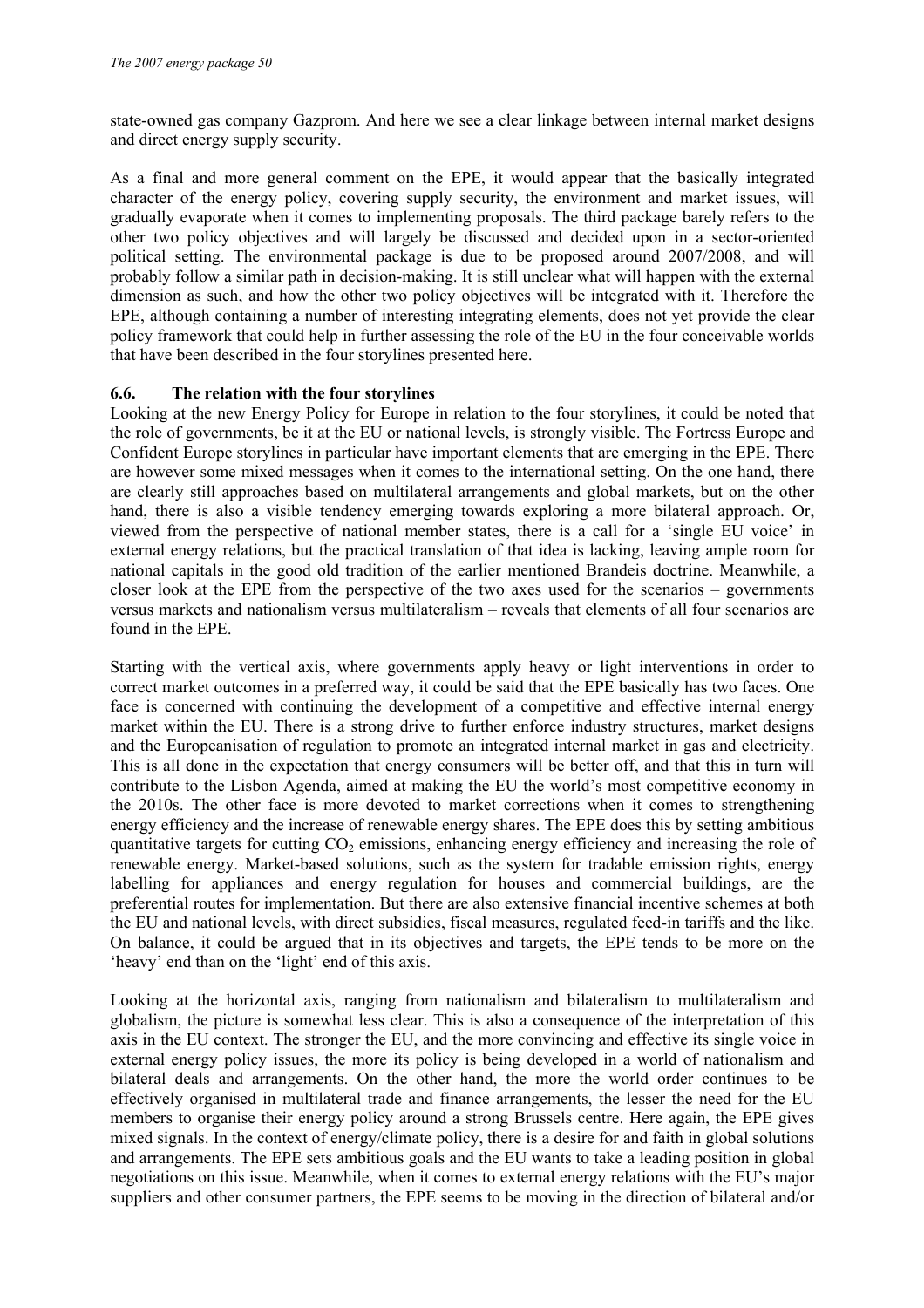state-owned gas company Gazprom. And here we see a clear linkage between internal market designs and direct energy supply security.

As a final and more general comment on the EPE, it would appear that the basically integrated character of the energy policy, covering supply security, the environment and market issues, will gradually evaporate when it comes to implementing proposals. The third package barely refers to the other two policy objectives and will largely be discussed and decided upon in a sector-oriented political setting. The environmental package is due to be proposed around 2007/2008, and will probably follow a similar path in decision-making. It is still unclear what will happen with the external dimension as such, and how the other two policy objectives will be integrated with it. Therefore the EPE, although containing a number of interesting integrating elements, does not yet provide the clear policy framework that could help in further assessing the role of the EU in the four conceivable worlds that have been described in the four storylines presented here.

#### **6.6. The relation with the four storylines**

Looking at the new Energy Policy for Europe in relation to the four storylines, it could be noted that the role of governments, be it at the EU or national levels, is strongly visible. The Fortress Europe and Confident Europe storylines in particular have important elements that are emerging in the EPE. There are however some mixed messages when it comes to the international setting. On the one hand, there are clearly still approaches based on multilateral arrangements and global markets, but on the other hand, there is also a visible tendency emerging towards exploring a more bilateral approach. Or, viewed from the perspective of national member states, there is a call for a 'single EU voice' in external energy relations, but the practical translation of that idea is lacking, leaving ample room for national capitals in the good old tradition of the earlier mentioned Brandeis doctrine. Meanwhile, a closer look at the EPE from the perspective of the two axes used for the scenarios – governments versus markets and nationalism versus multilateralism – reveals that elements of all four scenarios are found in the EPE.

Starting with the vertical axis, where governments apply heavy or light interventions in order to correct market outcomes in a preferred way, it could be said that the EPE basically has two faces. One face is concerned with continuing the development of a competitive and effective internal energy market within the EU. There is a strong drive to further enforce industry structures, market designs and the Europeanisation of regulation to promote an integrated internal market in gas and electricity. This is all done in the expectation that energy consumers will be better off, and that this in turn will contribute to the Lisbon Agenda, aimed at making the EU the world's most competitive economy in the 2010s. The other face is more devoted to market corrections when it comes to strengthening energy efficiency and the increase of renewable energy shares. The EPE does this by setting ambitious quantitative targets for cutting  $CO<sub>2</sub>$  emissions, enhancing energy efficiency and increasing the role of renewable energy. Market-based solutions, such as the system for tradable emission rights, energy labelling for appliances and energy regulation for houses and commercial buildings, are the preferential routes for implementation. But there are also extensive financial incentive schemes at both the EU and national levels, with direct subsidies, fiscal measures, regulated feed-in tariffs and the like. On balance, it could be argued that in its objectives and targets, the EPE tends to be more on the 'heavy' end than on the 'light' end of this axis.

Looking at the horizontal axis, ranging from nationalism and bilateralism to multilateralism and globalism, the picture is somewhat less clear. This is also a consequence of the interpretation of this axis in the EU context. The stronger the EU, and the more convincing and effective its single voice in external energy policy issues, the more its policy is being developed in a world of nationalism and bilateral deals and arrangements. On the other hand, the more the world order continues to be effectively organised in multilateral trade and finance arrangements, the lesser the need for the EU members to organise their energy policy around a strong Brussels centre. Here again, the EPE gives mixed signals. In the context of energy/climate policy, there is a desire for and faith in global solutions and arrangements. The EPE sets ambitious goals and the EU wants to take a leading position in global negotiations on this issue. Meanwhile, when it comes to external energy relations with the EU's major suppliers and other consumer partners, the EPE seems to be moving in the direction of bilateral and/or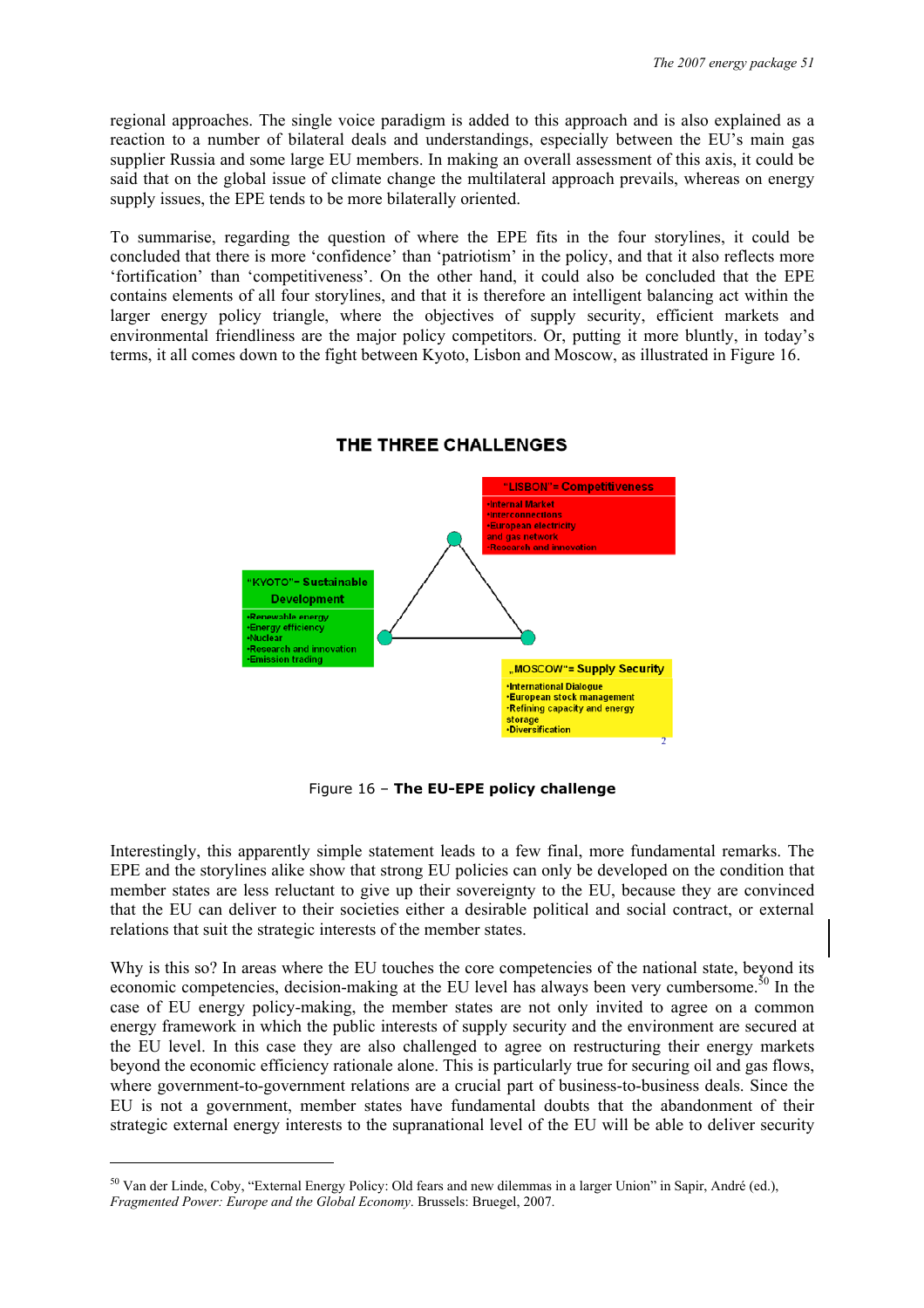regional approaches. The single voice paradigm is added to this approach and is also explained as a reaction to a number of bilateral deals and understandings, especially between the EU's main gas supplier Russia and some large EU members. In making an overall assessment of this axis, it could be said that on the global issue of climate change the multilateral approach prevails, whereas on energy supply issues, the EPE tends to be more bilaterally oriented.

To summarise, regarding the question of where the EPE fits in the four storylines, it could be concluded that there is more 'confidence' than 'patriotism' in the policy, and that it also reflects more 'fortification' than 'competitiveness'. On the other hand, it could also be concluded that the EPE contains elements of all four storylines, and that it is therefore an intelligent balancing act within the larger energy policy triangle, where the objectives of supply security, efficient markets and environmental friendliness are the major policy competitors. Or, putting it more bluntly, in today's terms, it all comes down to the fight between Kyoto, Lisbon and Moscow, as illustrated in Figure 16.



#### THE THREE CHALLENGES

Figure 16 – **The EU-EPE policy challenge** 

Interestingly, this apparently simple statement leads to a few final, more fundamental remarks. The EPE and the storylines alike show that strong EU policies can only be developed on the condition that member states are less reluctant to give up their sovereignty to the EU, because they are convinced that the EU can deliver to their societies either a desirable political and social contract, or external relations that suit the strategic interests of the member states.

Why is this so? In areas where the EU touches the core competencies of the national state, beyond its economic competencies, decision-making at the EU level has always been very cumbersome.<sup>50</sup> In the case of EU energy policy-making, the member states are not only invited to agree on a common energy framework in which the public interests of supply security and the environment are secured at the EU level. In this case they are also challenged to agree on restructuring their energy markets beyond the economic efficiency rationale alone. This is particularly true for securing oil and gas flows, where government-to-government relations are a crucial part of business-to-business deals. Since the EU is not a government, member states have fundamental doubts that the abandonment of their strategic external energy interests to the supranational level of the EU will be able to deliver security

<sup>50</sup> Van der Linde, Coby, "External Energy Policy: Old fears and new dilemmas in a larger Union" in Sapir, André (ed.), *Fragmented Power: Europe and the Global Economy*. Brussels: Bruegel, 2007.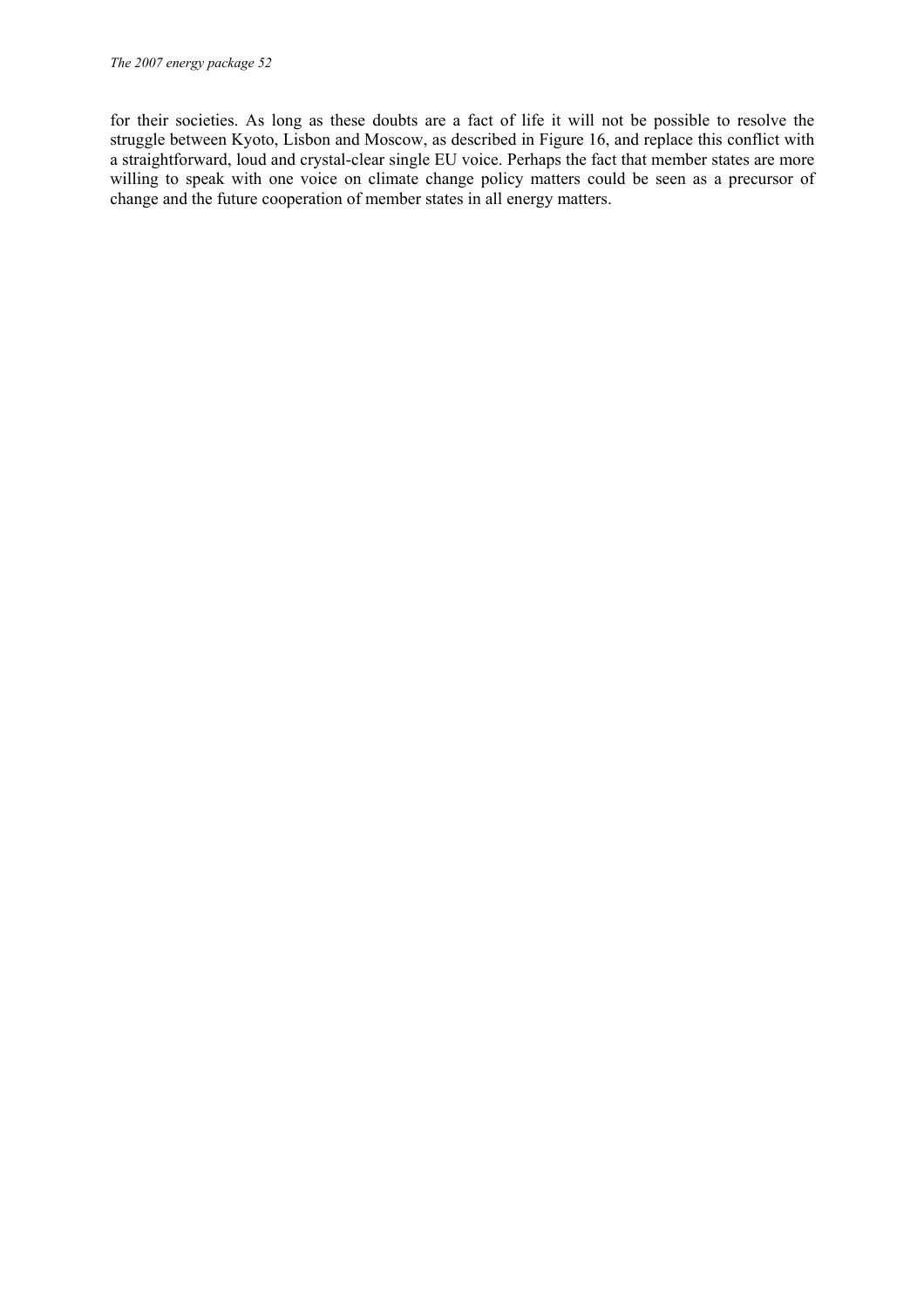for their societies. As long as these doubts are a fact of life it will not be possible to resolve the struggle between Kyoto, Lisbon and Moscow, as described in Figure 16, and replace this conflict with a straightforward, loud and crystal-clear single EU voice. Perhaps the fact that member states are more willing to speak with one voice on climate change policy matters could be seen as a precursor of change and the future cooperation of member states in all energy matters.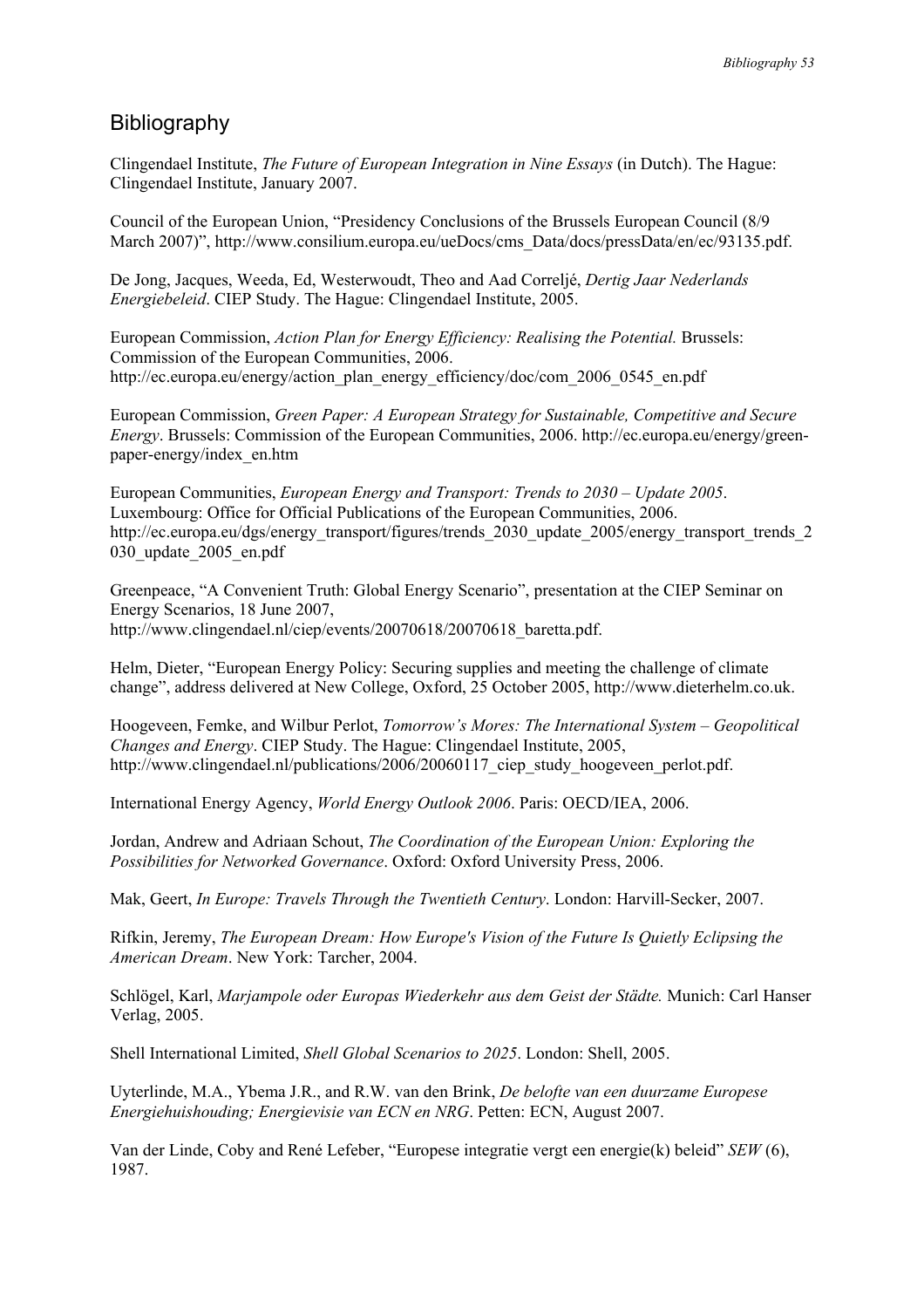#### Bibliography

Clingendael Institute, *The Future of European Integration in Nine Essays* (in Dutch). The Hague: Clingendael Institute, January 2007.

Council of the European Union, "Presidency Conclusions of the Brussels European Council (8/9 March 2007)", http://www.consilium.europa.eu/ueDocs/cms\_Data/docs/pressData/en/ec/93135.pdf.

De Jong, Jacques, Weeda, Ed, Westerwoudt, Theo and Aad Correljé, *Dertig Jaar Nederlands Energiebeleid*. CIEP Study. The Hague: Clingendael Institute, 2005.

European Commission, *Action Plan for Energy Efficiency: Realising the Potential.* Brussels: Commission of the European Communities, 2006. http://ec.europa.eu/energy/action\_plan\_energy\_efficiency/doc/com\_2006\_0545\_en.pdf

European Commission, *Green Paper: A European Strategy for Sustainable, Competitive and Secure Energy*. Brussels: Commission of the European Communities, 2006. http://ec.europa.eu/energy/greenpaper-energy/index\_en.htm

European Communities, *European Energy and Transport: Trends to 2030 – Update 2005*. Luxembourg: Office for Official Publications of the European Communities, 2006. http://ec.europa.eu/dgs/energy\_transport/figures/trends\_2030\_update\_2005/energy\_transport\_trends\_2 030\_update\_2005\_en.pdf

Greenpeace, "A Convenient Truth: Global Energy Scenario", presentation at the CIEP Seminar on Energy Scenarios, 18 June 2007, http://www.clingendael.nl/ciep/events/20070618/20070618\_baretta.pdf.

Helm, Dieter, "European Energy Policy: Securing supplies and meeting the challenge of climate change", address delivered at New College, Oxford, 25 October 2005, http://www.dieterhelm.co.uk.

Hoogeveen, Femke, and Wilbur Perlot, *Tomorrow's Mores: The International System – Geopolitical Changes and Energy*. CIEP Study. The Hague: Clingendael Institute, 2005, http://www.clingendael.nl/publications/2006/20060117\_ciep\_study\_hoogeveen\_perlot.pdf.

International Energy Agency, *World Energy Outlook 2006*. Paris: OECD/IEA, 2006.

Jordan, Andrew and Adriaan Schout, *The Coordination of the European Union: Exploring the Possibilities for Networked Governance*. Oxford: Oxford University Press, 2006.

Mak, Geert, *In Europe: Travels Through the Twentieth Century*. London: Harvill-Secker, 2007.

Rifkin, Jeremy, *The European Dream: How Europe's Vision of the Future Is Quietly Eclipsing the American Dream*. New York: Tarcher, 2004.

Schlögel, Karl, *Marjampole oder Europas Wiederkehr aus dem Geist der Städte.* Munich: Carl Hanser Verlag, 2005.

Shell International Limited, *Shell Global Scenarios to 2025*. London: Shell, 2005.

Uyterlinde, M.A., Ybema J.R., and R.W. van den Brink, *De belofte van een duurzame Europese Energiehuishouding; Energievisie van ECN en NRG*. Petten: ECN, August 2007.

Van der Linde, Coby and René Lefeber, "Europese integratie vergt een energie(k) beleid" *SEW* (6), 1987.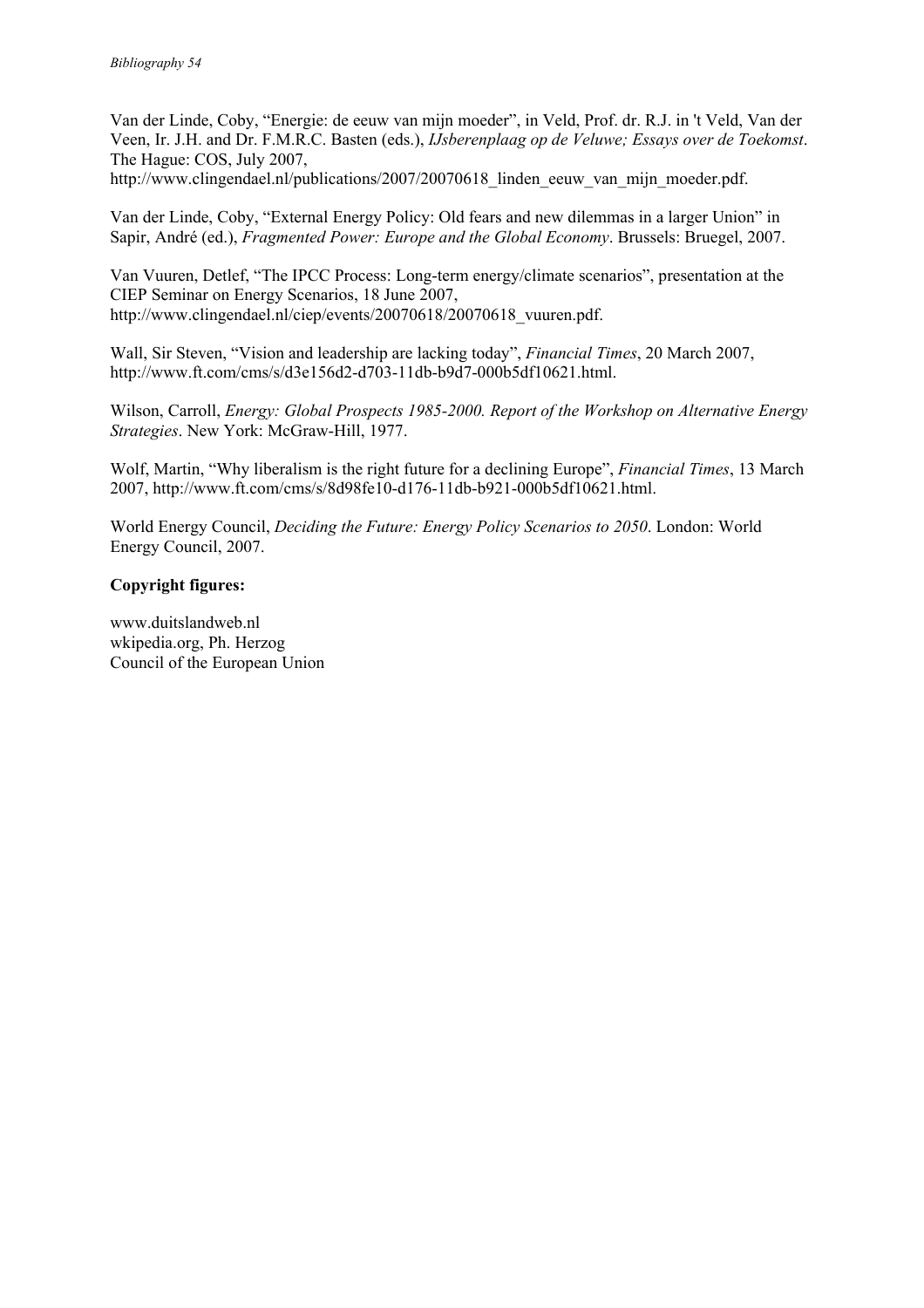Van der Linde, Coby, "Energie: de eeuw van mijn moeder", in Veld, Prof. dr. R.J. in 't Veld, Van der Veen, Ir. J.H. and Dr. F.M.R.C. Basten (eds.), *IJsberenplaag op de Veluwe; Essays over de Toekomst*. The Hague: COS, July 2007,

http://www.clingendael.nl/publications/2007/20070618 linden eeuw van mijn moeder.pdf.

Van der Linde, Coby, "External Energy Policy: Old fears and new dilemmas in a larger Union" in Sapir, André (ed.), *Fragmented Power: Europe and the Global Economy*. Brussels: Bruegel, 2007.

Van Vuuren, Detlef, "The IPCC Process: Long-term energy/climate scenarios", presentation at the CIEP Seminar on Energy Scenarios, 18 June 2007, http://www.clingendael.nl/ciep/events/20070618/20070618\_vuuren.pdf.

Wall, Sir Steven, "Vision and leadership are lacking today", *Financial Times*, 20 March 2007, http://www.ft.com/cms/s/d3e156d2-d703-11db-b9d7-000b5df10621.html.

Wilson, Carroll, *Energy: Global Prospects 1985-2000. Report of the Workshop on Alternative Energy Strategies*. New York: McGraw-Hill, 1977.

Wolf, Martin, "Why liberalism is the right future for a declining Europe", *Financial Times*, 13 March 2007, http://www.ft.com/cms/s/8d98fe10-d176-11db-b921-000b5df10621.html.

World Energy Council, *Deciding the Future: Energy Policy Scenarios to 2050*. London: World Energy Council, 2007.

#### **Copyright figures:**

www.duitslandweb.nl wkipedia.org, Ph. Herzog Council of the European Union